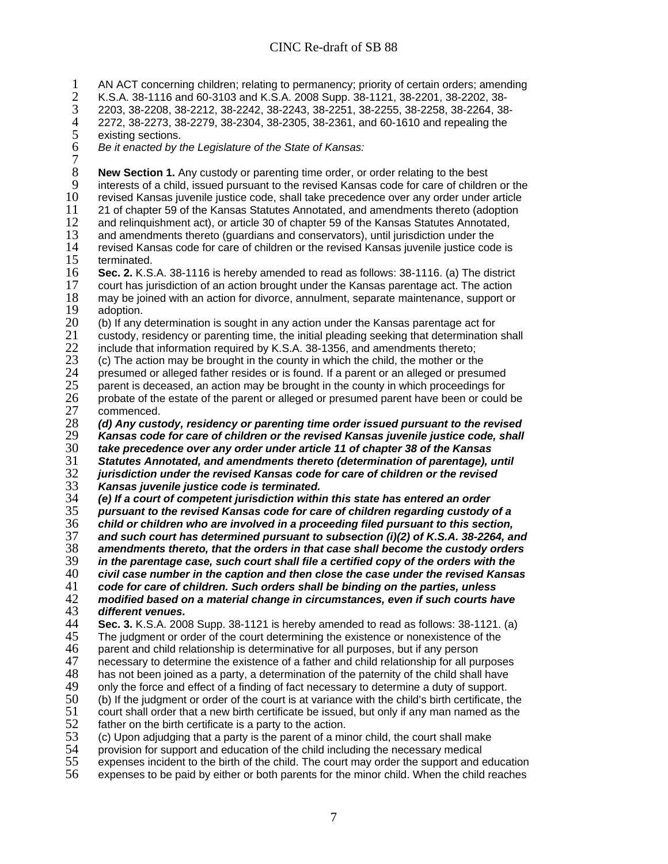- 1 AN ACT concerning children; relating to permanency; priority of certain orders; amending 2 K.S.A. 38-1116 and 60-3103 and K.S.A. 2008 Supp. 38-1121, 38-2201, 38-2202, 38-
- 2 K.S.A. 38-1116 and 60-3103 and K.S.A. 2008 Supp. 38-1121, 38-2201, 38-2202, 38-
- 3 2203, 38-2208, 38-2212, 38-2242, 38-2243, 38-2251, 38-2255, 38-2258, 38-2264, 38-
- 4 2272, 38-2273, 38-2279, 38-2304, 38-2305, 38-2361, and 60-1610 and repealing the existing sections.
- 5 existing sections.<br>6 Be it enacted by t 6 *Be it enacted by the Legislature of the State of Kansas:*
- $\frac{7}{8}$
- **New Section 1.** Any custody or parenting time order, or order relating to the best 9 interests of a child, issued pursuant to the revised Kansas code for care of children or the<br>10 revised Kansas juvenile justice code, shall take precedence over any order under article
- 10 revised Kansas juvenile justice code, shall take precedence over any order under article<br>11 21 of chapter 59 of the Kansas Statutes Annotated, and amendments thereto (adoption
- 11 21 of chapter 59 of the Kansas Statutes Annotated, and amendments thereto (adoption 12 and relinguishment act), or article 30 of chapter 59 of the Kansas Statutes Annotated.
- 12 and relinquishment act), or article 30 of chapter 59 of the Kansas Statutes Annotated,<br>13 and amendments thereto (quardians and conservators), until jurisdiction under the
- 13 and amendments thereto (guardians and conservators), until jurisdiction under the 14 revised Kansas code for care of children or the revised Kansas code 14 revised Kansas code for care of children or the revised Kansas juvenile justice code is
- 15 terminated.<br>16 **Sec. 2.** K.S. **Sec. 2.** K.S.A. 38-1116 is hereby amended to read as follows: 38-1116. (a) The district 17 court has jurisdiction of an action brought under the Kansas parentage act. The action<br>18 may be joined with an action for divorce, annulment, separate maintenance, support or 18 may be joined with an action for divorce, annulment, separate maintenance, support or 19 adoption.
- $19$  adoption.<br> $20$  (b) If any
- $20$  (b) If any determination is sought in any action under the Kansas parentage act for  $21$  custody, residency or parenting time, the initial pleading seeking that determination
- 21 custody, residency or parenting time, the initial pleading seeking that determination shall<br>22 include that information required by K.S.A. 38-1356, and amendments thereto:
- 22 include that information required by K.S.A. 38-1356, and amendments thereto;<br>23 (c) The action may be brought in the county in which the child, the mother or the
- 23 (c) The action may be brought in the county in which the child, the mother or the 24 presumed or alleged father resides or is found. If a parent or an alleged or presure 24 presumed or alleged father resides or is found. If a parent or an alleged or presumed<br>25 parent is deceased, an action may be brought in the county in which proceedings for
- 25 parent is deceased, an action may be brought in the county in which proceedings for<br>26 probate of the estate of the parent or alleged or presumed parent have been or could
- 26 probate of the estate of the parent or alleged or presumed parent have been or could be <br>27 commenced.  $27$  commenced.<br> $28$  (d) Anv cust
- 28 *(d) Any custody, residency or parenting time order issued pursuant to the revised*
- 29 *Kansas code for care of children or the revised Kansas juvenile justice code, shall*
- 30 *take precedence over any order under article 11 of chapter 38 of the Kansas*
- 31 *Statutes Annotated, and amendments thereto (determination of parentage), until*
- 32 *jurisdiction under the revised Kansas code for care of children or the revised*  33 *Kansas juvenile justice code is terminated.*
- 34 *(e) If a court of competent jurisdiction within this state has entered an order*
- 35 *pursuant to the revised Kansas code for care of children regarding custody of a*
- 36 *child or children who are involved in a proceeding filed pursuant to this section,*
- 37 *and such court has determined pursuant to subsection (i)(2) of K.S.A. 38-2264, and*
- 38 *amendments thereto, that the orders in that case shall become the custody orders*
- 39 *in the parentage case, such court shall file a certified copy of the orders with the*
- 40 *civil case number in the caption and then close the case under the revised Kansas*
- 41 *code for care of children. Such orders shall be binding on the parties, unless*
- 42 *modified based on a material change in circumstances, even if such courts have*  43 *different venues.*
- 44 **Sec. 3.** K.S.A. 2008 Supp. 38-1121 is hereby amended to read as follows: 38-1121. (a)
- 45 The judgment or order of the court determining the existence or nonexistence of the 46 parent and child relationship is determinative for all purposes, but if any person
- 46 parent and child relationship is determinative for all purposes, but if any person<br>47 encessary to determine the existence of a father and child relationship for all pu
- 47 necessary to determine the existence of a father and child relationship for all purposes<br>48 has not been joined as a party, a determination of the paternity of the child shall have
- 48 has not been joined as a party, a determination of the paternity of the child shall have<br>49 only the force and effect of a finding of fact necessary to determine a duty of support.
- 49 only the force and effect of a finding of fact necessary to determine a duty of support.<br>50 (b) If the judgment or order of the court is at variance with the child's birth certificate, t
- 50 (b) If the judgment or order of the court is at variance with the child's birth certificate, the 51 court shall order that a new birth certificate be issued, but only if any man named as the  $52$  father on the birth certificate is a party to the action.
- 52 father on the birth certificate is a party to the action.<br>53 (c) Upon adjudging that a party is the parent of a mi
- 53 (c) Upon adjudging that a party is the parent of a minor child, the court shall make<br>54 provision for support and education of the child including the necessary medical
- 54 provision for support and education of the child including the necessary medical<br>55 expenses incident to the birth of the child. The court may order the support and  $\epsilon$
- 55 expenses incident to the birth of the child. The court may order the support and education<br>56 expenses to be paid by either or both parents for the minor child. When the child reaches
- expenses to be paid by either or both parents for the minor child. When the child reaches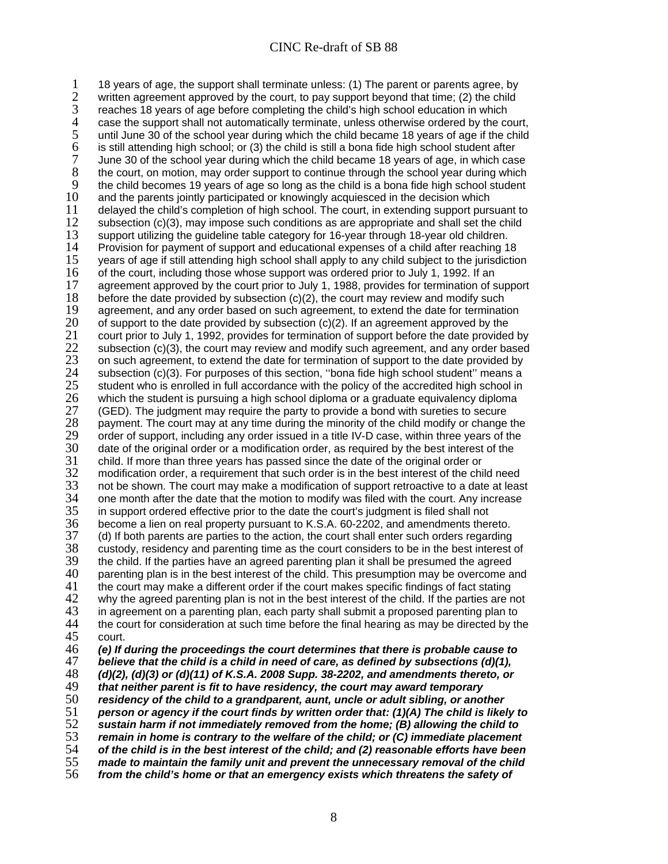1 18 years of age, the support shall terminate unless: (1) The parent or parents agree, by<br>2 written agreement approved by the court, to pay support beyond that time; (2) the child 2 written agreement approved by the court, to pay support beyond that time; (2) the child<br>3 reaches 18 vears of age before completing the child's high school education in which 3 reaches 18 years of age before completing the child's high school education in which<br>4 case the support shall not automatically terminate, unless otherwise ordered by the co 4 case the support shall not automatically terminate, unless otherwise ordered by the court,<br>5 until June 30 of the school year during which the child became 18 years of age if the child 5 until June 30 of the school year during which the child became 18 years of age if the child 6 is still attending high school; or (3) the child is still a bona fide high school student after 7 June 30 of the school year during which the child became 18 years of age, in which case<br>8 the court, on motion, may order support to continue through the school year during which 8 the court, on motion, may order support to continue through the school year during which<br>9 the child becomes 19 years of age so long as the child is a bona fide high school student 9 the child becomes 19 years of age so long as the child is a bona fide high school student  $10$  and the parents jointly participated or knowingly acquiesced in the decision which 10 and the parents jointly participated or knowingly acquiesced in the decision which<br>11 delayed the child's completion of high school. The court, in extending support purs 11 delayed the child's completion of high school. The court, in extending support pursuant to  $12$  subsection (c)(3), may impose such conditions as are appropriate and shall set the child 12 subsection (c)(3), may impose such conditions as are appropriate and shall set the child  $13$  support utilizing the quideline table category for 16-year through 18-year old children. 13 support utilizing the guideline table category for 16-year through 18-year old children.<br>14 Provision for payment of support and educational expenses of a child after reaching 1 14 Provision for payment of support and educational expenses of a child after reaching 18 15 years of age if still attending high school shall apply to any child subject to the jurisdiction<br>16 of the court, including those whose support was ordered prior to July 1, 1992. If an of the court, including those whose support was ordered prior to July 1, 1992. If an 17 agreement approved by the court prior to July 1, 1988, provides for termination of support  $18$  before the date provided by subsection (c)(2), the court may review and modify such 18 before the date provided by subsection  $(c)(2)$ , the court may review and modify such  $19$  agreement, and any order based on such agreement, to extend the date for termination 19 agreement, and any order based on such agreement, to extend the date for termination  $20$  of support to the date provided by subsection (c)(2). If an agreement approved by the 20 of support to the date provided by subsection  $(c)(2)$ . If an agreement approved by the  $21$  court prior to July 1, 1992, provides for termination of support before the date provided 21 court prior to July 1, 1992, provides for termination of support before the date provided by<br>22 subsection (c)(3), the court may review and modify such agreement, and any order based 22 subsection (c)(3), the court may review and modify such agreement, and any order based  $23$  on such agreement, to extend the date for termination of support to the date provided by 23 on such agreement, to extend the date for termination of support to the date provided by<br>24 subsection (c)(3). For purposes of this section, "bona fide high school student" means a 24 subsection (c)(3). For purposes of this section, "bona fide high school student" means a<br>25 student who is enrolled in full accordance with the policy of the accredited high school in 25 student who is enrolled in full accordance with the policy of the accredited high school in<br>26 which the student is pursuing a high school diploma or a graduate equivalency diploma 26 which the student is pursuing a high school diploma or a graduate equivalency diploma<br>27 (GED). The judgment may require the party to provide a bond with sureties to secure 27 (GED). The judgment may require the party to provide a bond with sureties to secure<br>28 payment. The court may at any time during the minority of the child modify or change 28 payment. The court may at any time during the minority of the child modify or change the 29 order of support, including any order issued in a title IV-D case, within three years of the 29 order of support, including any order issued in a title IV-D case, within three years of the<br>30 date of the original order or a modification order, as required by the best interest of the 30 date of the original order or a modification order, as required by the best interest of the 31 child. If more than three vears has passed since the date of the original order or 31 child. If more than three years has passed since the date of the original order or 32 modification order, a requirement that such order is in the best interest of the chi 32 modification order, a requirement that such order is in the best interest of the child need<br>33 on the shown. The court may make a modification of support retroactive to a date at leas 33 on the shown. The court may make a modification of support retroactive to a date at least 34 one month after the date that the motion to modify was filed with the court. Any increase 34 one month after the date that the motion to modify was filed with the court. Any increase 35 in support ordered effective prior to the date the court's judgment is filed shall not 35 in support ordered effective prior to the date the court's judgment is filed shall not 36 become a lien on real property pursuant to K.S.A. 60-2202, and amendments ther 36 become a lien on real property pursuant to K.S.A. 60-2202, and amendments thereto.<br>37 (d) If both parents are parties to the action, the court shall enter such orders regarding 37 (d) If both parents are parties to the action, the court shall enter such orders regarding<br>38 custody, residency and parenting time as the court considers to be in the best interest 38 custody, residency and parenting time as the court considers to be in the best interest of 39 the child. If the parties have an agreed parenting plan it shall be presumed the agreed 39 the child. If the parties have an agreed parenting plan it shall be presumed the agreed 40 parenting plan is in the best interest of the child. This presumption may be overcome and 41 the court may make a different order if the court makes specific findings of fact stating 41 the court may make a different order if the court makes specific findings of fact stating<br>42 why the agreed parenting plan is not in the best interest of the child. If the parties are r 42 why the agreed parenting plan is not in the best interest of the child. If the parties are not 43 in agreement on a parenting plan, each party shall submit a proposed parenting plan to 43 in agreement on a parenting plan, each party shall submit a proposed parenting plan to<br>44 the court for consideration at such time before the final hearing as may be directed by the 44 the court for consideration at such time before the final hearing as may be directed by the 45 court. 45 court.<br>46 **(e) If o** 46 *(e) If during the proceedings the court determines that there is probable cause to*  47 *believe that the child is a child in need of care, as defined by subsections (d)(1),*  48 *(d)(2), (d)(3) or (d)(11) of K.S.A. 2008 Supp. 38-2202, and amendments thereto, or* 

49 *that neither parent is fit to have residency, the court may award temporary* 

50 *residency of the child to a grandparent, aunt, uncle or adult sibling, or another* 

51 *person or agency if the court finds by written order that: (1)(A) The child is likely to* 

52 *sustain harm if not immediately removed from the home; (B) allowing the child to* 

53 *remain in home is contrary to the welfare of the child; or (C) immediate placement* 

54 *of the child is in the best interest of the child; and (2) reasonable efforts have been* 

55 *made to maintain the family unit and prevent the unnecessary removal of the child*  from the child's home or that an emergency exists which threatens the safety of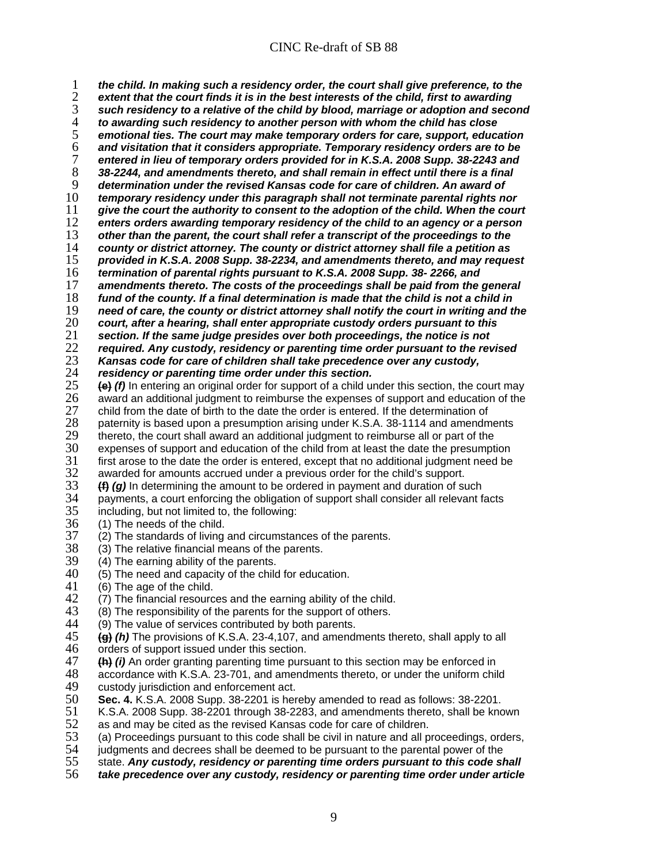*the child. In making such a residency order, the court shall give preference, to the extent that the court finds it is in the best interests of the child, first to awarding such residency to a relative of the child by blood, marriage or adoption and second to awarding such residency to another person with whom the child has close emotional ties. The court may make temporary orders for care, support, education and visitation that it considers appropriate. Temporary residency orders are to be entered in lieu of temporary orders provided for in K.S.A. 2008 Supp. 38-2243 and 38-2244, and amendments thereto, and shall remain in effect until there is a final determination under the revised Kansas code for care of children. An award of temporary residency under this paragraph shall not terminate parental rights nor give the court the authority to consent to the adoption of the child. When the court enters orders awarding temporary residency of the child to an agency or a person other than the parent, the court shall refer a transcript of the proceedings to the county or district attorney. The county or district attorney shall file a petition as provided in K.S.A. 2008 Supp. 38-2234, and amendments thereto, and may request termination of parental rights pursuant to K.S.A. 2008 Supp. 38- 2266, and amendments thereto. The costs of the proceedings shall be paid from the general fund of the county. If a final determination is made that the child is not a child in need of care, the county or district attorney shall notify the court in writing and the court, after a hearing, shall enter appropriate custody orders pursuant to this section. If the same judge presides over both proceedings, the notice is not required. Any custody, residency or parenting time order pursuant to the revised Kansas code for care of children shall take precedence over any custody, residency or parenting time order under this section.*<br>25 **(e)** (f) In entering an original order for support of a child un **(e) (f)** In entering an original order for support of a child under this section, the court may 26 award an additional judgment to reimburse the expenses of support and education of the 26 award an additional judgment to reimburse the expenses of support and education of the 27 child from the date of birth to the date the order is entered. If the determination of 27 child from the date of birth to the date the order is entered. If the determination of 28 paternity is based upon a presumption arising under K.S.A. 38-1114 and amendm 28 paternity is based upon a presumption arising under K.S.A. 38-1114 and amendments 29 thereto, the court shall award an additional judgment to reimburse all or part of the 29 thereto, the court shall award an additional judgment to reimburse all or part of the<br>30 expenses of support and education of the child from at least the date the presumpt expenses of support and education of the child from at least the date the presumption first arose to the date the order is entered, except that no additional judgment need be  $32$  awarded for amounts accrued under a previous order for the child's support. 32 awarded for amounts accrued under a previous order for the child's support.<br>33  $(f)$  (g) In determining the amount to be ordered in payment and duration of su **(f)** *(g)* In determining the amount to be ordered in payment and duration of such 34 payments, a court enforcing the obligation of support shall consider all relevant facts<br>35 including, but not limited to, the following: including, but not limited to, the following:<br> $36$  (1) The needs of the child. 36 (1) The needs of the child.<br>37 (2) The standards of living 37 (2) The standards of living and circumstances of the parents.<br>38 (3) The relative financial means of the parents. (3) The relative financial means of the parents.<br> $39$  (4) The earning ability of the parents. (4) The earning ability of the parents.<br> $40$  (5) The need and capacity of the child (5) The need and capacity of the child for education.<br> $41$  (6) The age of the child. 41 (6) The age of the child.<br>42 (7) The financial resourc 42 (7) The financial resources and the earning ability of the child.<br>43 (8) The responsibility of the parents for the support of others. 43 (8) The responsibility of the parents for the support of others.<br>44 (9) The value of services contributed by both parents. 44 (9) The value of services contributed by both parents.<br>45 **(g)** (h) The provisions of K.S.A. 23-4,107, and amendi **(g)** *(h)* The provisions of K.S.A. 23-4,107, and amendments thereto, shall apply to all 46 orders of support issued under this section.<br>47  $\langle \mathbf{h} \rangle$  (i) An order granting parenting time purs **(h)** *(i)* An order granting parenting time pursuant to this section may be enforced in 48 accordance with K.S.A. 23-701, and amendments thereto, or under the uniform child<br>49 custody iurisdiction and enforcement act. 49 custody jurisdiction and enforcement act.<br>50 **Sec. 4.** K.S.A. 2008 Supp. 38-2201 is her **Sec. 4.** K.S.A. 2008 Supp. 38-2201 is hereby amended to read as follows: 38-2201.

- K.S.A. 2008 Supp. 38-2201 through 38-2283, and amendments thereto, shall be known
- 52 as and may be cited as the revised Kansas code for care of children.<br>53 (a) Proceedings pursuant to this code shall be civil in nature and all p
- 53 (a) Proceedings pursuant to this code shall be civil in nature and all proceedings, orders, 54 independing in the inter-<br>54 independent and decrees shall be deemed to be pursuant to the parental power of the
- 54 judgments and decrees shall be deemed to be pursuant to the parental power of the<br>55 state. Any custody, residency or parenting time orders pursuant to this code sl
- state. *Any custody, residency or parenting time orders pursuant to this code shall*
- *take precedence over any custody, residency or parenting time order under article*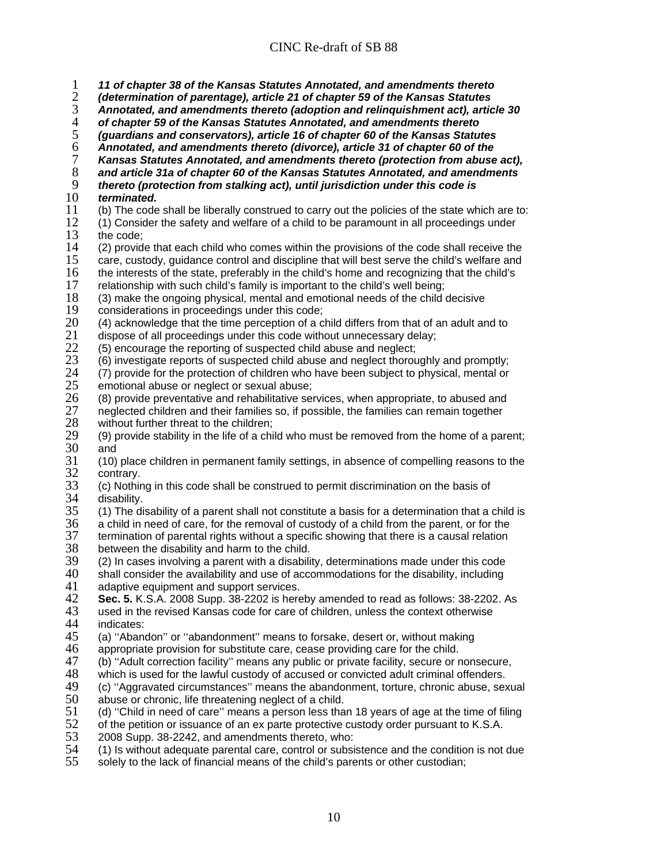- 1 *11 of chapter 38 of the Kansas Statutes Annotated, and amendments thereto*
- 2 *(determination of parentage), article 21 of chapter 59 of the Kansas Statutes*
- 3 *Annotated, and amendments thereto (adoption and relinquishment act), article 30*
- 4 *of chapter 59 of the Kansas Statutes Annotated, and amendments thereto*
- 5 *(guardians and conservators), article 16 of chapter 60 of the Kansas Statutes*
- 6 *Annotated, and amendments thereto (divorce), article 31 of chapter 60 of the*
- 7 *Kansas Statutes Annotated, and amendments thereto (protection from abuse act),*
- 8 *and article 31a of chapter 60 of the Kansas Statutes Annotated, and amendments*
- 9 *thereto (protection from stalking act), until jurisdiction under this code is*
- 10 *terminated.*<br>11 (b) The code
- 11 (b) The code shall be liberally construed to carry out the policies of the state which are to:<br>12 (1) Consider the safety and welfare of a child to be paramount in all proceedings under
- 12 (1) Consider the safety and welfare of a child to be paramount in all proceedings under 13 the code:
- 13 the code;<br>14 (2) provid
- $14$  (2) provide that each child who comes within the provisions of the code shall receive the  $15$  care, custody, quidance control and discipline that will best serve the child's welfare and
- 15 care, custody, guidance control and discipline that will best serve the child's welfare and 16 the interests of the state, preferably in the child's home and recognizing that the child's 16 the interests of the state, preferably in the child's home and recognizing that the child's
- 17 relationship with such child's family is important to the child's well being;<br>18 (3) make the ongoing physical, mental and emotional needs of the child
- 18 (3) make the ongoing physical, mental and emotional needs of the child decisive<br>19 considerations in proceedings under this code:
- 19 considerations in proceedings under this code;<br>20 (4) acknowledge that the time perception of a c
- 20 (4) acknowledge that the time perception of a child differs from that of an adult and to  $21$  dispose of all proceedings under this code without unnecessary delay; 21 dispose of all proceedings under this code without unnecessary delay;<br>22 (5) encourage the reporting of suspected child abuse and neglect;
- 
- $22$  (5) encourage the reporting of suspected child abuse and neglect;<br> $23$  (6) investigate reports of suspected child abuse and neglect thorou
- 23 (6) investigate reports of suspected child abuse and neglect thoroughly and promptly;<br>24 (7) provide for the protection of children who have been subject to physical, mental or 24 (7) provide for the protection of children who have been subject to physical, mental or  $25$  emotional abuse or neglect or sexual abuse:
- 25 emotional abuse or neglect or sexual abuse;<br>26 (8) provide preventative and rehabilitative ser 26 (8) provide preventative and rehabilitative services, when appropriate, to abused and<br>27 meglected children and their families so, if possible, the families can remain together
- 27 neglected children and their families so, if possible, the families can remain together <br>28 without further threat to the children:
- 28 without further threat to the children;<br>29 (9) provide stability in the life of a chi  $29$  (9) provide stability in the life of a child who must be removed from the home of a parent;<br>30 and 30 and<br>31 (10)
- 31 (10) place children in permanent family settings, in absence of compelling reasons to the 32 contrary.<br>33 (c) Nothir
- 33 (c) Nothing in this code shall be construed to permit discrimination on the basis of 34 disability.<br>35 (1) The di
- $35$  (1) The disability of a parent shall not constitute a basis for a determination that a child is  $36$  a child in need of care, for the removal of custody of a child from the parent, or for the
- 36 a child in need of care, for the removal of custody of a child from the parent, or for the 37 termination of parental rights without a specific showing that there is a causal relation
- 37 termination of parental rights without a specific showing that there is a causal relation<br>38 between the disability and harm to the child.  $38$  between the disability and harm to the child.<br> $39$  (2) In cases involving a parent with a disabili
- $39$  (2) In cases involving a parent with a disability, determinations made under this code  $40$  shall consider the availability and use of accommodations for the disability, including
- 40 shall consider the availability and use of accommodations for the disability, including <br>41 adaptive equipment and support services.
- 41 adaptive equipment and support services.<br>42 **Sec. 5.** K.S.A. 2008 Supp. 38-2202 is here
- 42 **Sec. 5.** K.S.A. 2008 Supp. 38-2202 is hereby amended to read as follows: 38-2202. As
- 43 used in the revised Kansas code for care of children, unless the context otherwise
- 44 indicates:<br>45 (a) "Aban 45 (a) "Abandon" or "abandonment" means to forsake, desert or, without making<br>46 appropriate provision for substitute care, cease providing care for the child.
- 46 appropriate provision for substitute care, cease providing care for the child.<br>47 (b) "Adult correction facility" means any public or private facility, secure or r
- 47 (b) ''Adult correction facility'' means any public or private facility, secure or nonsecure,
- 48 which is used for the lawful custody of accused or convicted adult criminal offenders.<br>49 (c) "Aggravated circumstances" means the abandonment, torture, chronic abuse, sex
- 49 (c) "Aggravated circumstances" means the abandonment, torture, chronic abuse, sexual 50 abuse or chronic, life threatening neglect of a child.
- abuse or chronic, life threatening neglect of a child.
- 51 (d) "Child in need of care" means a person less than 18 years of age at the time of filing 52 of the petition or issuance of an ex parte protective custody order pursuant to K.S.A.
- 52 of the petition or issuance of an ex parte protective custody order pursuant to K.S.A.<br>53 2008 Supp. 38-2242, and amendments thereto, who:
- 53 2008 Supp. 38-2242, and amendments thereto, who:<br>54 (1) Is without adequate parental care, control or subsi
- $54$  (1) Is without adequate parental care, control or subsistence and the condition is not due  $55$  solely to the lack of financial means of the child's parents or other custodian;
- solely to the lack of financial means of the child's parents or other custodian;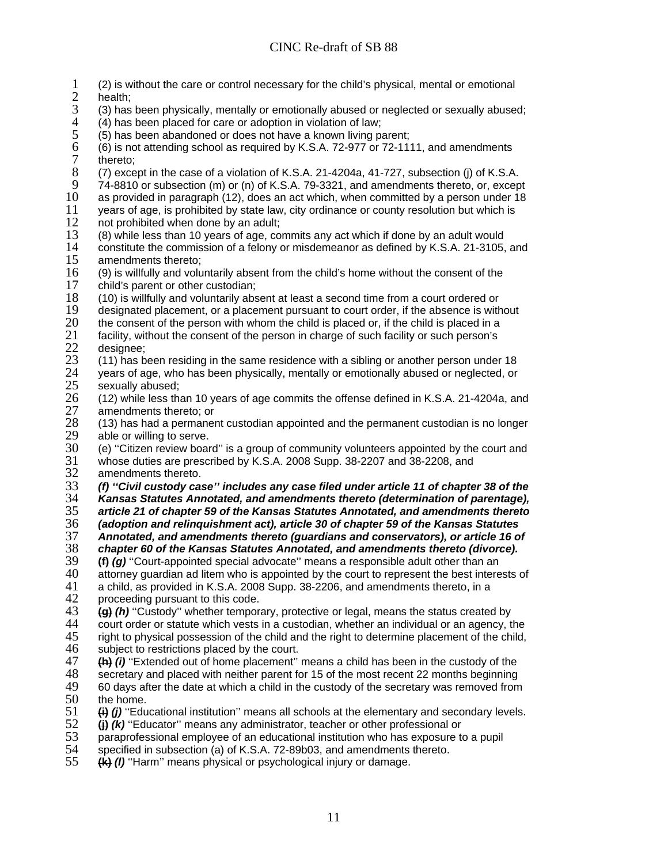- 1 (2) is without the care or control necessary for the child's physical, mental or emotional
- $\begin{array}{cc} 2 & \text{health;} \\ 3 & (3) \text{ has} \end{array}$
- 3 (3) has been physically, mentally or emotionally abused or neglected or sexually abused;<br>4 (4) has been placed for care or adoption in violation of law:
- 
- 5 (5) has been abandoned or does not have a known living parent;
- 4 (4) has been placed for care or adoption in violation of law;<br>5 (5) has been abandoned or does not have a known living pa<br>6 (6) is not attending school as required by K.S.A. 72-977 or 6 (6) is not attending school as required by K.S.A. 72-977 or 72-1111, and amendments 7 thereto;<br>8 (7) exce
- 8 (7) except in the case of a violation of K.S.A. 21-4204a, 41-727, subsection (j) of K.S.A.
- 9 74-8810 or subsection (m) or (n) of K.S.A. 79-3321, and amendments thereto, or, except 10 as provided in paragraph (12), does an act which, when committed by a person under 18
- 10 as provided in paragraph (12), does an act which, when committed by a person under 18<br>11 vears of age, is prohibited by state law, city ordinance or county resolution but which is
- 11 years of age, is prohibited by state law, city ordinance or county resolution but which is  $12$  not prohibited when done by an adult:
- 12 not prohibited when done by an adult;<br>13 (8) while less than 10 years of age, co
- 13 (8) while less than 10 years of age, commits any act which if done by an adult would 14 constitute the commission of a felony or misdemeanor as defined by K.S.A. 21-3105.
- 14 constitute the commission of a felony or misdemeanor as defined by K.S.A. 21-3105, and <br>15 amendments thereto:  $15$  amendments thereto;<br> $16$  (9) is willfully and volu
- 16 (9) is willfully and voluntarily absent from the child's home without the consent of the 17 child's parent or other custodian;<br>18 (10) is willfully and voluntarily abs
- 18 (10) is willfully and voluntarily absent at least a second time from a court ordered or<br>19 designated placement, or a placement pursuant to court order, if the absence is with
- 19 designated placement, or a placement pursuant to court order, if the absence is without <br>20 the consent of the person with whom the child is placed or, if the child is placed in a
- 20 the consent of the person with whom the child is placed or, if the child is placed in a<br>21 facility, without the consent of the person in charge of such facility or such person's
- 21 facility, without the consent of the person in charge of such facility or such person's  $22$  designee:  $22$  designee;<br> $23$  (11) has b
- 23 (11) has been residing in the same residence with a sibling or another person under 18<br>24 years of age, who has been physically, mentally or emotionally abused or neglected, or
- $24$  years of age, who has been physically, mentally or emotionally abused or neglected, or <br> $25$  sexually abused:  $25$  sexually abused;<br> $26$  (12) while less tha
- 26 (12) while less than 10 years of age commits the offense defined in K.S.A. 21-4204a, and 27 amendments thereto; or<br>28 (13) has had a permaner
- 28 (13) has had a permanent custodian appointed and the permanent custodian is no longer<br>29 able or willing to serve. 29 able or willing to serve.<br>30 (e) "Citizen review boar
- 30 (e) "Citizen review board" is a group of community volunteers appointed by the court and 31 whose duties are prescribed by K.S.A. 2008 Supp. 38-2207 and 38-2208, and
- 31 whose duties are prescribed by K.S.A. 2008 Supp. 38-2207 and 38-2208, and
- $32$  amendments thereto.<br> $33$  (f) "Civil custody ca
- 33 *(f) ''Civil custody case'' includes any case filed under article 11 of chapter 38 of the*
- 34 *Kansas Statutes Annotated, and amendments thereto (determination of parentage),*
- 35 *article 21 of chapter 59 of the Kansas Statutes Annotated, and amendments thereto*  36 *(adoption and relinquishment act), article 30 of chapter 59 of the Kansas Statutes*
- 37 *Annotated, and amendments thereto (guardians and conservators), or article 16 of*
- 38 *chapter 60 of the Kansas Statutes Annotated, and amendments thereto (divorce).*
- 39 **(f)** *(g)* ''Court-appointed special advocate'' means a responsible adult other than an
- 40 attorney guardian ad litem who is appointed by the court to represent the best interests of 41 a child, as provided in K.S.A. 2008 Supp. 38-2206, and amendments thereto, in a
- 41 a child, as provided in K.S.A. 2008 Supp. 38-2206, and amendments thereto, in a
- 42 proceeding pursuant to this code.<br>43  $\left(\frac{1}{9}\right)$  (h) "Custody" whether temporal
- 43 **(g) (h)** "Custody" whether temporary, protective or legal, means the status created by<br>44 court order or statute which vests in a custodian, whether an individual or an agency, tl
- 44 court order or statute which vests in a custodian, whether an individual or an agency, the 45 right to physical possession of the child,
- 45 right to physical possession of the child and the right to determine placement of the child,<br>46 subject to restrictions placed by the court. 46 subject to restrictions placed by the court.<br>47  $\langle \mathbf{h} \rangle$  (i) "Extended out of home placement"
- 47 **(h)** *(i)* "Extended out of home placement" means a child has been in the custody of the 48 secretary and placed with neither parent for 15 of the most recent 22 months beginning
- 48 secretary and placed with neither parent for 15 of the most recent 22 months beginning<br>49 60 days after the date at which a child in the custody of the secretary was removed from
- 49 60 days after the date at which a child in the custody of the secretary was removed from<br>50 the home. the home.
- 51 **(i)** *(i)* "Educational institution" means all schools at the elementary and secondary levels.<br>52 **(i)** *(k)* "Educator" means any administrator, teacher or other professional or
- 
- 52 **(j) (k)** "Educator" means any administrator, teacher or other professional or<br>53 paraprofessional employee of an educational institution who has exposure to 53 paraprofessional employee of an educational institution who has exposure to a pupil<br>54 specified in subsection (a) of K.S.A. 72-89b03, and amendments thereto.
- 54 specified in subsection (a) of K.S.A. 72-89b03, and amendments thereto.<br>55 **(k)** (*l*) "Harm" means physical or psychological injury or damage.
- 55 **(k)** *(l)* ''Harm'' means physical or psychological injury or damage.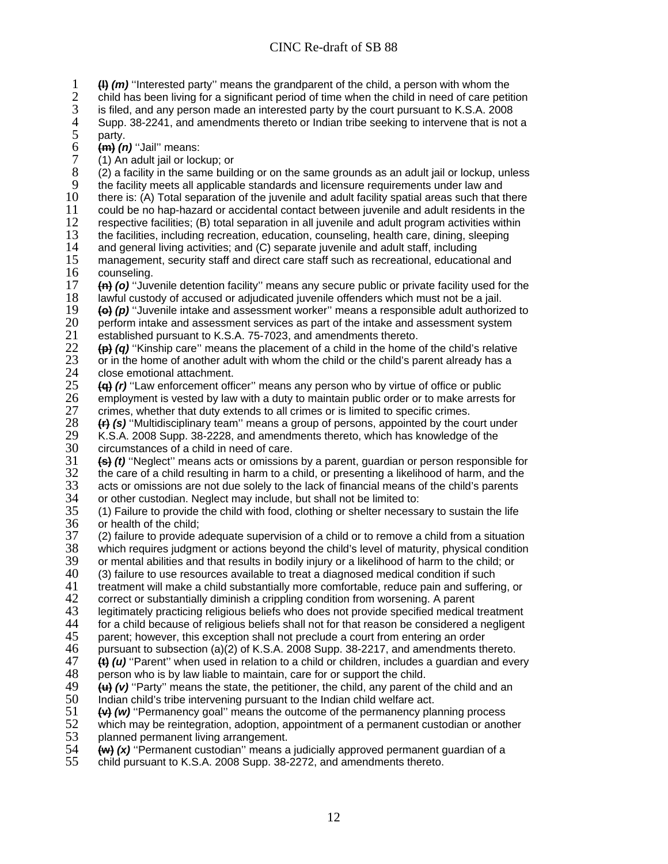- 1 **(i)** *(m)* "Interested party" means the grandparent of the child, a person with whom the child has been living for a significant period of time when the child in need of care petion
- 2 child has been living for a significant period of time when the child in need of care petition<br>3 is filed, and any person made an interested party by the court pursuant to K.S.A. 2008
- 3 is filed, and any person made an interested party by the court pursuant to K.S.A. 2008
- 4 Supp. 38-2241, and amendments thereto or Indian tribe seeking to intervene that is not a<br>5 party.<br>6  $(m)$  "Jail" means:
- party.
- 6 **(m)** *(n)* ''Jail'' means:
- 7 (1) An adult jail or lockup; or<br>8 (2) a facility in the same build
- 8 (2) a facility in the same building or on the same grounds as an adult jail or lockup, unless
- 9 the facility meets all applicable standards and licensure requirements under law and<br>10 there is: (A) Total separation of the juvenile and adult facility spatial areas such that t
- 10 there is: (A) Total separation of the juvenile and adult facility spatial areas such that there<br>11 could be no hap-hazard or accidental contact between juvenile and adult residents in the
- 11 could be no hap-hazard or accidental contact between juvenile and adult residents in the<br>12 respective facilities: (B) total separation in all iuvenile and adult program activities within
- 12 respective facilities; (B) total separation in all juvenile and adult program activities within<br>13 the facilities, including recreation, education, counseling, health care, dining, sleeping
- 13 the facilities, including recreation, education, counseling, health care, dining, sleeping 14 and general living activities; and (C) separate juvenile and adult staff, including
- 14 and general living activities; and (C) separate juvenile and adult staff, including<br>15 management, security staff and direct care staff such as recreational, education 15 management, security staff and direct care staff such as recreational, educational and 16 counseling. counseling.
- 17 **(n)** *(o)* ''Juvenile detention facility'' means any secure public or private facility used for the
- 18 lawful custody of accused or adjudicated juvenile offenders which must not be a jail.<br>19 **(a)** (a) "Juvenile intake and assessment worker" means a responsible adult authoriz
- 19 **(e)** *(p)* "Juvenile intake and assessment worker" means a responsible adult authorized to 20 perform intake and assessment services as part of the intake and assessment system
- 20 perform intake and assessment services as part of the intake and assessment system<br>21 established pursuant to K.S.A. 75-7023, and amendments thereto.
- 21 established pursuant to K.S.A. 75-7023, and amendments thereto.<br>22 **(a)** (a) "Kinship care" means the placement of a child in the home of 22 **(p)** *(q)* "Kinship care" means the placement of a child in the home of the child's relative<br>23 or in the home of another adult with whom the child or the child's parent already has a 23 or in the home of another adult with whom the child or the child's parent already has a  $24$  close emotional attachment.
- 24 close emotional attachment.<br>25  $\left( \frac{d}{dt} \right)$  "Law enforcement office" 25 **(q)** *(r)* "Law enforcement officer" means any person who by virtue of office or public 26 employment is vested by law with a duty to maintain public order or to make arrests
- 26 employment is vested by law with a duty to maintain public order or to make arrests for <br>27 crimes, whether that duty extends to all crimes or is limited to specific crimes.
- 27 crimes, whether that duty extends to all crimes or is limited to specific crimes.<br>28 **(a)** (s) "Multidisciplinary team" means a group of persons, appointed by the co 28 **(r) (s)** "Multidisciplinary team" means a group of persons, appointed by the court under <br>29 K.S.A. 2008 Supp. 38-2228, and amendments thereto, which has knowledge of the 29 K.S.A. 2008 Supp. 38-2228, and amendments thereto, which has knowledge of the 30 circumstances of a child in need of care.
- 30 circumstances of a child in need of care.<br>31 **(s)** (t) "Neglect" means acts or omissions
- 31 **(s)** *(t)* ''Neglect'' means acts or omissions by a parent, guardian or person responsible for 32 the care of a child resulting in harm to a child, or presenting a likelihood of harm, and the acts or omissions are not due solely to the lack of financial means of the child's parents 33 acts or omissions are not due solely to the lack of financial means of the child's parents<br>34 or other custodian. Neglect may include, but shall not be limited to:
- 34 or other custodian. Neglect may include, but shall not be limited to:<br>35 (1) Failure to provide the child with food, clothing or shelter necessa  $35$  (1) Failure to provide the child with food, clothing or shelter necessary to sustain the life  $36$  or health of the child:  $36$  or health of the child;<br> $37$   $(2)$  failure to provide a
- 37 (2) failure to provide adequate supervision of a child or to remove a child from a situation<br>38 which requires judgment or actions beyond the child's level of maturity, physical condition
- 38 which requires judgment or actions beyond the child's level of maturity, physical condition<br>39 or mental abilities and that results in bodily injury or a likelihood of harm to the child: or
- $39$  or mental abilities and that results in bodily injury or a likelihood of harm to the child; or  $40$  (3) failure to use resources available to treat a diagnosed medical condition if such
- 40 (3) failure to use resources available to treat a diagnosed medical condition if such<br>41 treatment will make a child substantially more comfortable, reduce pain and suffering
- 41 treatment will make a child substantially more comfortable, reduce pain and suffering, or 42 correct or substantially diminish a crippling condition from worsening. A parent 42 correct or substantially diminish a crippling condition from worsening. A parent 43 legitimately practicing religious beliefs who does not provide specified medical
- 43 legitimately practicing religious beliefs who does not provide specified medical treatment<br>44 for a child because of religious beliefs shall not for that reason be considered a negligent
- 44 for a child because of religious beliefs shall not for that reason be considered a negligent<br>45 parent; however, this exception shall not preclude a court from entering an order
- 45 parent; however, this exception shall not preclude a court from entering an order<br>46 pursuant to subsection (a)(2) of K.S.A. 2008 Supp. 38-2217, and amendments th
- 46 pursuant to subsection (a)(2) of K.S.A. 2008 Supp. 38-2217, and amendments thereto.<br>47 **(t) (u)** "Parent" when used in relation to a child or children, includes a quardian and eve
- 47 **(t)** *(u)* ''Parent'' when used in relation to a child or children, includes a guardian and every
- 48 person who is by law liable to maintain, care for or support the child.<br>49 **(a)** (v) "Party" means the state, the petitioner, the child, any parent c  $49$  **(** $\mu$ **)**  $\langle v \rangle$  "Party" means the state, the petitioner, the child, any parent of the child and an 50 Indian child's tribe intervening pursuant to the Indian child welfare act.
- 50 Indian child's tribe intervening pursuant to the Indian child welfare act.<br>51  $\leftrightarrow$  (w) "Permanency goal" means the outcome of the permanency pla
- 51 **(v)** *(w)* "Permanency goal" means the outcome of the permanency planning process 52 which may be reintegration, adoption, appointment of a permanent custodian or another 52 which may be reintegration, adoption, appointment of a permanent custodian or another<br>53 planned permanent living arrangement.
- 
- 53 planned permanent living arrangement.<br>54  $(m)$  (x) "Permanent custodian" means a 54 **(w)** *(x)* ''Permanent custodian'' means a judicially approved permanent guardian of a 55 child pursuant to K.S.A. 2008 Supp. 38-2272. and amendments thereto.
- child pursuant to K.S.A. 2008 Supp. 38-2272, and amendments thereto.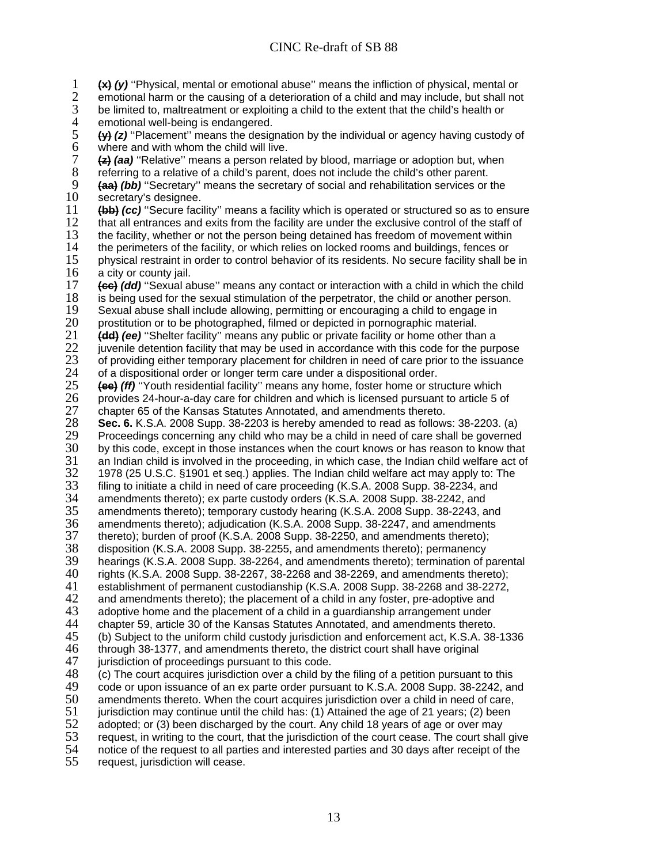1 **(x)** *(y)* ''Physical, mental or emotional abuse'' means the infliction of physical, mental or 2 emotional harm or the causing of a deterioration of a child and may include, but shall not  $3$  be limited to, maltreatment or exploiting a child to the extent that the child's health or 3 be limited to, maltreatment or exploiting a child to the extent that the child's health or emotional well-being is endangered. 4 emotional well-being is endangered.<br>5  $\leftrightarrow$  (z) "Placement" means the desig 5 **(y) (z)** "Placement" means the designation by the individual or agency having custody of where and with whom the child will live. 6 where and with whom the child will live.<br>7  $\left( \frac{1}{2} \right)$  (aa) "Relative" means a person relat 7 **(z)** *(aa)* ''Relative'' means a person related by blood, marriage or adoption but, when referring to a relative of a child's parent, does not include the child's other parent. 9 **(aa)** *(bb)* ''Secretary'' means the secretary of social and rehabilitation services or the 10 secretary's designee.<br>11 **(bb) (cc)** "Secure faci 11 **(bb)** *(cc)* "Secure facility" means a facility which is operated or structured so as to ensure 12 that all entrances and exits from the facility are under the exclusive control of the staff of 12 that all entrances and exits from the facility are under the exclusive control of the staff of 13 the facility, whether or not the person being detained has freedom of movement within 13 the facility, whether or not the person being detained has freedom of movement within 14 the perimeters of the facility, or which relies on locked rooms and buildings, fences or 14 the perimeters of the facility, or which relies on locked rooms and buildings, fences or 15 oblysical restraint in order to control behavior of its residents. No secure facility shall be 15 physical restraint in order to control behavior of its residents. No secure facility shall be in<br>16 a city or county jail.

a city or county jail.

17 **(ee) (dd)** "Sexual abuse" means any contact or interaction with a child in which the child<br>18 is being used for the sexual stimulation of the perpetrator, the child or another person. 18 is being used for the sexual stimulation of the perpetrator, the child or another person.<br>19 Sexual abuse shall include allowing, permitting or encouraging a child to engage in

19 Sexual abuse shall include allowing, permitting or encouraging a child to engage in 20 prostitution or to be photographed, filmed or depicted in pornographic material.

20 prostitution or to be photographed, filmed or depicted in pornographic material.<br>21 **(dd) (ee)** "Shelter facility" means any public or private facility or home other tha

21 **(dd) (ee)** "Shelter facility" means any public or private facility or home other than a<br>22 juvenile detention facility that may be used in accordance with this code for the purp

22 juvenile detention facility that may be used in accordance with this code for the purpose  $23$  of providing either temporary placement for children in need of care prior to the issuance 23 of providing either temporary placement for children in need of care prior to the issuance<br>24 of a dispositional order or longer term care under a dispositional order.

24 of a dispositional order or longer term care under a dispositional order.<br>25 **(ee) (ff)** "Youth residential facility" means any home, foster home or street 25 **(ee)** *(ff)* ''Youth residential facility'' means any home, foster home or structure which 26 provides 24-hour-a-day care for children and which is licensed pursuant to article 5 of 27 chapter 65 of the Kansas Statutes Annotated, and amendments thereto.

27 chapter 65 of the Kansas Statutes Annotated, and amendments thereto.<br>28 **Sec. 6.** K.S.A. 2008 Supp. 38-2203 is hereby amended to read as follow

28 **Sec. 6.** K.S.A. 2008 Supp. 38-2203 is hereby amended to read as follows: 38-2203. (a) 29 Proceedings concerning any child who may be a child in need of care shall be governed<br>30 by this code, except in those instances when the court knows or has reason to know that

30 by this code, except in those instances when the court knows or has reason to know that 31 an Indian child is involved in the proceeding, in which case, the Indian child welfare act of

31 an Indian child is involved in the proceeding, in which case, the Indian child welfare act of 32 1978 (25 U.S.C. §1901 et seq.) applies. The Indian child welfare act may apply to: The 32 1978 (25 U.S.C. §1901 et seq.) applies. The Indian child welfare act may apply to: The

33 filing to initiate a child in need of care proceeding (K.S.A. 2008 Supp. 38-2234, and

34 amendments thereto); ex parte custody orders (K.S.A. 2008 Supp. 38-2242, and 35 amendments thereto); temporary custody hearing (K.S.A. 2008 Supp. 38-2243, a

35 amendments thereto); temporary custody hearing (K.S.A. 2008 Supp. 38-2243, and

36 amendments thereto); adjudication (K.S.A. 2008 Supp. 38-2247, and amendments

37 thereto); burden of proof (K.S.A. 2008 Supp. 38-2250, and amendments thereto);

38 disposition (K.S.A. 2008 Supp. 38-2255, and amendments thereto); permanency

39 hearings (K.S.A. 2008 Supp. 38-2264, and amendments thereto); termination of parental 40 rights (K.S.A. 2008 Supp. 38-2267, 38-2268 and 38-2269, and amendments thereto);

40 rights (K.S.A. 2008 Supp. 38-2267, 38-2268 and 38-2269, and amendments thereto);<br>41 establishment of permanent custodianship (K.S.A. 2008 Supp. 38-2268 and 38-2272,

41 establishment of permanent custodianship (K.S.A. 2008 Supp. 38-2268 and 38-2272, 42 and amendments thereto); the placement of a child in any foster, pre-adoptive and 43 adoptive home and the placement of a child in a guardianship arrangement under

43 adoptive home and the placement of a child in a guardianship arrangement under<br>44 chapter 59, article 30 of the Kansas Statutes Annotated, and amendments thereto.

44 chapter 59, article 30 of the Kansas Statutes Annotated, and amendments thereto.<br>45 (b) Subject to the uniform child custody jurisdiction and enforcement act, K.S.A. 38

45 (b) Subject to the uniform child custody jurisdiction and enforcement act, K.S.A. 38-1336

46 through 38-1377, and amendments thereto, the district court shall have original 47 iurisdiction of proceedings pursuant to this code.

47 jurisdiction of proceedings pursuant to this code.<br>48 (c) The court acquires jurisdiction over a child by

48 (c) The court acquires jurisdiction over a child by the filing of a petition pursuant to this

49 code or upon issuance of an ex parte order pursuant to K.S.A. 2008 Supp. 38-2242, and<br>50 amendments thereto. When the court acquires jurisdiction over a child in need of care. amendments thereto. When the court acquires jurisdiction over a child in need of care,

51 jurisdiction may continue until the child has: (1) Attained the age of 21 years; (2) been<br>52 adopted; or (3) been discharged by the court. Any child 18 years of age or over may

52 adopted; or (3) been discharged by the court. Any child 18 years of age or over may<br>53 request, in writing to the court, that the jurisdiction of the court cease. The court shall

53 request, in writing to the court, that the jurisdiction of the court cease. The court shall give<br>54 notice of the request to all parties and interested parties and 30 days after receipt of the 54 notice of the request to all parties and interested parties and 30 days after receipt of the 55 request, jurisdiction will cease.

request, jurisdiction will cease.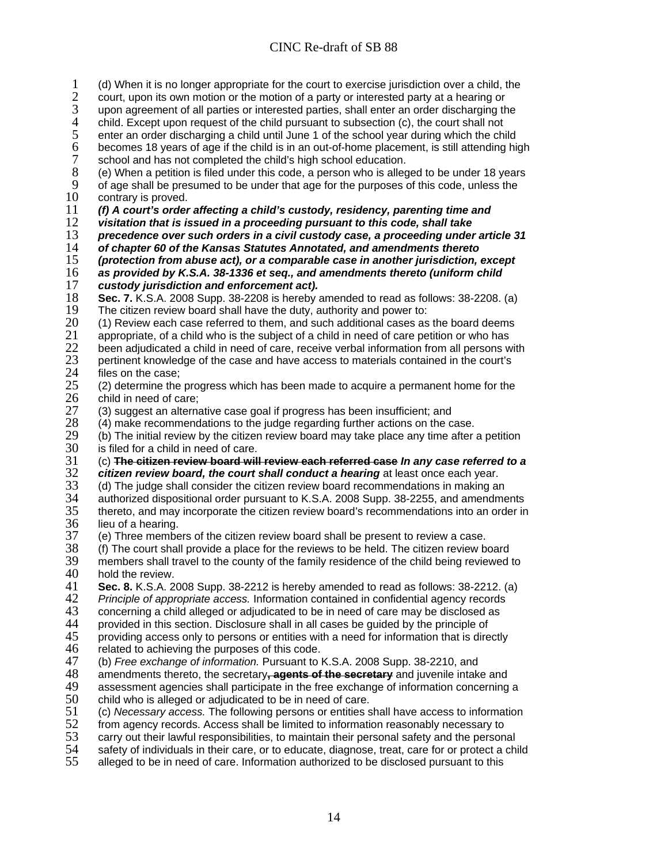- 1 (d) When it is no longer appropriate for the court to exercise jurisdiction over a child, the court, upon its own motion or the motion of a party or interested party at a hearing or
- 2 court, upon its own motion or the motion of a party or interested party at a hearing or
- 3 upon agreement of all parties or interested parties, shall enter an order discharging the<br>4 child. Except upon request of the child pursuant to subsection (c), the court shall not
- 4 child. Except upon request of the child pursuant to subsection (c), the court shall not<br>5 enter an order discharging a child until June 1 of the school year during which the chi
- 5 enter an order discharging a child until June 1 of the school year during which the child
- 6 becomes 18 years of age if the child is in an out-of-home placement, is still attending high 7 school and has not completed the child's high school education.<br>8 (e) When a petition is filed under this code, a person who is alled
- 8 (e) When a petition is filed under this code, a person who is alleged to be under 18 years
- 9 of age shall be presumed to be under that age for the purposes of this code, unless the  $10$  contrary is proved. 10 contrary is proved.<br>11 **(f) A court's order**
- 11 *(f) A court's order affecting a child's custody, residency, parenting time and*
- 12 *visitation that is issued in a proceeding pursuant to this code, shall take*
- 13 *precedence over such orders in a civil custody case, a proceeding under article 31*
- 14 *of chapter 60 of the Kansas Statutes Annotated, and amendments thereto*
- 15 *(protection from abuse act), or a comparable case in another jurisdiction, except*  16 *as provided by K.S.A. 38-1336 et seq., and amendments thereto (uniform child*
- 17 *custody jurisdiction and enforcement act).*
- 18 **Sec. 7.** K.S.A. 2008 Supp. 38-2208 is hereby amended to read as follows: 38-2208. (a) 19 The citizen review board shall have the duty, authority and power to:
- 19 The citizen review board shall have the duty, authority and power to:<br>20 (1) Review each case referred to them, and such additional cases as
- 20 (1) Review each case referred to them, and such additional cases as the board deems  $21$  appropriate, of a child who is the subject of a child in need of care petition or who has
- 21 appropriate, of a child who is the subject of a child in need of care petition or who has  $22$  been adjudicated a child in need of care, receive verbal information from all persons w
- 22 been adjudicated a child in need of care, receive verbal information from all persons with  $23$  pertinent knowledge of the case and have access to materials contained in the court's 23 pertinent knowledge of the case and have access to materials contained in the court's 24 files on the case;
- 24 files on the case;<br>25 (2) determine the
- 25 (2) determine the progress which has been made to acquire a permanent home for the  $26$  child in need of care: 26 child in need of care;<br>27 (3) suggest an alterna
- 27 (3) suggest an alternative case goal if progress has been insufficient; and <br>28 (4) make recommendations to the judge regarding further actions on the c
- 
- 28 (4) make recommendations to the judge regarding further actions on the case.<br>29 (b) The initial review by the citizen review board may take place any time after 29 (b) The initial review by the citizen review board may take place any time after a petition  $30$  is filed for a child in need of care.
- $30$  is filed for a child in need of care.<br> $31$  (c) The citizen review board will
- 31 (c) **The citizen review board will review each referred case** *In any case referred to a*
- 32 **citizen review board, the court shall conduct a hearing** at least once each year.<br>33 (d) The judge shall consider the citizen review board recommendations in making ar
- 33 (d) The judge shall consider the citizen review board recommendations in making an 34 authorized dispositional order pursuant to K.S.A. 2008 Supp. 38-2255, and amendme
- 34 authorized dispositional order pursuant to K.S.A. 2008 Supp. 38-2255, and amendments<br>35 thereto, and may incorporate the citizen review board's recommendations into an order in 35 thereto, and may incorporate the citizen review board's recommendations into an order in<br>36 lieu of a hearing.
- 36 lieu of a hearing.<br>37 (e) Three membe  $37$  (e) Three members of the citizen review board shall be present to review a case.<br> $38$  (f) The court shall provide a place for the reviews to be held. The citizen review b
- 38 (f) The court shall provide a place for the reviews to be held. The citizen review board
- 39 members shall travel to the county of the family residence of the child being reviewed to <br>40 bold the review. 40 hold the review.<br>41 **Sec. 8.** K.S.A. 20
- 41 **Sec. 8.** K.S.A. 2008 Supp. 38-2212 is hereby amended to read as follows: 38-2212. (a)
- 42 *Principle of appropriate access.* Information contained in confidential agency records
- 43 concerning a child alleged or adjudicated to be in need of care may be disclosed as<br>44 provided in this section. Disclosure shall in all cases be guided by the principle of
- 44 provided in this section. Disclosure shall in all cases be guided by the principle of 45 providing access only to persons or entities with a need for information that is dire
- 45 providing access only to persons or entities with a need for information that is directly<br>46 related to achieving the purposes of this code.
- 46 related to achieving the purposes of this code.<br>47 (b) Free exchange of information. Pursuant to I
- 47 (b) *Free exchange of information.* Pursuant to K.S.A. 2008 Supp. 38-2210, and
- 48 amendments thereto, the secretary**, agents of the secretary** and juvenile intake and 49 assessment agencies shall participate in the free exchange of information concerning a<br>50 child who is alleged or adjudicated to be in need of care.
- child who is alleged or adjudicated to be in need of care.
- 
- 51 (c) *Necessary access.* The following persons or entities shall have access to information
- 52 from agency records. Access shall be limited to information reasonably necessary to<br>53 carry out their lawful responsibilities, to maintain their personal safety and the person
- 53 carry out their lawful responsibilities, to maintain their personal safety and the personal 54 safety of individuals in their care, or to educate, diagnose, treat, care for or protect a ch 54 safety of individuals in their care, or to educate, diagnose, treat, care for or protect a child<br>55 alleged to be in need of care. Information authorized to be disclosed pursuant to this
- alleged to be in need of care. Information authorized to be disclosed pursuant to this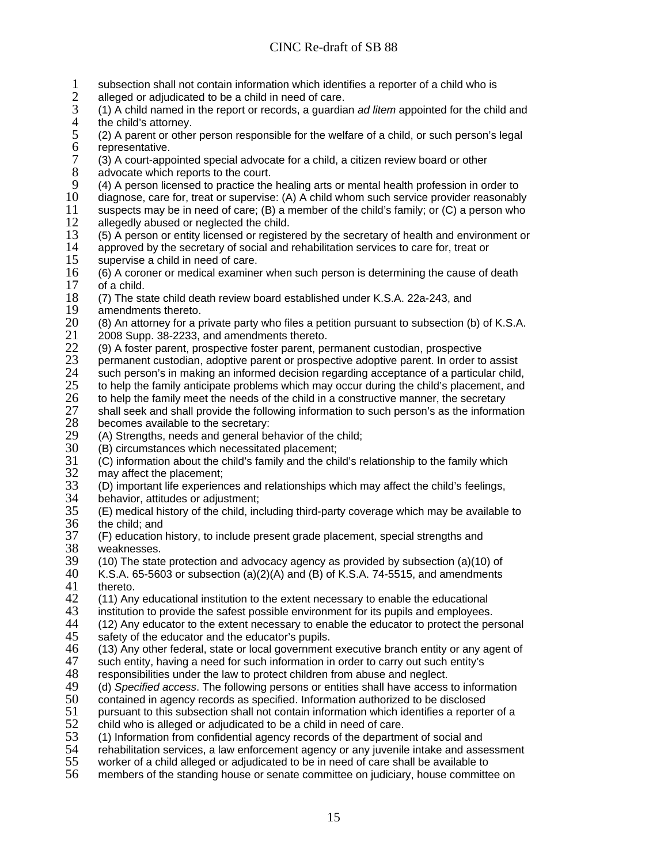- 1 subsection shall not contain information which identifies a reporter of a child who is alleged or adjudicated to be a child in need of care.
- 2 alleged or adjudicated to be a child in need of care.<br>3  $(1)$  A child named in the report or records, a quardia
- 3 (1) A child named in the report or records, a guardian *ad litem* appointed for the child and
- 4 the child's attorney.<br>5  $(2)$  A parent or other 5 (2) A parent or other person responsible for the welfare of a child, or such person's legal representative. 6 representative.<br>7 (3) A court-appe
- 7 (3) A court-appointed special advocate for a child, a citizen review board or other
- advocate which reports to the court.
- 9 (4) A person licensed to practice the healing arts or mental health profession in order to 10 diagnose, care for, treat or supervise: (A) A child whom such service provider reasonable
- 10 diagnose, care for, treat or supervise: (A) A child whom such service provider reasonably<br>11 suspects may be in need of care: (B) a member of the child's family: or (C) a person who 11 suspects may be in need of care;  $(B)$  a member of the child's family; or  $(C)$  a person who <br>12 allegedly abused or neglected the child.
- 
- 12 allegedly abused or neglected the child.<br>13 (5) A person or entity licensed or registe 13 (5) A person or entity licensed or registered by the secretary of health and environment or 14 approved by the secretary of social and rehabilitation services to care for, treat or

# 14 approved by the secretary of social and rehabilitation services to care for, treat or  $15$  supervise a child in need of care.

- 15 supervise a child in need of care.<br>16 (6) A coroner or medical examine
- 16 (6) A coroner or medical examiner when such person is determining the cause of death 17 of a child.<br>18 (7) The sta
- 18 (7) The state child death review board established under K.S.A. 22a-243, and 19 amendments thereto.
- 19 amendments thereto.<br>20  $(8)$  An attorney for a p
- 20 (8) An attorney for a private party who files a petition pursuant to subsection (b) of K.S.A.<br>21 2008 Supp. 38-2233, and amendments thereto.
- 21 2008 Supp. 38-2233, and amendments thereto.<br>22 (9) A foster parent, prospective foster parent, pe
- 22 (9) A foster parent, prospective foster parent, permanent custodian, prospective<br>23 permanent custodian, adoptive parent or prospective adoptive parent. In order to
- 23 permanent custodian, adoptive parent or prospective adoptive parent. In order to assist<br>24 such person's in making an informed decision regarding acceptance of a particular child
- 24 such person's in making an informed decision regarding acceptance of a particular child,<br>25 to help the family anticipate problems which may occur during the child's placement, and
- 25 to help the family anticipate problems which may occur during the child's placement, and  $26$  to help the family meet the needs of the child in a constructive manner, the secretary
- 26 to help the family meet the needs of the child in a constructive manner, the secretary<br>27 shall seek and shall provide the following information to such person's as the informa 27 shall seek and shall provide the following information to such person's as the information 28 becomes available to the secretary:
- 28 becomes available to the secretary:<br>29 (A) Strengths, needs and general be 29 (A) Strengths, needs and general behavior of the child;<br>30 (B) circumstances which necessitated placement;
- 30 (B) circumstances which necessitated placement;<br>31 (C) information about the child's family and the chi
- $31$  (C) information about the child's family and the child's relationship to the family which  $32$  may affect the placement;
- 32 may affect the placement;<br>33 (D) important life experienc
- 33 (D) important life experiences and relationships which may affect the child's feelings,
- 34 behavior, attitudes or adjustment;<br>35 (E) medical history of the child, inc
- $35$  (E) medical history of the child, including third-party coverage which may be available to  $36$  the child: and  $36$  the child; and  $37$  (F) education
- 37 (F) education history, to include present grade placement, special strengths and
- 38 weaknesses.<br>39 (10) The state
- 39 (10) The state protection and advocacy agency as provided by subsection (a)(10) of 40 K.S.A. 65-5603 or subsection (a)(2)(A) and (B) of K.S.A. 74-5515, and amendments  $41$  thereto.
- 41 thereto.<br>42 (11) Any
- 42 (11) Any educational institution to the extent necessary to enable the educational 43 institution to provide the safest possible environment for its pupils and employees.
- 43 institution to provide the safest possible environment for its pupils and employees.<br>44 (12) Any educator to the extent necessary to enable the educator to protect the pe 44 (12) Any educator to the extent necessary to enable the educator to protect the personal 45 safety of the educator and the educator's pupils.
- 45 safety of the educator and the educator's pupils.<br>46 (13) Any other federal, state or local government
- 46 (13) Any other federal, state or local government executive branch entity or any agent of 47 such entity's
- 47 such entity, having a need for such information in order to carry out such entity's 48 responsibilities under the law to protect children from abuse and neglect.
- 48 responsibilities under the law to protect children from abuse and neglect.<br>49 (d) Specified access. The following persons or entities shall have access
- 49 (d) *Specified access*. The following persons or entities shall have access to information
- 50 contained in agency records as specified. Information authorized to be disclosed
- 51 pursuant to this subsection shall not contain information which identifies a reporter of a<br>52 child who is alleged or adjudicated to be a child in need of care.
- 
- 52 child who is alleged or adjudicated to be a child in need of care.<br>53 (1) Information from confidential agency records of the departme 53 (1) Information from confidential agency records of the department of social and<br>54 rehabilitation services, a law enforcement agency or any juvenile intake and asse
- 54 rehabilitation services, a law enforcement agency or any juvenile intake and assessment<br>55 worker of a child alleged or adjudicated to be in need of care shall be available to
- 55 worker of a child alleged or adjudicated to be in need of care shall be available to 56 members of the standing house or senate committed on judiciary, house committed
- members of the standing house or senate committee on judiciary, house committee on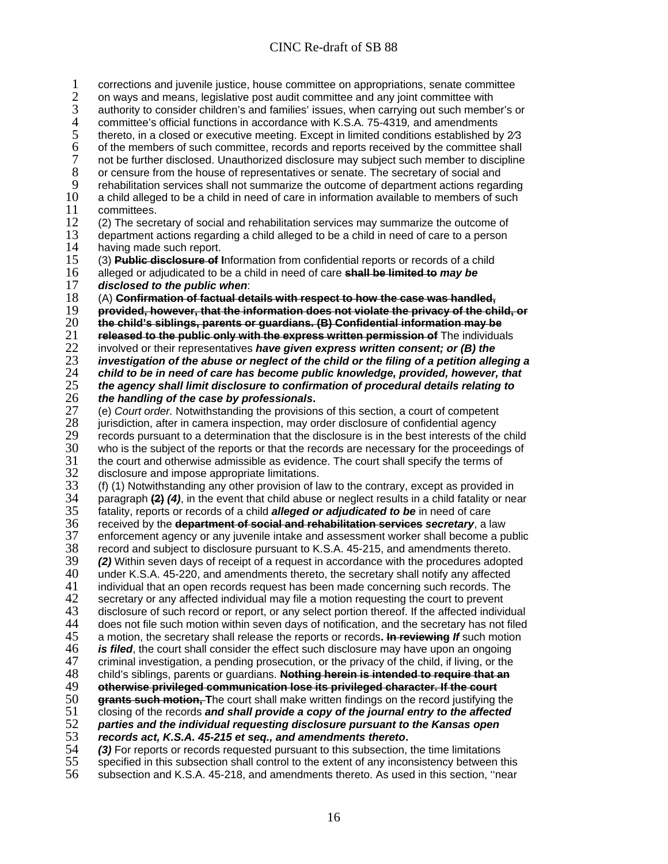- 1 corrections and juvenile justice, house committee on appropriations, senate committee<br>2 on ways and means, legislative post audit committee and any joint committee with
- $2$  on ways and means, legislative post audit committee and any joint committee with  $3$  authority to consider children's and families' issues, when carrying out such membe
- 3 authority to consider children's and families' issues, when carrying out such member's or<br>4 committee's official functions in accordance with K.S.A. 75-4319, and amendments
- 4 committee's official functions in accordance with K.S.A. 75-4319*,* and amendments thereto, in a closed or executive meeting. Except in limited conditions established by 2/3
- 
- 6 of the members of such committee, records and reports received by the committee shall
- 7 not be further disclosed. Unauthorized disclosure may subject such member to discipline<br>8 or censure from the house of representatives or senate. The secretary of social and or censure from the house of representatives or senate. The secretary of social and
- 9 rehabilitation services shall not summarize the outcome of department actions regarding<br>10 a child alleged to be a child in need of care in information available to members of such
- $10$  a child alleged to be a child in need of care in information available to members of such  $11$  committees.
- 11 committees.<br>12 (2) The secre 12 (2) The secretary of social and rehabilitation services may summarize the outcome of 13 department actions regarding a child alleged to be a child in need of care to a person
- 13 department actions regarding a child alleged to be a child in need of care to a person<br>14 having made such report. 14 having made such report.<br>15 (3) Public disclosure of I
- 15 (3) **Public disclosure of I**nformation from confidential reports or records of a child
- 16 alleged or adjudicated to be a child in need of care **shall be limited to** *may be*
- 17 *disclosed to the public when*: 18 (A) **Confirmation of factual details with respect to how the case was handled,**
- 19 **provided, however, that the information does not violate the privacy of the child, or**
- 20 **the child's siblings, parents or guardians. (B) Confidential information may be**
- 21 **released to the public only with the express written permission of** The individuals <br>22 involved or their representatives *have given express written consent; or (B) the*
- 22 involved or their representatives *have given express written consent; or (B) the*  $23$  *investigation of the abuse or neglect of the child or the filing of a petition alle*
- 23 *investigation of the abuse or neglect of the child or the filing of a petition alleging a*
- 24 *child to be in need of care has become public knowledge, provided, however, that*
- 25 *the agency shall limit disclosure to confirmation of procedural details relating to*
- 26 *the handling of the case by professionals***.**
- 27 (e) *Court order.* Notwithstanding the provisions of this section, a court of competent 28 jurisdiction, after in camera inspection, may order disclosure of confidential agency<br>29 records pursuant to a determination that the disclosure is in the best interests of the 29 records pursuant to a determination that the disclosure is in the best interests of the child<br>30 who is the subject of the reports or that the records are necessary for the proceedings of 30 who is the subject of the reports or that the records are necessary for the proceedings of 31 the court and otherwise admissible as evidence. The court shall specify the terms of  $31$  the court and otherwise admissible as evidence. The court shall specify the terms of disclosure and impose appropriate limitations.
- 32 disclosure and impose appropriate limitations.<br>33 (f) (1) Notwithstanding any other provision of la 33 (f) (1) Notwithstanding any other provision of law to the contrary, except as provided in  $34$  paragraph  $(2)$  (4), in the event that child abuse or neglect results in a child fatality or ne
- 34 paragraph **(2)** *(4)*, in the event that child abuse or neglect results in a child fatality or near
- 35 fatality, reports or records of a child *alleged or adjudicated to be* in need of care
- 36 received by the **department of social and rehabilitation services** *secretary*, a law
- 37 enforcement agency or any juvenile intake and assessment worker shall become a public<br>38 record and subject to disclosure pursuant to K.S.A. 45-215, and amendments thereto. 38 record and subject to disclosure pursuant to K.S.A. 45-215, and amendments thereto.<br>39 **(2)** Within seven days of receipt of a request in accordance with the procedures adopte
- **(2)** Within seven days of receipt of a request in accordance with the procedures adopted 40 under K.S.A. 45-220, and amendments thereto, the secretary shall notify any affected
- 40 under K.S.A. 45-220, and amendments thereto, the secretary shall notify any affected 41 individual that an open records request has been made concerning such records. The
- 41 individual that an open records request has been made concerning such records. The 42 secretary or any affected individual may file a motion requesting the court to prevent
- 42 secretary or any affected individual may file a motion requesting the court to prevent 43 disclosure of such record or report, or any select portion thereof. If the affected individed
- 43 disclosure of such record or report, or any select portion thereof. If the affected individual<br>44 does not file such motion within seven days of notification, and the secretary has not filed
- 44 does not file such motion within seven days of notification, and the secretary has not filed  $45$  a motion, the secretary shall release the reports or records. **In reviewing** *If* such motion 45 a motion, the secretary shall release the reports or records**. In reviewing** *If* such motion
- **46** *is filed*, the court shall consider the effect such disclosure may have upon an ongoing 47 criminal investigation, a pending prosecution, or the privacy of the child, if living, or the
- 47 criminal investigation, a pending prosecution, or the privacy of the child, if living, or the 48 child's siblings, parents or quardians. Nothing herein is intended to require that an
- 48 child's siblings, parents or guardians. **Nothing herein is intended to require that an**
- 49 **otherwise privileged communication lose its privileged character. If the court**
- **grants such motion.** The court shall make written findings on the record justifying the
- 51 closing of the records *and shall provide a copy of the journal entry to the affected*
- 52 *parties and the individual requesting disclosure pursuant to the Kansas open*
- 53 *records act, K.S.A. 45-215 et seq., and amendments thereto***.**
- 54 **(3)** For reports or records requested pursuant to this subsection, the time limitations<br>55 specified in this subsection shall control to the extent of any inconsistency between t
- 55 specified in this subsection shall control to the extent of any inconsistency between this<br>56 subsection and K.S.A. 45-218, and amendments thereto. As used in this section, "near subsection and K.S.A. 45-218, and amendments thereto. As used in this section, "near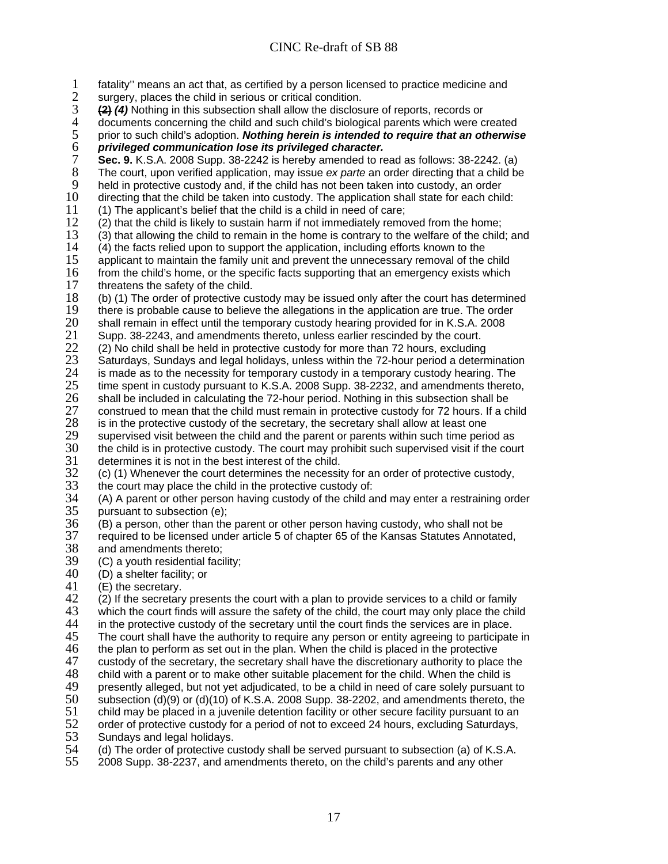1 fatality" means an act that, as certified by a person licensed to practice medicine and<br>2 surgery, places the child in serious or critical condition. 2 surgery, places the child in serious or critical condition.<br>3  $(2)$  (4) Nothing in this subsection shall allow the disclos 3 **(2)** *(4)* Nothing in this subsection shall allow the disclosure of reports, records or 4 documents concerning the child and such child's biological parents which were created<br>5 prior to such child's adoption. **Nothing herein is intended to require that an otherwis** 5 prior to such child's adoption. **Nothing herein is intended to require that an otherwise**<br>6 **privileged communication lose its privileged character.** 6 *privileged communication lose its privileged character.*  **Sec. 9.** K.S.A. 2008 Supp. 38-2242 is hereby amended to read as follows: 38-2242. (a)<br>8 The court, upon verified application, may issue ex parte an order directing that a child be 8 The court, upon verified application, may issue *ex parte* an order directing that a child be 9 held in protective custody and, if the child has not been taken into custody, an order<br>10 directing that the child be taken into custody. The application shall state for each chil 10 directing that the child be taken into custody. The application shall state for each child:<br>11 (1) The applicant's belief that the child is a child in need of care: 11 (1) The applicant's belief that the child is a child in need of care;<br>12 (2) that the child is likely to sustain harm if not immediately remo 12 (2) that the child is likely to sustain harm if not immediately removed from the home;<br>13 (3) that allowing the child to remain in the home is contrary to the welfare of the child 13 (3) that allowing the child to remain in the home is contrary to the welfare of the child; and 14 (4) the facts relied upon to support the application, including efforts known to the 14 (4) the facts relied upon to support the application, including efforts known to the 15 applicant to maintain the family unit and prevent the unnecessary removal of the 15 applicant to maintain the family unit and prevent the unnecessary removal of the child<br>16 from the child's home, or the specific facts supporting that an emergency exists which from the child's home, or the specific facts supporting that an emergency exists which 17 threatens the safety of the child.<br>18 (b) (1) The order of protective cu 18 (b) (1) The order of protective custody may be issued only after the court has determined 19 there is probable cause to believe the allegations in the application are true. The order 19 there is probable cause to believe the allegations in the application are true. The order 10<br>20 shall remain in effect until the temporary custody hearing provided for in K.S.A. 2008 20 shall remain in effect until the temporary custody hearing provided for in K.S.A. 2008<br>21 Supp. 38-2243, and amendments thereto, unless earlier rescinded by the court. 21 Supp. 38-2243, and amendments thereto, unless earlier rescinded by the court.<br>22 (2) No child shall be held in protective custody for more than 72 hours, excluding 22 (2) No child shall be held in protective custody for more than 72 hours, excluding  $23$  Saturdays, Sundays and legal holidays, unless within the 72-hour period a determ 23 Saturdays, Sundays and legal holidays, unless within the 72-hour period a determination<br>24 is made as to the necessity for temporary custody in a temporary custody hearing. The 24 is made as to the necessity for temporary custody in a temporary custody hearing. The<br>25 time spent in custody pursuant to K.S.A. 2008 Supp. 38-2232, and amendments thereto 25 time spent in custody pursuant to K.S.A. 2008 Supp. 38-2232, and amendments thereto,<br>26 shall be included in calculating the 72-hour period. Nothing in this subsection shall be 26 shall be included in calculating the 72-hour period. Nothing in this subsection shall be<br>27 construed to mean that the child must remain in protective custody for 72 hours. If a c 27 construed to mean that the child must remain in protective custody for 72 hours. If a child  $28$  is in the protective custody of the secretary, the secretary shall allow at least one 28 is in the protective custody of the secretary, the secretary shall allow at least one<br>29 supervised visit between the child and the parent or parents within such time perio 29 supervised visit between the child and the parent or parents within such time period as<br>30 the child is in protective custody. The court may prohibit such supervised visit if the cou 30 the child is in protective custody. The court may prohibit such supervised visit if the court 31 determines it is not in the best interest of the child. 31 determines it is not in the best interest of the child.<br>32 (c) (1) Whenever the court determines the necessit  $32$  (c) (1) Whenever the court determines the necessity for an order of protective custody,<br> $33$  the court may place the child in the protective custody of:

- 33 the court may place the child in the protective custody of:<br>34 (A) A parent or other person having custody of the child a  $34$  (A) A parent or other person having custody of the child and may enter a restraining order  $35$  pursuant to subsection (e);
- $35$  pursuant to subsection (e);<br> $36$  (B) a person, other than the 36 (B) a person, other than the parent or other person having custody, who shall not be
- 37 required to be licensed under article 5 of chapter 65 of the Kansas Statutes Annotated,<br>38 and amendments thereto;
- 38 and amendments thereto;<br>39 (C) a vouth residential faci
- $39$  (C) a youth residential facility;<br> $40$  (D) a shelter facility: or
- $40$  (D) a shelter facility; or  $41$  (E) the secretary.
- $41$  (E) the secretary.<br> $42$  (2) If the secretary
- $42$  (2) If the secretary presents the court with a plan to provide services to a child or family  $43$  which the court finds will assure the safety of the child, the court may only place the child
- 43 which the court finds will assure the safety of the child, the court may only place the child<br>44 in the protective custody of the secretary until the court finds the services are in place.
- 44 in the protective custody of the secretary until the court finds the services are in place.<br>45 The court shall have the authority to require any person or entity agreeing to participate
- 45 The court shall have the authority to require any person or entity agreeing to participate in 46 the plan to perform as set out in the plan. When the child is placed in the protective
- 46 the plan to perform as set out in the plan. When the child is placed in the protective<br>47 custody of the secretary, the secretary shall have the discretionary authority to place
- 47 custody of the secretary, the secretary shall have the discretionary authority to place the 48 child with a parent or to make other suitable placement for the child is
- 48 child with a parent or to make other suitable placement for the child. When the child is<br>49 oresently alleged, but not vet adiudicated, to be a child in need of care solely pursuant
- 49 presently alleged, but not yet adjudicated, to be a child in need of care solely pursuant to  $50$  subsection (d)(9) or (d)(10) of K.S.A. 2008 Supp. 38-2202, and amendments thereto, the
- 50 subsection (d)(9) or (d)(10) of K.S.A. 2008 Supp. 38-2202, and amendments thereto, the
- 51 child may be placed in a juvenile detention facility or other secure facility pursuant to an 52 order of protective custody for a period of not to exceed 24 hours, excluding Saturdays, 52 order of protective custody for a period of not to exceed 24 hours, excluding Saturdays,<br>53 Sundays and legal holidays.
- 
- 53 Sundays and legal holidays.<br>54 (d) The order of protective cu 54 (d) The order of protective custody shall be served pursuant to subsection (a) of K.S.A.<br>55 2008 Supp. 38-2237, and amendments thereto, on the child's parents and any other
- 2008 Supp. 38-2237, and amendments thereto, on the child's parents and any other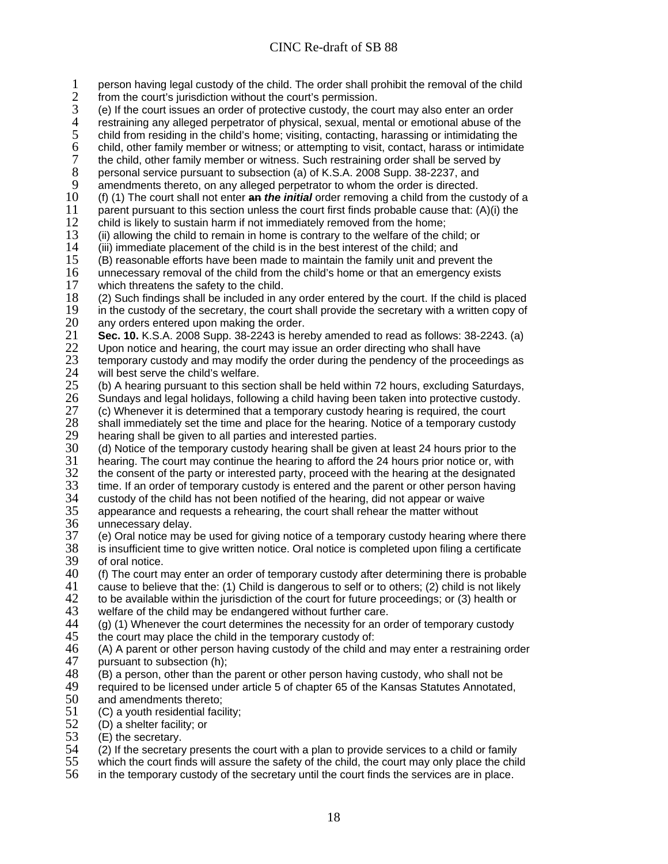- 1 person having legal custody of the child. The order shall prohibit the removal of the child<br>2 from the court's jurisdiction without the court's permission.
- 2 from the court's jurisdiction without the court's permission.<br>3 (e) If the court issues an order of protective custody, the co
- 3 (e) If the court issues an order of protective custody, the court may also enter an order
- 4 restraining any alleged perpetrator of physical, sexual, mental or emotional abuse of the<br>5 child from residing in the child's home; visiting, contacting, harassing or intimidating the
- 5 child from residing in the child's home; visiting, contacting, harassing or intimidating the
- 6 child, other family member or witness; or attempting to visit, contact, harass or intimidate the child, other family member or witness. Such restraining order shall be served by
- 7 the child, other family member or witness. Such restraining order shall be served by<br>8 personal service pursuant to subsection (a) of K.S.A. 2008 Supp. 38-2237, and
- 8 personal service pursuant to subsection (a) of K.S.A. 2008 Supp. 38-2237, and
- 9 amendments thereto, on any alleged perpetrator to whom the order is directed.<br>10 (f) (1) The court shall not enter **an the initial** order removing a child from the cu
- 10 (f) (1) The court shall not enter **an** *the initial* order removing a child from the custody of a
- 11 parent pursuant to this section unless the court first finds probable cause that:  $(A)(i)$  the <br>12 child is likely to sustain harm if not immediately removed from the home:
- 12 child is likely to sustain harm if not immediately removed from the home;<br>13 (ii) allowing the child to remain in home is contrary to the welfare of the c
- 13 (ii) allowing the child to remain in home is contrary to the welfare of the child; or 14 (iii) immediate placement of the child is in the best interest of the child; and
- 14 (iii) immediate placement of the child is in the best interest of the child; and<br>15 (B) reasonable efforts have been made to maintain the family unit and preve
- 15 (B) reasonable efforts have been made to maintain the family unit and prevent the 16 unnecessary removal of the child from the child's home or that an emergency exist
- unnecessary removal of the child from the child's home or that an emergency exists
- 17 which threatens the safety to the child.<br>18 (2) Such findings shall be included in a
- 18 (2) Such findings shall be included in any order entered by the court. If the child is placed 19 in the custody of the secretary, the court shall provide the secretary with a written copy of
- 19 in the custody of the secretary, the court shall provide the secretary with a written copy of  $20$  any orders entered upon making the order. 20 any orders entered upon making the order.<br>21 **Sec. 10.** K.S.A. 2008 Supp. 38-2243 is here
- 21 **Sec. 10.** K.S.A. 2008 Supp. 38-2243 is hereby amended to read as follows: 38-2243. (a)<br>22 Upon notice and hearing, the court may issue an order directing who shall have
- 22 Upon notice and hearing, the court may issue an order directing who shall have  $23$  temporary custody and may modify the order during the pendency of the procee
- 23 temporary custody and may modify the order during the pendency of the proceedings as 24 will best serve the child's welfare. 24 will best serve the child's welfare.<br>25 (b) A hearing pursuant to this sect
- 25 (b) A hearing pursuant to this section shall be held within 72 hours, excluding Saturdays,<br>26 Sundays and legal holidays, following a child having been taken into protective custody.
- 26 Sundays and legal holidays, following a child having been taken into protective custody.<br>27 (c) Whenever it is determined that a temporary custody hearing is required, the court
- 27 (c) Whenever it is determined that a temporary custody hearing is required, the court 28 shall immediately set the time and place for the hearing. Notice of a temporary custod
- 28 shall immediately set the time and place for the hearing. Notice of a temporary custody<br>29 hearing shall be given to all parties and interested parties.
- 29 hearing shall be given to all parties and interested parties.<br>30 (d) Notice of the temporary custody hearing shall be given 30 (d) Notice of the temporary custody hearing shall be given at least 24 hours prior to the 31 hearing. The court may continue the hearing to afford the 24 hours prior notice or, with
- 31 hearing. The court may continue the hearing to afford the 24 hours prior notice or, with 32 the consent of the party or interested party, proceed with the hearing at the designated
- 32 the consent of the party or interested party, proceed with the hearing at the designated<br>33 time. If an order of temporary custody is entered and the parent or other person having
- 33 time. If an order of temporary custody is entered and the parent or other person having<br>34 custody of the child has not been notified of the hearing, did not appear or waive
- 34 custody of the child has not been notified of the hearing, did not appear or waive<br>35 appearance and requests a rehearing, the court shall rehear the matter without  $35$  appearance and requests a rehearing, the court shall rehear the matter without  $36$  unnecessary delay. 36 unnecessary delay.<br>37 (e) Oral notice may
- 37 (e) Oral notice may be used for giving notice of a temporary custody hearing where there<br>38 is insufficient time to give written notice. Oral notice is completed upon filing a certificate
- 38 is insufficient time to give written notice. Oral notice is completed upon filing a certificate 39 of oral notice.<br>40 (f) The court n
- 40 (f) The court may enter an order of temporary custody after determining there is probable  $41$  cause to believe that the: (1) Child is dangerous to self or to others; (2) child is not likely
- 41 cause to believe that the: (1) Child is dangerous to self or to others; (2) child is not likely<br>42 to be available within the iurisdiction of the court for future proceedings: or (3) health or
- 42 to be available within the jurisdiction of the court for future proceedings; or (3) health or  $43$  welfare of the child may be endangered without further care. 43 welfare of the child may be endangered without further care.<br>44 (g) (1) Whenever the court determines the necessity for an or
- 44 (g) (1) Whenever the court determines the necessity for an order of temporary custody  $45$  the court may place the child in the temporary custody of:
- 45 the court may place the child in the temporary custody of:<br>46 (A) A parent or other person having custody of the child are
- 46 (A) A parent or other person having custody of the child and may enter a restraining order  $47$  pursuant to subsection (h);
- 47 pursuant to subsection (h);<br>48 (B) a person, other than the
- 48 (B) a person, other than the parent or other person having custody, who shall not be<br>49 required to be licensed under article 5 of chapter 65 of the Kansas Statutes Annotate
- 49 required to be licensed under article 5 of chapter 65 of the Kansas Statutes Annotated,<br>50 and amendments thereto:
- and amendments thereto;
- 51 (C) a youth residential facility;<br>52 (D) a shelter facility; or
- 52 (D) a shelter facility; or  $53$  (E) the secretary.
- 53  $(E)$  the secretary.<br>54  $(2)$  If the secretary
- $54$  (2) If the secretary presents the court with a plan to provide services to a child or family  $55$  which the court finds will assure the safety of the child, the court may only place the child
- 55 which the court finds will assure the safety of the child, the court may only place the child<br>56 in the temporary custody of the secretary until the court finds the services are in place.
- in the temporary custody of the secretary until the court finds the services are in place.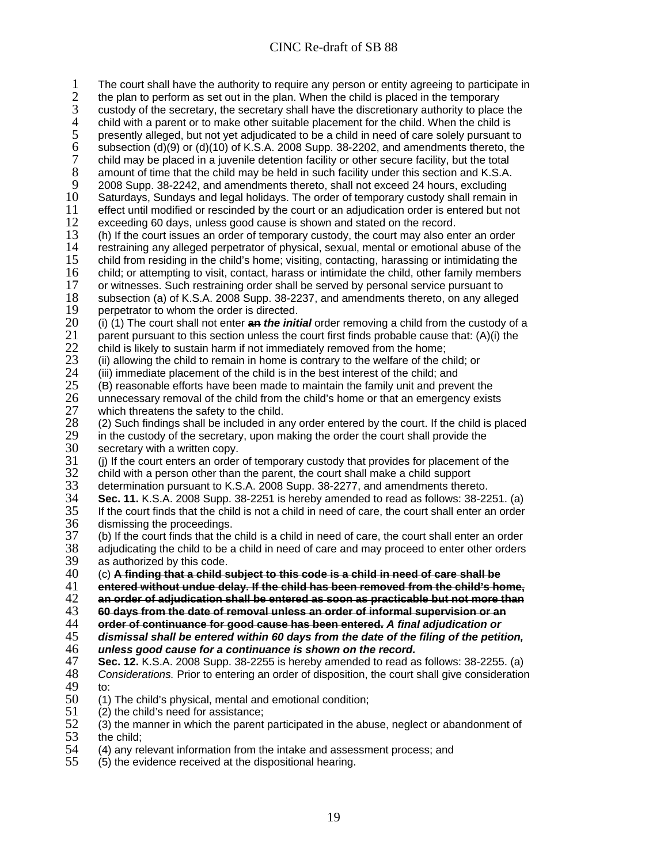1 The court shall have the authority to require any person or entity agreeing to participate in  $2$  the plan to perform as set out in the plan. When the child is placed in the temporary

- 2 the plan to perform as set out in the plan. When the child is placed in the temporary<br>3 custody of the secretary, the secretary shall have the discretionary authority to place
- 3 custody of the secretary, the secretary shall have the discretionary authority to place the<br>4 child with a parent or to make other suitable placement for the child. When the child is
- 4 child with a parent or to make other suitable placement for the child. When the child is<br>5 presently alleged, but not yet adjudicated to be a child in need of care solely pursuant to
- 5 presently alleged, but not yet adjudicated to be a child in need of care solely pursuant to
- 6 subsection (d)(9) or (d)(10) of K.S.A. 2008 Supp. 38-2202, and amendments thereto, the  $7$  child may be placed in a juvenile detention facility or other secure facility. but the total
- 7 child may be placed in a juvenile detention facility or other secure facility, but the total<br>8 amount of time that the child may be held in such facility under this section and K.S.A. amount of time that the child may be held in such facility under this section and K.S.A.
- 
- 9 2008 Supp. 38-2242, and amendments thereto, shall not exceed 24 hours, excluding<br>10 Saturdays, Sundays and legal holidays. The order of temporary custody shall remain i
- 10 Saturdays, Sundays and legal holidays. The order of temporary custody shall remain in<br>11 effect until modified or rescinded by the court or an adjudication order is entered but not 11 effect until modified or rescinded by the court or an adjudication order is entered but not <br>12 exceeding 60 days, unless good cause is shown and stated on the record.
- exceeding 60 days, unless good cause is shown and stated on the record.<br>13 (h) If the court issues an order of temporary custody, the court may also en
- 13 (h) If the court issues an order of temporary custody, the court may also enter an order 14 restraining any alleged perpetrator of physical, sexual, mental or emotional abuse of the 14 restraining any alleged perpetrator of physical, sexual, mental or emotional abuse of the<br>15 child from residing in the child's home: visiting, contacting, harassing or intimidating the
- 15 child from residing in the child's home; visiting, contacting, harassing or intimidating the 16 child: or attempting to visit, contact, harass or intimidate the child, other family members 16 child; or attempting to visit, contact, harass or intimidate the child, other family members
- 
- 17 or witnesses. Such restraining order shall be served by personal service pursuant to 18 subsection (a) of K.S.A. 2008 Supp. 38-2237, and amendments thereto, on any alled 18 subsection (a) of K.S.A. 2008 Supp. 38-2237, and amendments thereto, on any alleged 19 perpetrator to whom the order is directed.
- 19 perpetrator to whom the order is directed.<br>20 (i) (1) The court shall not enter **an the init**
- 20 (i) (1) The court shall not enter **an** *the initial* order removing a child from the custody of a<br>21 parent pursuant to this section unless the court first finds probable cause that: (A)(i) the
- 21 parent pursuant to this section unless the court first finds probable cause that:  $(A)(i)$  the  $22$  child is likely to sustain harm if not immediately removed from the home:
- 22 child is likely to sustain harm if not immediately removed from the home;<br>23 (ii) allowing the child to remain in home is contrary to the welfare of the cl
- 23 (ii) allowing the child to remain in home is contrary to the welfare of the child; or  $24$  (iii) immediate placement of the child is in the best interest of the child; and
- 24 (iii) immediate placement of the child is in the best interest of the child; and  $25$  (B) reasonable efforts have been made to maintain the family unit and preve
- 25 (B) reasonable efforts have been made to maintain the family unit and prevent the 26 unnecessary removal of the child from the child's home or that an emergency exist 26 unnecessary removal of the child from the child's home or that an emergency exists 27 which threatens the safety to the child.
- 27 which threatens the safety to the child.<br>28 (2) Such findings shall be included in a 28 (2) Such findings shall be included in any order entered by the court. If the child is placed 29 in the custody of the secretary, upon making the order the court shall provide the
- 29 in the custody of the secretary, upon making the order the court shall provide the 30 secretary with a written copy.
- $30$  secretary with a written copy.<br> $31$  (i) If the court enters an order
- $31$  (j) If the court enters an order of temporary custody that provides for placement of the court shall make a child support
- 32 child with a person other than the parent, the court shall make a child support<br>33 determination pursuant to K.S.A. 2008 Supp. 38-2277, and amendments there
- 33 determination pursuant to K.S.A. 2008 Supp. 38-2277, and amendments thereto.<br>34 **Sec. 11.** K.S.A. 2008 Supp. 38-2251 is hereby amended to read as follows: 38-22 34 **Sec. 11.** K.S.A. 2008 Supp. 38-2251 is hereby amended to read as follows: 38-2251. (a)  $35$  If the court finds that the child is not a child in need of care, the court shall enter an order  $36$  dismissing the proceedings.
- 36 dismissing the proceedings.<br>37 (b) If the court finds that the
- 37 (b) If the court finds that the child is a child in need of care, the court shall enter an order  $38$  adjudicating the child to be a child in need of care and may proceed to enter other orders  $39$  as authorized by this code.
- $39$  as authorized by this code.<br> $40$  (c) **A finding that a child s**
- 40 (c) **A finding that a child subject to this code is a child in need of care shall be**
- 
- 41 **entered without undue delay. If the child has been removed from the child's home,**
- 42 **an order of adjudication shall be entered as soon as practicable but not more than**
- 43 **60 days from the date of removal unless an order of informal supervision or an**
- 44 **order of continuance for good cause has been entered.** *A final adjudication or*  45 *dismissal shall be entered within 60 days from the date of the filing of the petition,*
- 46 *unless good cause for a continuance is shown on the record.*  47 **Sec. 12.** K.S.A. 2008 Supp. 38-2255 is hereby amended to read as follows: 38-2255. (a) 48 *Considerations.* Prior to entering an order of disposition, the court shall give consideration
- $\begin{array}{cc} 49 & \text{to:} \\ 50 & (1) \end{array}$ (1) The child's physical, mental and emotional condition;
- 51 (2) the child's need for assistance;<br>52 (3) the manner in which the parent
- 52 (3) the manner in which the parent participated in the abuse, neglect or abandonment of the child;
- 53 the child;<br>54 (4) any re  $54$  (4) any relevant information from the intake and assessment process; and  $55$  (5) the evidence received at the dispositional hearing.
- (5) the evidence received at the dispositional hearing.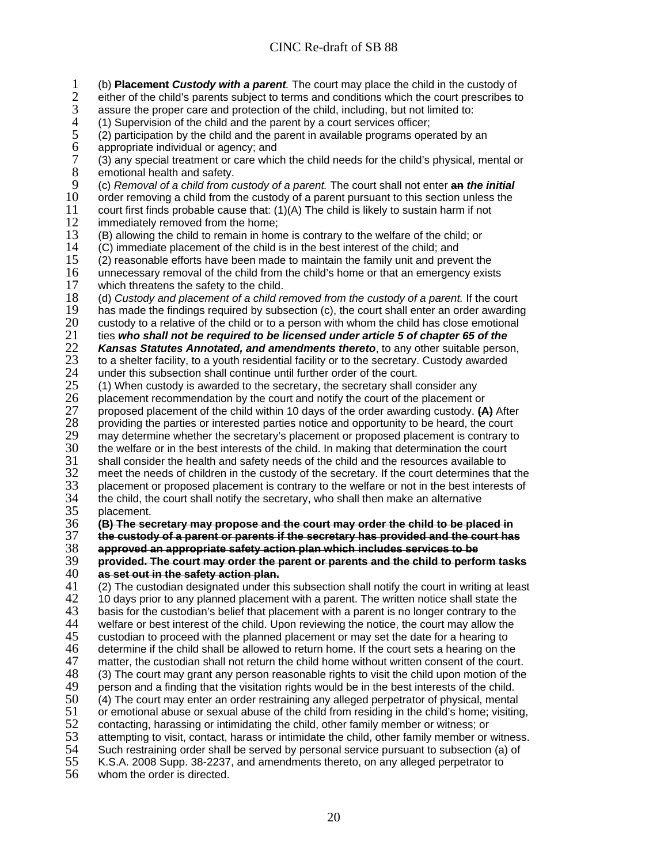1 (b) **Placement** *Custody with a parent.* The court may place the child in the custody of

2 either of the child's parents subject to terms and conditions which the court prescribes to assure the proper care and protection of the child. including, but not limited to:

3 assure the proper care and protection of the child, including, but not limited to:<br>4 (1) Supervision of the child and the parent by a court services officer:

- 4 (1) Supervision of the child and the parent by a court services officer;<br>5 (2) participation by the child and the parent in available programs ope 5 (2) participation by the child and the parent in available programs operated by an appropriate individual or agency; and
- 
- 6 appropriate individual or agency; and 7 (3) any special treatment or care which the child needs for the child's physical, mental or emotional health and safety.

9 (c) *Removal of a child from custody of a parent.* The court shall not enter **an** *the initial*

10 order removing a child from the custody of a parent pursuant to this section unless the court first finds probable cause that:  $(1)(A)$  The child is likely to sustain harm if not

11 court first finds probable cause that:  $(1)(A)$  The child is likely to sustain harm if not  $12$  immediately removed from the home: 12 immediately removed from the home;<br>13 (B) allowing the child to remain in hom

- 13 (B) allowing the child to remain in home is contrary to the welfare of the child; or 14 (C) immediate placement of the child is in the best interest of the child; and
- $14$  (C) immediate placement of the child is in the best interest of the child; and  $15$  (2) reasonable efforts have been made to maintain the family unit and preve
- 15 (2) reasonable efforts have been made to maintain the family unit and prevent the 16 unnecessary removal of the child from the child's home or that an emergency exist
- unnecessary removal of the child from the child's home or that an emergency exists
- 17 which threatens the safety to the child.<br>18 (d) Custody and placement of a child re

18 (d) *Custody and placement of a child removed from the custody of a parent.* If the court 19 has made the findings required by subsection (c), the court shall enter an order awarding

19 has made the findings required by subsection (c), the court shall enter an order awarding  $20$  custody to a relative of the child or to a person with whom the child has close emotional

20 custody to a relative of the child or to a person with whom the child has close emotional  $21$  ties who shall not be required to be licensed under article 5 of chapter 65 of the

21 ties who shall not be required to be licensed under article 5 of chapter 65 of the<br>22 **Kansas Statutes Annotated, and amendments thereto**, to any other suitable perso

*Kansas Statutes Annotated, and amendments thereto***, to any other suitable person,<br>23 to a shelter facility, to a youth residential facility or to the secretary. Custody awarded** 23 to a shelter facility, to a youth residential facility or to the secretary. Custody awarded 24 under this subsection shall continue until further order of the court.

24 under this subsection shall continue until further order of the court.<br>25 (1) When custody is awarded to the secretary, the secretary shall c

25 (1) When custody is awarded to the secretary, the secretary shall consider any<br>26 placement recommendation by the court and notify the court of the placement c

- 26 placement recommendation by the court and notify the court of the placement or 27 proposed placement of the child within 10 days of the order awarding custody. (A
- 27 proposed placement of the child within 10 days of the order awarding custody. **(A)** After
- 28 providing the parties or interested parties notice and opportunity to be heard, the court 29 may determine whether the secretary's placement or proposed placement is contrary to
- 29 may determine whether the secretary's placement or proposed placement is contrary to 30 the welfare or in the best interests of the child. In making that determination the court
- 30 the welfare or in the best interests of the child. In making that determination the court 31 shall consider the health and safety needs of the child and the resources available to
- 31 shall consider the health and safety needs of the child and the resources available to 32 meet the needs of children in the custody of the secretary. If the court determines that 32 meet the needs of children in the custody of the secretary. If the court determines that the<br>33 placement or proposed placement is contrary to the welfare or not in the best interests of
- 33 placement or proposed placement is contrary to the welfare or not in the best interests of 34 the child, the court shall notify the secretary, who shall then make an alternative 34 the child, the court shall notify the secretary, who shall then make an alternative placement.

35 placement.<br>36 **(B) The sec** 

36 **(B) The secretary may propose and the court may order the child to be placed in** 

37 **the custody of a parent or parents if the secretary has provided and the court has** 

38 **approved an appropriate safety action plan which includes services to be**  39 **provided. The court may order the parent or parents and the child to perform tasks** 

40 **as set out in the safety action plan.**

 $41$  (2) The custodian designated under this subsection shall notify the court in writing at least  $42$  10 davs prior to any planned placement with a parent. The written notice shall state the 42 10 days prior to any planned placement with a parent. The written notice shall state the 43 basis for the custodian's belief that placement with a parent is no longer contrary to the 43 basis for the custodian's belief that placement with a parent is no longer contrary to the 44 velfare or best interest of the child. Upon reviewing the notice, the court may allow the 44 welfare or best interest of the child. Upon reviewing the notice, the court may allow the<br>45 custodian to proceed with the planned placement or may set the date for a hearing to 45 custodian to proceed with the planned placement or may set the date for a hearing to<br>46 determine if the child shall be allowed to return home. If the court sets a hearing on the 46 determine if the child shall be allowed to return home. If the court sets a hearing on the 47 matter, the custodian shall not return the child home without written consent of the court 47 matter, the custodian shall not return the child home without written consent of the court.<br>48 (3) The court may grant any person reasonable rights to visit the child upon motion of the

48 (3) The court may grant any person reasonable rights to visit the child upon motion of the 49 person and a finding that the visitation rights would be in the best interests of the child.

49 person and a finding that the visitation rights would be in the best interests of the child.<br>50 (4) The court may enter an order restraining any alleged perpetrator of physical, menta 50 (4) The court may enter an order restraining any alleged perpetrator of physical, mental

51 or emotional abuse or sexual abuse of the child from residing in the child's home; visiting,<br>52 contacting, harassing or intimidating the child, other family member or witness; or

52 contacting, harassing or intimidating the child, other family member or witness; or<br>53 attempting to visit, contact, harass or intimidate the child, other family member or

53 attempting to visit, contact, harass or intimidate the child, other family member or witness.<br>54 Such restraining order shall be served by personal service pursuant to subsection (a) of

- 54 Such restraining order shall be served by personal service pursuant to subsection (a) of 55 K.S.A. 2008 Supp. 38-2237, and amendments thereto, on any alleged perpetrator to 55 K.S.A. 2008 Supp. 38-2237, and amendments thereto, on any alleged perpetrator to
- whom the order is directed.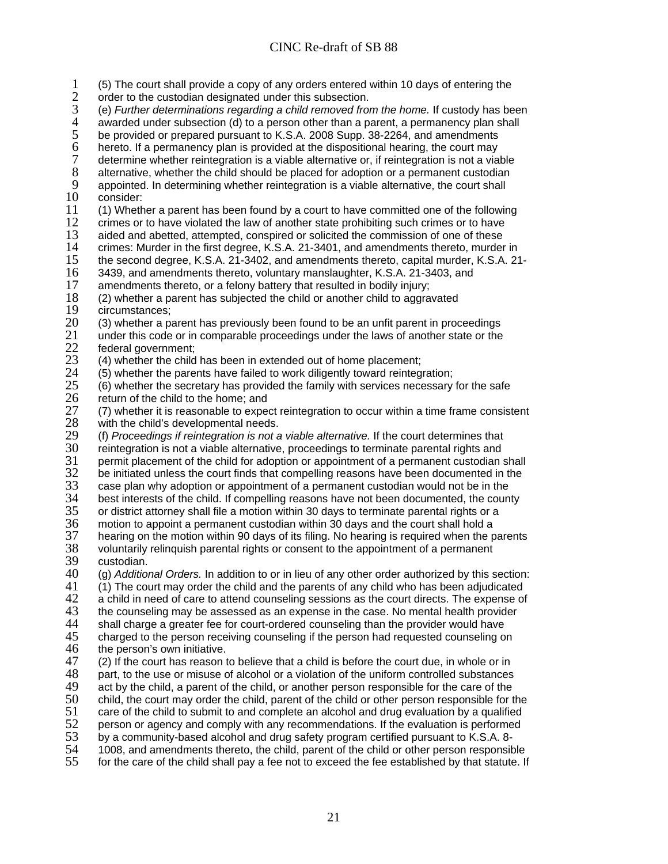- 1 (5) The court shall provide a copy of any orders entered within 10 days of entering the
- 2 order to the custodian designated under this subsection.<br>3 (e) Further determinations regarding a child removed from
- 3 (e) *Further determinations regarding a child removed from the home.* If custody has been
- 4 awarded under subsection (d) to a person other than a parent, a permanency plan shall<br>5 be provided or prepared pursuant to K.S.A. 2008 Supp. 38-2264, and amendments
- be provided or prepared pursuant to K.S.A. 2008 Supp. 38-2264, and amendments
- 6 hereto. If a permanency plan is provided at the dispositional hearing, the court may
- 7 determine whether reintegration is a viable alternative or, if reintegration is not a viable<br>8 alternative, whether the child should be placed for adoption or a permanent custodian
- alternative, whether the child should be placed for adoption or a permanent custodian
- 9 appointed. In determining whether reintegration is a viable alternative, the court shall<br>10 consider:
- 10 consider:<br>11 (1) Wheth 11 (1) Whether a parent has been found by a court to have committed one of the following<br>12 crimes or to have violated the law of another state prohibiting such crimes or to have
- 
- 12 crimes or to have violated the law of another state prohibiting such crimes or to have<br>13 aided and abetted, attempted, conspired or solicited the commission of one of these
- 13 aided and abetted, attempted, conspired or solicited the commission of one of these<br>14 crimes: Murder in the first degree, K.S.A. 21-3401, and amendments thereto, murder 14 crimes: Murder in the first degree, K.S.A. 21-3401, and amendments thereto, murder in
- 15 the second degree, K.S.A. 21-3402, and amendments thereto, capital murder, K.S.A. 21-<br>16 3439, and amendments thereto, voluntary manslaughter, K.S.A. 21-3403, and
- 16 3439, and amendments thereto, voluntary manslaughter, K.S.A. 21-3403, and
- 17 amendments thereto, or a felony battery that resulted in bodily injury;<br>18 (2) whether a parent has subiected the child or another child to aggra
- 18 (2) whether a parent has subjected the child or another child to aggravated 19 circumstances:
- 19 circumstances;<br>20 (3) whether a pay
- $20$  (3) whether a parent has previously been found to be an unfit parent in proceedings  $21$  under this code or in comparable proceedings under the laws of another state or the
- 21 under this code or in comparable proceedings under the laws of another state or the 22 federal government: 22 federal government;<br>23 (4) whether the child
- 23 (4) whether the child has been in extended out of home placement;<br>24 (5) whether the parents have failed to work diligently toward reinteg
- 24 (5) whether the parents have failed to work diligently toward reintegration;<br>25 (6) whether the secretary has provided the family with services necessary
- $25$  (6) whether the secretary has provided the family with services necessary for the safe <br>26 return of the child to the home; and
- 26 return of the child to the home; and<br>27 (7) whether it is reasonable to exped 27 (7) whether it is reasonable to expect reintegration to occur within a time frame consistent 28 with the child's developmental needs.
- 28 with the child's developmental needs.<br>29 (f) Proceedings if reintegration is not a
- 29 (f) *Proceedings if reintegration is not a viable alternative.* If the court determines that  $30$  reintegration is not a viable alternative, proceedings to terminate parental rights and
- 30 reintegration is not a viable alternative, proceedings to terminate parental rights and<br>31 permit placement of the child for adoption or appointment of a permanent custodian 31 permit placement of the child for adoption or appointment of a permanent custodian shall<br>32 be initiated unless the court finds that compelling reasons have been documented in the
- 32 be initiated unless the court finds that compelling reasons have been documented in the<br>33 case plan why adoption or appointment of a permanent custodian would not be in the
- 33 case plan why adoption or appointment of a permanent custodian would not be in the
- 34 best interests of the child. If compelling reasons have not been documented, the county<br>35 or district attorney shall file a motion within 30 days to terminate parental rights or a
- $35$  or district attorney shall file a motion within 30 days to terminate parental rights or a<br> $36$  motion to appoint a permanent custodian within 30 days and the court shall hold a
- 36 motion to appoint a permanent custodian within 30 days and the court shall hold a 37 hearing on the motion within 90 days of its filing. No hearing is required when the parents 38 voluntarily relinguish parental rights or consent to the appointment of a permanent
- 38 voluntarily relinquish parental rights or consent to the appointment of a permanent 39 custodian.<br>40 (g) Additio
- 
- 40 (g) *Additional Orders.* In addition to or in lieu of any other order authorized by this section:  $41$  (1) The court may order the child and the parents of any child who has been adjudicated  $42$  a child in need of care to attend counseling sessions as the court directs. The expense of
- $42$  a child in need of care to attend counseling sessions as the court directs. The expense of  $43$  the counseling may be assessed as an expense in the case. No mental health provider
- 43 the counseling may be assessed as an expense in the case. No mental health provider<br>44 shall charge a greater fee for court-ordered counseling than the provider would have
- 44 shall charge a greater fee for court-ordered counseling than the provider would have<br>45 charged to the person receiving counseling if the person had requested counseling or
- 45 charged to the person receiving counseling if the person had requested counseling on<br>46 the person's own initiative.
- 46 the person's own initiative.<br>47 (2) If the court has reason t
- 47 (2) If the court has reason to believe that a child is before the court due, in whole or in<br>48 a part, to the use or misuse of alcohol or a violation of the uniform controlled substances
- 48 part, to the use or misuse of alcohol or a violation of the uniform controlled substances<br>49 act by the child, a parent of the child, or another person responsible for the care of the
- 49 act by the child, a parent of the child, or another person responsible for the care of the 50 child, the court may order the child, parent of the child or other person responsible for the
- 50 child, the court may order the child, parent of the child or other person responsible for the
- 51 care of the child to submit to and complete an alcohol and drug evaluation by a qualified<br>52 person or agency and comply with any recommendations. If the evaluation is performed
- 52 person or agency and comply with any recommendations. If the evaluation is performed<br>53 by a community-based alcohol and drug safety program certified pursuant to K.S.A. 8-
- 53 by a community-based alcohol and drug safety program certified pursuant to K.S.A. 8-
- 54 1008, and amendments thereto, the child, parent of the child or other person responsible<br>55 for the care of the child shall pay a fee not to exceed the fee established by that statute. If for the care of the child shall pay a fee not to exceed the fee established by that statute. If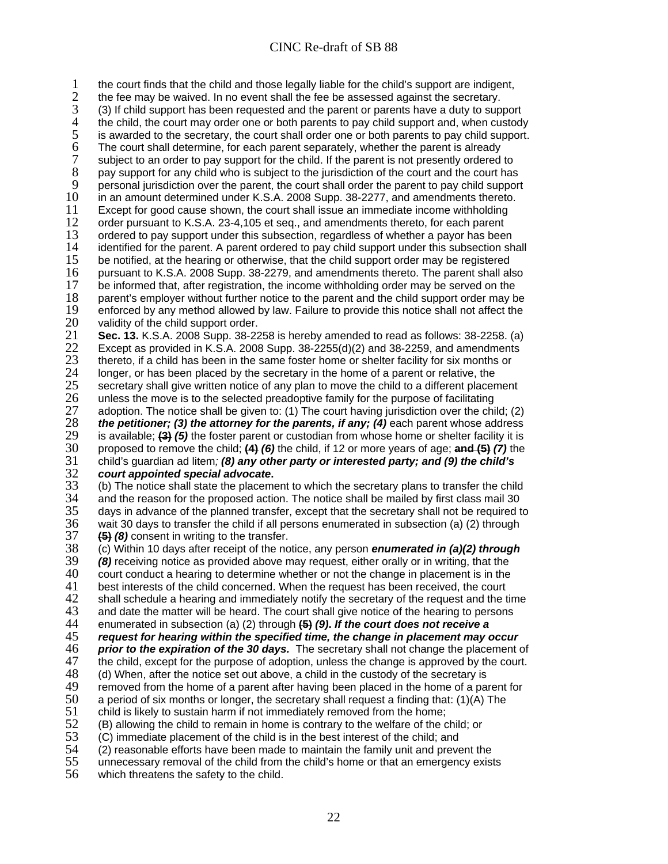1 the court finds that the child and those legally liable for the child's support are indigent,<br>2 the fee may be waived. In no event shall the fee be assessed against the secretary.

2 the fee may be waived. In no event shall the fee be assessed against the secretary.<br>
(3) If child support has been requested and the parent or parents have a duty to sup

3 (3) If child support has been requested and the parent or parents have a duty to support 4 the child, the court may order one or both parents to pay child support and, when custod

4 the child, the court may order one or both parents to pay child support and, when custody<br>5 is awarded to the secretary, the court shall order one or both parents to pay child support.

5 is awarded to the secretary, the court shall order one or both parents to pay child support.

6 The court shall determine, for each parent separately, whether the parent is already<br>7 subject to an order to pay support for the child. If the parent is not presently ordered

7 subject to an order to pay support for the child. If the parent is not presently ordered to pay support for any child who is subject to the jurisdiction of the court and the court has pay support for any child who is subject to the jurisdiction of the court and the court has

9 personal jurisdiction over the parent, the court shall order the parent to pay child support 10 in an amount determined under K.S.A. 2008 Supp. 38-2277, and amendments thereto.

10 in an amount determined under K.S.A. 2008 Supp. 38-2277, and amendments thereto.<br>11 Except for good cause shown, the court shall issue an immediate income withholding

11 Except for good cause shown, the court shall issue an immediate income withholding<br>12 order pursuant to K.S.A. 23-4.105 et seq., and amendments thereto, for each parent

12 order pursuant to K.S.A. 23-4,105 et seq., and amendments thereto, for each parent 13 ordered to pay support under this subsection, regardless of whether a payor has been

13 ordered to pay support under this subsection, regardless of whether a payor has been<br>14 identified for the parent. A parent ordered to pay child support under this subsection sh 14 identified for the parent. A parent ordered to pay child support under this subsection shall 15 be notified, at the hearing or otherwise, that the child support order may be registered

15 be notified, at the hearing or otherwise, that the child support order may be registered<br>16 bursuant to K.S.A. 2008 Supp. 38-2279, and amendments thereto. The parent shall all 16 pursuant to K.S.A. 2008 Supp. 38-2279, and amendments thereto. The parent shall also 17 be informed that, after registration, the income withholding order may be served on the 18 parent's emplover without further notice to the parent and the child support order may b 18 parent's employer without further notice to the parent and the child support order may be 19 enforced by any method allowed by law. Failure to provide this notice shall not affect the 19 enforced by any method allowed by law. Failure to provide this notice shall not affect the 20 validity of the child support order.

20 validity of the child support order.<br>21 **Sec. 13.** K.S.A. 2008 Supp. 38-22 21 **Sec. 13.** K.S.A. 2008 Supp. 38-2258 is hereby amended to read as follows: 38-2258. (a)

22 Except as provided in K.S.A. 2008 Supp.  $38-2255(d)(2)$  and  $38-2259$ , and amendments  $23$  thereto, if a child has been in the same foster home or shelter facility for six months or 23 thereto, if a child has been in the same foster home or shelter facility for six months or longer, or has been placed by the secretary in the home of a parent or relative, the

24 longer, or has been placed by the secretary in the home of a parent or relative, the 25 secretary shall give written notice of any plan to move the child to a different placen

25 secretary shall give written notice of any plan to move the child to a different placement  $26$  unless the move is to the selected preadoptive family for the purpose of facilitating

26 unless the move is to the selected preadoptive family for the purpose of facilitating<br>27 adoption. The notice shall be given to: (1) The court having jurisdiction over the chi 27 adoption. The notice shall be given to: (1) The court having jurisdiction over the child; (2)  $28$  the petitioner: (3) the attorney for the parents. if any: (4) each parent whose address **the petitioner; (3) the attorney for the parents, if any; (4)** each parent whose address 29 is available; (3) (5) the foster parent or custodian from whose home or shelter facility it is is available; **(3)** *(5)* the foster parent or custodian from whose home or shelter facility it is proposed to remove the child; **(4)** *(6)* the child, if 12 or more years of age; **and (5)** *(7)* the child's guardian ad litem*; (8) any other party or interested party; and (9) the child's* 

# 32 *court appointed special advocate***.**

33 (b) The notice shall state the placement to which the secretary plans to transfer the child<br>34 and the reason for the proposed action. The notice shall be mailed by first class mail 30 34 and the reason for the proposed action. The notice shall be mailed by first class mail 30<br>35 days in advance of the planned transfer, except that the secretary shall not be required t  $35$  days in advance of the planned transfer, except that the secretary shall not be required to  $36$  wait 30 days to transfer the child if all persons enumerated in subsection (a) (2) through 36 wait 30 days to transfer the child if all persons enumerated in subsection (a) (2) through  $37$  (5) consent in writing to the transfer. 37 **(5)** *(8)* consent in writing to the transfer.

38 (c) Within 10 days after receipt of the notice, any person *enumerated in (a)(2) through* 

**(8)** receiving notice as provided above may request, either orally or in writing, that the 40 court conduct a hearing to determine whether or not the change in placement is in the

40 court conduct a hearing to determine whether or not the change in placement is in the 41 best interests of the child concerned. When the request has been received, the court

41 best interests of the child concerned. When the request has been received, the court 42 shall schedule a hearing and immediately notify the secretary of the request and the t

 $42$  shall schedule a hearing and immediately notify the secretary of the request and the time  $43$  and date the matter will be heard. The court shall give notice of the hearing to persons

43 and date the matter will be heard. The court shall give notice of the hearing to persons  $44$  enumerated in subsection (a) (2) through (5) (9). If the court does not receive a 44 enumerated in subsection (a) (2) through **(5)** *(9)***.** *If the court does not receive a* 

45 *request for hearing within the specified time, the change in placement may occur***<br>46 <b>***prior to the expiration of the 30 days.* The secretary shall not change the placement of

**46 prior to the expiration of the 30 days.** The secretary shall not change the placement of 47 the child, except for the purpose of adoption, unless the change is approved by the court.

47 the child, except for the purpose of adoption, unless the change is approved by the court.<br>48 (d) When, after the notice set out above, a child in the custody of the secretary is

48 (d) When, after the notice set out above, a child in the custody of the secretary is 49 removed from the home of a parent after having been placed in the home of a pa

49 removed from the home of a parent after having been placed in the home of a parent for  $50$  a period of six months or longer, the secretary shall request a finding that: (1)(A) The

50 a period of six months or longer, the secretary shall request a finding that: (1)(A) The

51 child is likely to sustain harm if not immediately removed from the home;<br>52 (B) allowing the child to remain in home is contrary to the welfare of the c

52 (B) allowing the child to remain in home is contrary to the welfare of the child; or  $53$  (C) immediate placement of the child is in the best interest of the child; and

53 (C) immediate placement of the child is in the best interest of the child; and<br>54 (2) reasonable efforts have been made to maintain the family unit and preve

 $54$  (2) reasonable efforts have been made to maintain the family unit and prevent the  $55$  unnecessary removal of the child from the child's home or that an emergency exist

55 unnecessary removal of the child from the child's home or that an emergency exists<br>56 which threatens the safety to the child.

which threatens the safety to the child.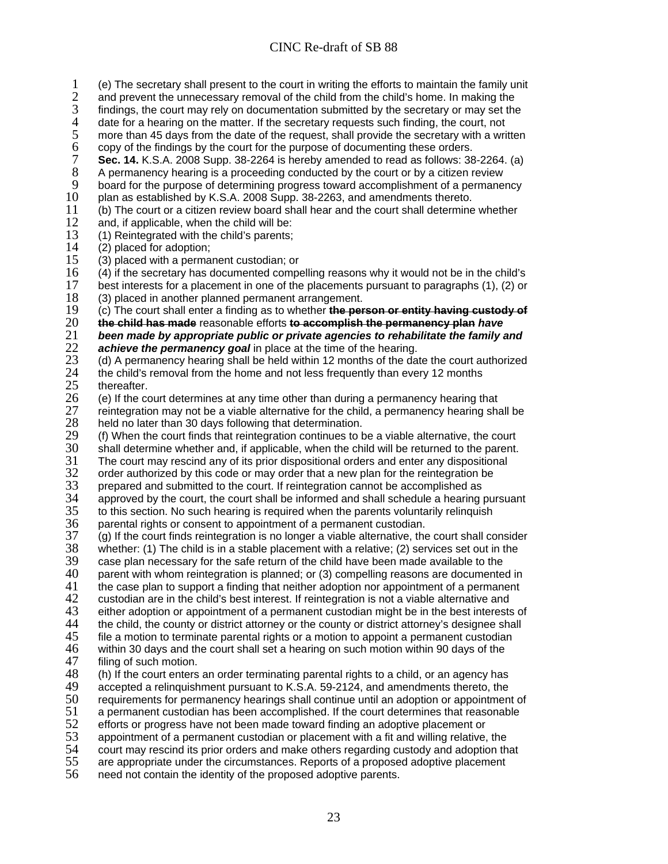- 1 (e) The secretary shall present to the court in writing the efforts to maintain the family unit
- 2 and prevent the unnecessary removal of the child from the child's home. In making the 3<br>3 findings, the court may rely on documentation submitted by the secretary or may set the
- 3 findings, the court may rely on documentation submitted by the secretary or may set the date for a hearing on the matter. If the secretary requests such finding, the court, not
- 4 date for a hearing on the matter. If the secretary requests such finding, the court, not<br>5 more than 45 days from the date of the request, shall provide the secretary with a wri
- more than 45 days from the date of the request, shall provide the secretary with a written 6 copy of the findings by the court for the purpose of documenting these orders.<br>7 **Sec. 14.** K.S.A. 2008 Supp. 38-2264 is hereby amended to read as follows: 38
- 7 **Sec. 14.** K.S.A. 2008 Supp. 38-2264 is hereby amended to read as follows: 38-2264. (a)
- 8 A permanency hearing is a proceeding conducted by the court or by a citizen review
- 9 board for the purpose of determining progress toward accomplishment of a permanency<br>10 plan as established by K.S.A. 2008 Supp. 38-2263, and amendments thereto.
- 10 plan as established by K.S.A. 2008 Supp. 38-2263, and amendments thereto. 11 (b) The court or a citizen review board shall hear and the court shall determine whether  $12$  and, if applicable, when the child will be:
- 12 and, if applicable, when the child will be:<br>13 (1) Reintegrated with the child's parents;
- 13 (1) Reintegrated with the child's parents;<br>14 (2) placed for adoption;
- 14 (2) placed for adoption;<br>15 (3) placed with a perma
- 15 (3) placed with a permanent custodian; or<br>16 (4) if the secretary has documented compo 16 (4) if the secretary has documented compelling reasons why it would not be in the child's
- 17 best interests for a placement in one of the placements pursuant to paragraphs (1), (2) or 18 (3) placed in another planned permanent arrangement.
- 18 (3) placed in another planned permanent arrangement.<br>19 (c) The court shall enter a finding as to whether the per
- 19 (c) The court shall enter a finding as to whether **the person or entity having custody of**
- 20 **the child has made** reasonable efforts **to accomplish the permanency plan** *have*  21 *been made by appropriate public or private agencies to rehabilitate the family and***<br>22 <b>***achieve the permanency goal* in place at the time of the hearing.
- 22 *achieve the permanency goal* in place at the time of the hearing.<br>23 (d) A permanency hearing shall be held within 12 months of the da 23 (d) A permanency hearing shall be held within 12 months of the date the court authorized 24 the child's removal from the home and not less frequently than every 12 months 24 the child's removal from the home and not less frequently than every 12 months<br>25 thereafter.
- 
- 25 thereafter.<br>26 (e) If the co 26 (e) If the court determines at any time other than during a permanency hearing that 27 reintegration may not be a viable alternative for the child, a permanency hearing sha 27 reintegration may not be a viable alternative for the child, a permanency hearing shall be  $28$  held no later than 30 days following that determination.
- 28 held no later than 30 days following that determination.<br>29 (f) When the court finds that reintegration continues to b
- 29 (f) When the court finds that reintegration continues to be a viable alternative, the court 30 shall determine whether and, if applicable, when the child will be returned to the parent. 30 shall determine whether and, if applicable, when the child will be returned to the parent.<br>31 The court may rescind any of its prior dispositional orders and enter any dispositional
- 31 The court may rescind any of its prior dispositional orders and enter any dispositional<br>32 order authorized by this code or may order that a new plan for the reintegration be
- 32 order authorized by this code or may order that a new plan for the reintegration be<br>33 prepared and submitted to the court. If reintegration cannot be accomplished as
- 33 prepared and submitted to the court. If reintegration cannot be accomplished as 34 approved by the court, the court shall be informed and shall schedule a hearing
- 34 approved by the court, the court shall be informed and shall schedule a hearing pursuant 35 to this section. No such hearing is required when the parents voluntarily relinquish
- 35 to this section. No such hearing is required when the parents voluntarily relinquish<br>36 parental rights or consent to appointment of a permanent custodian.
- 36 parental rights or consent to appointment of a permanent custodian.<br>37 (a) If the court finds reintegration is no longer a viable alternative, the  $37$  (g) If the court finds reintegration is no longer a viable alternative, the court shall consider  $38$  whether: (1) The child is in a stable placement with a relative; (2) services set out in the
- $38$  whether: (1) The child is in a stable placement with a relative; (2) services set out in the  $39$  case plan necessary for the safe return of the child have been made available to the
- 39 case plan necessary for the safe return of the child have been made available to the
- 40 parent with whom reintegration is planned; or (3) compelling reasons are documented in<br>41 the case plan to support a finding that neither adoption nor appointment of a permanent
- $41$  the case plan to support a finding that neither adoption nor appointment of a permanent  $42$  custodian are in the child's best interest. If reintegration is not a viable alternative and
- 42 custodian are in the child's best interest. If reintegration is not a viable alternative and<br>43 either adoption or appointment of a permanent custodian might be in the best interests
- 43 either adoption or appointment of a permanent custodian might be in the best interests of 44 the child, the county or district attorney or the county or district attorney's designee shall
- 44 the child, the county or district attorney or the county or district attorney's designee shall<br>45 file a motion to terminate parental rights or a motion to appoint a permanent custodian
- 45 file a motion to terminate parental rights or a motion to appoint a permanent custodian<br>46 within 30 days and the court shall set a hearing on such motion within 90 days of the 46 within 30 days and the court shall set a hearing on such motion within 90 days of the
- 47 filing of such motion.<br>48 (h) If the court enters 48 (h) If the court enters an order terminating parental rights to a child, or an agency has 49 accepted a relinguishment pursuant to K.S.A. 59-2124, and amendments thereto, the
- 49 accepted a relinquishment pursuant to K.S.A. 59-2124, and amendments thereto, the<br>50 requirements for permanency hearings shall continue until an adoption or appointmen
- 50 requirements for permanency hearings shall continue until an adoption or appointment of
- 51 a permanent custodian has been accomplished. If the court determines that reasonable<br>52 efforts or progress have not been made toward finding an adoptive placement or
- 52 efforts or progress have not been made toward finding an adoptive placement or<br>53 appointment of a permanent custodian or placement with a fit and willing relative,
- 53 appointment of a permanent custodian or placement with a fit and willing relative, the<br>54 court may rescind its prior orders and make others regarding custody and adoption th
- 54 court may rescind its prior orders and make others regarding custody and adoption that<br>55 are appropriate under the circumstances. Reports of a proposed adoptive placement
- 55 are appropriate under the circumstances. Reports of a proposed adoptive placement 56 need not contain the identity of the proposed adoptive parents.
- need not contain the identity of the proposed adoptive parents.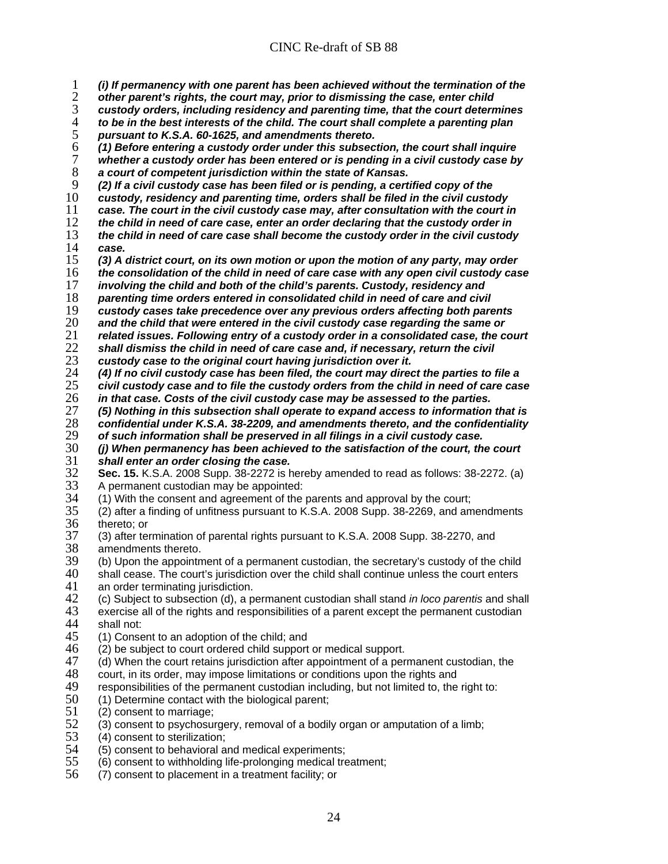- *(i) If permanency with one parent has been achieved without the termination of the*
- *other parent's rights, the court may, prior to dismissing the case, enter child*
- *custody orders, including residency and parenting time, that the court determines*
- *to be in the best interests of the child. The court shall complete a parenting plan*
- 
- *pursuant to K.S.A. 60-1625, and amendments thereto. (1) Before entering a custody order under this subsection, the court shall inquire*
- *whether a custody order has been entered or is pending in a civil custody case by*  a court of competent jurisdiction within the state of Kansas.
- 
- *(2) If a civil custody case has been filed or is pending, a certified copy of the*
- *custody, residency and parenting time, orders shall be filed in the civil custody*
- *case. The court in the civil custody case may, after consultation with the court in*
- *the child in need of care case, enter an order declaring that the custody order in the child in need of care case shall become the custody order in the civil custody*
- *case.*
- *(3) A district court, on its own motion or upon the motion of any party, may order the consolidation of the child in need of care case with any open civil custody case*
- 
- *involving the child and both of the child's parents. Custody, residency and*
- *parenting time orders entered in consolidated child in need of care and civil*
- *custody cases take precedence over any previous orders affecting both parents*
- *and the child that were entered in the civil custody case regarding the same or*
- *related issues. Following entry of a custody order in a consolidated case, the court*
- *shall dismiss the child in need of care case and, if necessary, return the civil*
- *custody case to the original court having jurisdiction over it. (4) If no civil custody case has been filed, the court may direct the parties to file a*
- *civil custody case and to file the custody orders from the child in need of care case*
- *in that case. Costs of the civil custody case may be assessed to the parties.*
- *(5) Nothing in this subsection shall operate to expand access to information that is*
- *confidential under K.S.A. 38-2209, and amendments thereto, and the confidentiality*
- *of such information shall be preserved in all filings in a civil custody case.*
- *(j) When permanency has been achieved to the satisfaction of the court, the court shall enter an order closing the case.*
- **Sec. 15.** K.S.A. 2008 Supp. 38-2272 is hereby amended to read as follows: 38-2272. (a) 33 A permanent custodian may be appointed:<br>34 (1) With the consent and agreement of the
- 34 (1) With the consent and agreement of the parents and approval by the court;<br>35 (2) after a finding of unfitness pursuant to K.S.A. 2008 Supp. 38-2269, and an
- (2) after a finding of unfitness pursuant to K.S.A. 2008 Supp. 38-2269, and amendments 36 thereto; or<br>37 (3) after ter
- (3) after termination of parental rights pursuant to K.S.A. 2008 Supp. 38-2270, and
- 38 amendments thereto.<br>39 (b) Upon the appointn
- (b) Upon the appointment of a permanent custodian, the secretary's custody of the child 40 shall cease. The court's jurisdiction over the child shall continue unless the court enters 41 an order terminating jurisdiction.
- 41 an order terminating jurisdiction.<br>42 (c) Subiect to subsection (d), a p
- 
- (c) Subject to subsection (d), a permanent custodian shall stand *in loco parentis* and shall 43 exercise all of the rights and responsibilities of a parent except the permanent custodian 44 shall not:
- 44 shall not:<br>45 (1) Conse 45 (1) Consent to an adoption of the child; and<br>46 (2) be subject to court ordered child support
- 46 (2) be subject to court ordered child support or medical support.<br>47 (d) When the court retains jurisdiction after appointment of a per
- 47 (d) When the court retains jurisdiction after appointment of a permanent custodian, the 48 court, in its order, may impose limitations or conditions upon the rights and
- 48 court, in its order, may impose limitations or conditions upon the rights and<br>49 responsibilities of the permanent custodian including, but not limited to, the
- 49 responsibilities of the permanent custodian including, but not limited to, the right to:<br>50 (1) Determine contact with the biological parent:
- (1) Determine contact with the biological parent;
- 51 (2) consent to marriage;<br>52 (3) consent to psychosure
- 52 (3) consent to psychosurgery, removal of a bodily organ or amputation of a limb;<br>53 (4) consent to sterilization;
- 53 (4) consent to sterilization;<br>54 (5) consent to behavioral a
- 54 (5) consent to behavioral and medical experiments;<br>55 (6) consent to withholding life-prolonging medical tre
- (6) consent to withholding life-prolonging medical treatment;<br> $56$  (7) consent to placement in a treatment facility; or
- (7) consent to placement in a treatment facility; or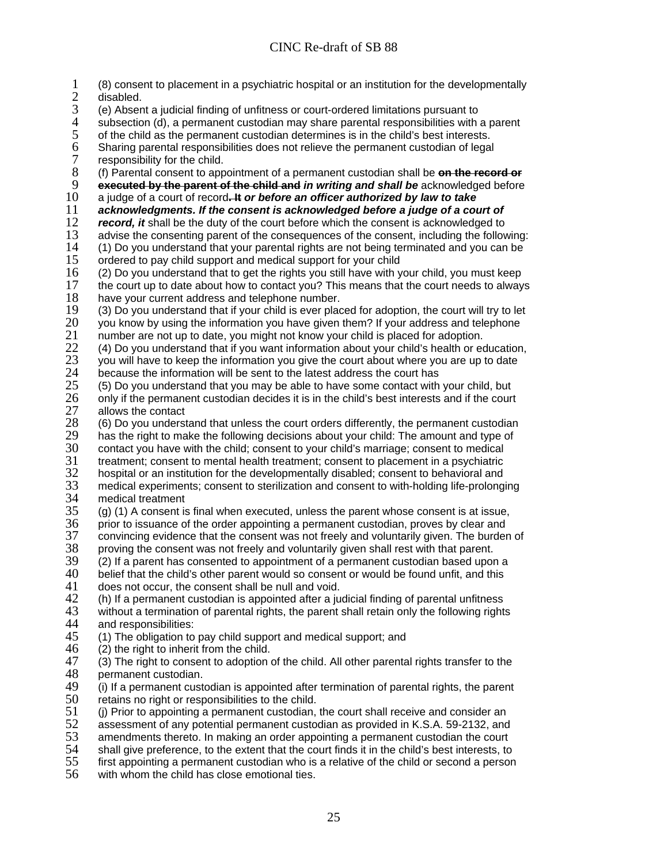1 (8) consent to placement in a psychiatric hospital or an institution for the developmentally 2 disabled.<br>3 (e) Abser

- 3 (e) Absent a judicial finding of unfitness or court-ordered limitations pursuant to
- 4 subsection (d), a permanent custodian may share parental responsibilities with a parent  $5$  of the child as the permanent custodian determines is in the child's best interests.
- of the child as the permanent custodian determines is in the child's best interests.
- 6 Sharing parental responsibilities does not relieve the permanent custodian of legal
- 
- 7 responsibility for the child.<br>8 (f) Parental consent to app 8 (f) Parental consent to appointment of a permanent custodian shall be **on the record or**

9 **executed by the parent of the child and** *in writing and shall be* acknowledged before

# 10 a judge of a court of record**. It** *or before an officer authorized by law to take*

11 *acknowledgments. If the consent is acknowledged before a judge of a court of* **12 <b>***record, it shall be the duty of the court before which the consent is acknowledged to* 

**record, it** shall be the duty of the court before which the consent is acknowledged to 13 advise the consenting parent of the consequences of the consent, including the follow

- 13 advise the consenting parent of the consequences of the consent, including the following:<br>14 (1) Do you understand that your parental rights are not being terminated and you can be
- 14 (1) Do you understand that your parental rights are not being terminated and you can be<br>15 ordered to pay child support and medical support for your child
- 15 ordered to pay child support and medical support for your child<br>16 (2) Do you understand that to get the rights you still have with y
- (2) Do you understand that to get the rights you still have with your child, you must keep 17 the court up to date about how to contact you? This means that the court needs to always 18 have vour current address and telephone number.
- 18 have your current address and telephone number.<br>19 (3) Do you understand that if your child is ever plac  $19$  (3) Do you understand that if your child is ever placed for adoption, the court will try to let  $20$  vou know by using the information you have given them? If your address and telephone
- 20 you know by using the information you have given them? If your address and telephone<br>21 number are not up to date, you might not know your child is placed for adoption.
- 21 number are not up to date, you might not know your child is placed for adoption.<br>22 (4) Do you understand that if you want information about your child's health or eq  $22$  (4) Do you understand that if you want information about your child's health or education,<br> $23$  you will have to keep the information you give the court about where you are up to date
- 23 you will have to keep the information you give the court about where you are up to date <br>24 because the information will be sent to the latest address the court has 24 because the information will be sent to the latest address the court has  $25$  (5) Do you understand that you may be able to have some contact with
- $25$  (5) Do you understand that you may be able to have some contact with your child, but  $26$  only if the permanent custodian decides it is in the child's best interests and if the court
- 26 only if the permanent custodian decides it is in the child's best interests and if the court 27 allows the contact  $27$  allows the contact<br> $28$   $(6)$  Do you underst
- 28 (6) Do you understand that unless the court orders differently, the permanent custodian<br>29 has the right to make the following decisions about your child: The amount and type of
- 29 has the right to make the following decisions about your child: The amount and type of 30 contact you have with the child; consent to your child's marriage; consent to medical
- 30 contact you have with the child; consent to your child's marriage; consent to medical
- 31 treatment; consent to mental health treatment; consent to placement in a psychiatric<br>32 hospital or an institution for the developmentally disabled; consent to behavioral and
- 32 hospital or an institution for the developmentally disabled; consent to behavioral and<br>33 medical experiments; consent to sterilization and consent to with-holding life-prolongi 33 medical experiments; consent to sterilization and consent to with-holding life-prolonging
- $34$  medical treatment<br> $35$  (q) (1) A consent is
- $35$  (g) (1) A consent is final when executed, unless the parent whose consent is at issue,<br>36 **Duble 10** or issuance of the order appointing a permanent custodian, proves by clear and
- 36 prior to issuance of the order appointing a permanent custodian, proves by clear and<br>37 convincing evidence that the consent was not freely and voluntarily given. The burder 37 convincing evidence that the consent was not freely and voluntarily given. The burden of 38 proving the consent was not freely and voluntarily given shall rest with that parent.
- 38 proving the consent was not freely and voluntarily given shall rest with that parent.<br>39 (2) If a parent has consented to appointment of a permanent custodian based upor
- $39$  (2) If a parent has consented to appointment of a permanent custodian based upon a<br>40 belief that the child's other parent would so consent or would be found unfit, and this
- 40 belief that the child's other parent would so consent or would be found unfit, and this  $41$  does not occur, the consent shall be null and void.
- 41 does not occur, the consent shall be null and void.<br>42 (h) If a permanent custodian is appointed after a ju
- $42$  (h) If a permanent custodian is appointed after a judicial finding of parental unfitness  $43$  without a termination of parental rights, the parent shall retain only the following rights 43 without a termination of parental rights, the parent shall retain only the following rights<br>44 and responsibilities:
- 44 and responsibilities:<br>45 (1) The obligation to
- 45 (1) The obligation to pay child support and medical support; and  $46$  (2) the right to inherit from the child.
- 46 (2) the right to inherit from the child.<br>47 (3) The right to consent to adoption
- 47 (3) The right to consent to adoption of the child. All other parental rights transfer to the 48 permanent custodian. 48 permanent custodian.<br>49 (i) If a permanent cust
- 49 (i) If a permanent custodian is appointed after termination of parental rights, the parent <br>50 retains no right or responsibilities to the child. retains no right or responsibilities to the child.
- 
- 51 (i) Prior to appointing a permanent custodian, the court shall receive and consider an 52 assessment of any potential permanent custodian as provided in K.S.A. 59-2132, and
- 52 assessment of any potential permanent custodian as provided in K.S.A. 59-2132, and<br>53 amendments thereto. In making an order appointing a permanent custodian the court
- 53 amendments thereto. In making an order appointing a permanent custodian the court 54 shall give preference, to the extent that the court finds it in the child's best interests, to
- 54 shall give preference, to the extent that the court finds it in the child's best interests, to<br>55 first appointing a permanent custodian who is a relative of the child or second a person 55 first appointing a permanent custodian who is a relative of the child or second a person<br>56 with whom the child has close emotional ties.
- with whom the child has close emotional ties.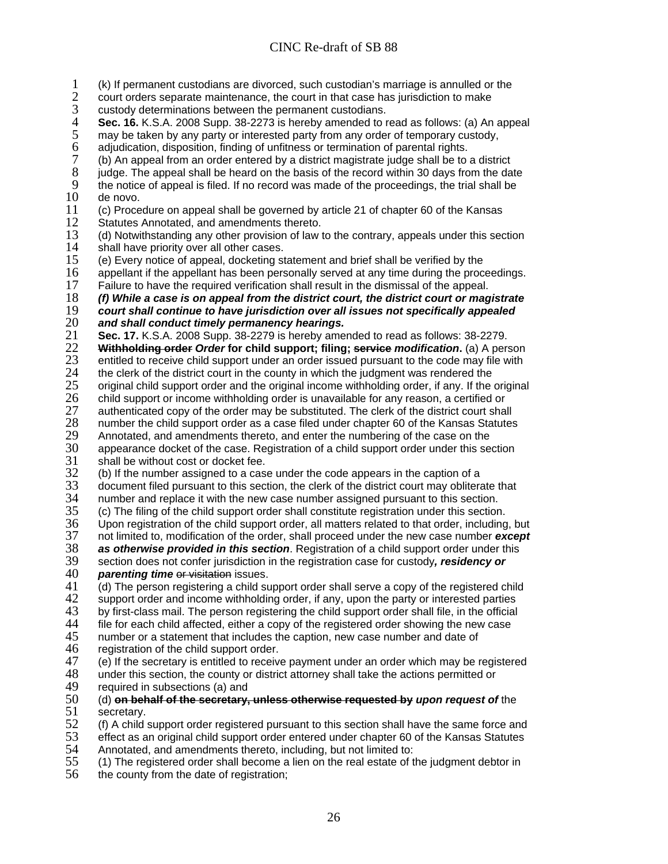- 1 (k) If permanent custodians are divorced, such custodian's marriage is annulled or the
- 2 court orders separate maintenance, the court in that case has jurisdiction to make custody determinations between the permanent custodians.
- 3 custody determinations between the permanent custodians.<br>4 **Sec. 16.** K.S.A. 2008 Supp. 38-2273 is hereby amended to r
- **Sec. 16.** K.S.A. 2008 Supp. 38-2273 is hereby amended to read as follows: (a) An appeal may be taken by any party or interested party from any order of temporary custody,
- 5 may be taken by any party or interested party from any order of temporary custody,<br>6 adjudication, disposition, finding of unfitness or termination of parental rights.
- 6 adjudication, disposition, finding of unfitness or termination of parental rights.
- 7 (b) An appeal from an order entered by a district magistrate judge shall be to a district
- judge. The appeal shall be heard on the basis of the record within 30 days from the date
- 9 the notice of appeal is filed. If no record was made of the proceedings, the trial shall be  $10$  de novo. 10 de novo.<br>11 (c) Proce
- 11 (c) Procedure on appeal shall be governed by article 21 of chapter 60 of the Kansas<br>12 Statutes Annotated. and amendments thereto.
- 12 Statutes Annotated, and amendments thereto.<br>13 (d) Notwithstanding any other provision of law t
- 13 (d) Notwithstanding any other provision of law to the contrary, appeals under this section 14 shall have priority over all other cases. 14 shall have priority over all other cases.<br>15 (e) Every notice of appeal, docketing st
- 15 (e) Every notice of appeal, docketing statement and brief shall be verified by the
- appellant if the appellant has been personally served at any time during the proceedings.
- 17 Failure to have the required verification shall result in the dismissal of the appeal.<br>18 (f) While a case is on appeal from the district court, the district court or mad
- 18 *(f) While a case is on appeal from the district court, the district court or magistrate*  19 *court shall continue to have jurisdiction over all issues not specifically appealed*
- 20 *and shall conduct timely permanency hearings.*
- 21 **Sec. 17.** K.S.A. 2008 Supp. 38-2279 is hereby amended to read as follows: 38-2279.<br>22 Withholding order Order for child support; filing; service modification. (a) A pers
- 22 **Withholding order Order for child support; filing; service modification.** (a) A person<br>23 entitled to receive child support under an order issued pursuant to the code may file with
- 23 entitled to receive child support under an order issued pursuant to the code may file with<br>24 the clerk of the district court in the county in which the judgment was rendered the
- 24 the clerk of the district court in the county in which the judgment was rendered the  $25$  original child support order and the original income withholding order, if any. If the
- 25 original child support order and the original income withholding order, if any. If the original <br>26 child support or income withholding order is unavailable for any reason, a certified or
- 26 child support or income withholding order is unavailable for any reason, a certified or  $27$  authenticated copy of the order may be substituted. The clerk of the district court sha
- 27 authenticated copy of the order may be substituted. The clerk of the district court shall<br>28 mumber the child support order as a case filed under chapter 60 of the Kansas Statutes
- 28 number the child support order as a case filed under chapter 60 of the Kansas Statutes<br>29 Annotated, and amendments thereto, and enter the numbering of the case on the
- 29 Annotated, and amendments thereto, and enter the numbering of the case on the 30 appearance docket of the case. Registration of a child support order under this see 30 appearance docket of the case. Registration of a child support order under this section<br>31 shall be without cost or docket fee.
- 31 shall be without cost or docket fee.<br>32 (b) If the number assigned to a case
- $32$  (b) If the number assigned to a case under the code appears in the caption of a document filed pursuant to this section, the clerk of the district court may obliteral 33 document filed pursuant to this section, the clerk of the district court may obliterate that 34 number and replace it with the new case number assigned pursuant to this section.
- 34 number and replace it with the new case number assigned pursuant to this section.<br>35 (c) The filing of the child support order shall constitute registration under this section
- 35 (c) The filing of the child support order shall constitute registration under this section.<br>36 Upon registration of the child support order, all matters related to that order, including
- 36 Upon registration of the child support order, all matters related to that order, including, but 37 not limited to, modification of the order, shall proceed under the new case number *except* 37 not limited to, modification of the order, shall proceed under the new case number *except*
- 38 *as otherwise provided in this section*. Registration of a child support order under this 39 section does not confer jurisdiction in the registration case for custody*, residency or*
- 40 **parenting time** or visitation issues.<br>41 (d) The person registering a child su
- $41$  (d) The person registering a child support order shall serve a copy of the registered child  $42$  support order and income withholding order, if any, upon the party or interested parties
- 42 support order and income withholding order, if any, upon the party or interested parties<br>43 by first-class mail. The person registering the child support order shall file, in the official
- 43 by first-class mail. The person registering the child support order shall file, in the official 44 file for each child affected, either a copy of the registered order showing the new case
- 44 file for each child affected, either a copy of the registered order showing the new case<br>45 mumber or a statement that includes the caption, new case number and date of 45 number or a statement that includes the caption, new case number and date of 46 registration of the child support order.
- 
- 46 registration of the child support order.<br>47 (e) If the secretary is entitled to receive  $47$  (e) If the secretary is entitled to receive payment under an order which may be registered  $48$  under this section, the county or district attorney shall take the actions permitted or
- 48 under this section, the county or district attorney shall take the actions permitted or <br>49 required in subsections (a) and
- 49 required in subsections (a) and<br>50 (d) **on behalf of the secretary.**
- 50 (d) **on behalf of the secretary, unless otherwise requested by** *upon request of* the 51 secretary.<br>52 (f) A child
- 52 (f) A child support order registered pursuant to this section shall have the same force and<br>53 effect as an original child support order entered under chapter 60 of the Kansas Statutes
- 53 effect as an original child support order entered under chapter 60 of the Kansas Statutes<br>54 Annotated, and amendments thereto, including, but not limited to:
- 54 Annotated, and amendments thereto, including, but not limited to:<br>55 (1) The registered order shall become a lien on the real estate of t
- 55 (1) The registered order shall become a lien on the real estate of the judgment debtor in 56 the county from the date of registration:
- the county from the date of registration;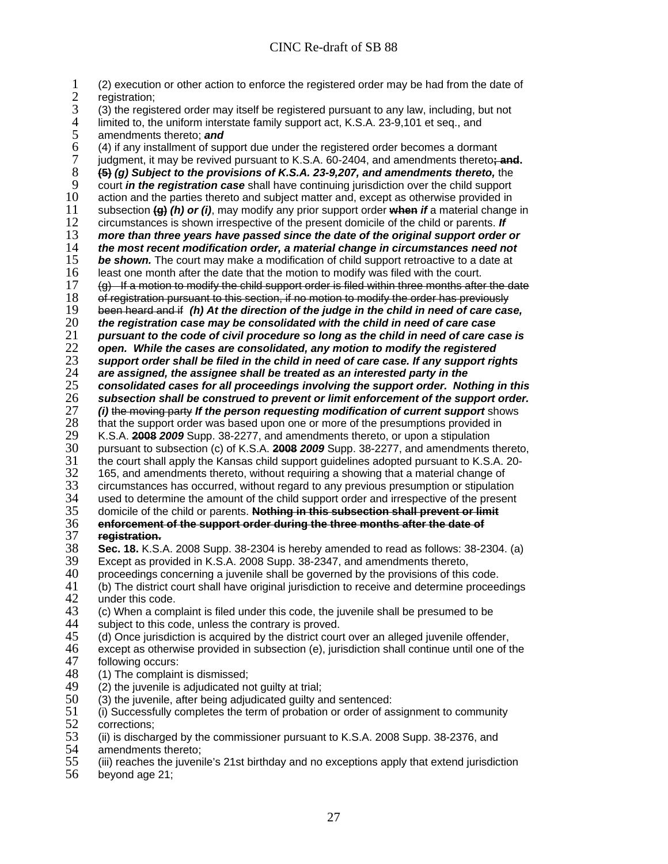1 (2) execution or other action to enforce the registered order may be had from the date of registration:  $2$  registration;<br> $3$  (3) the regis 3 (3) the registered order may itself be registered pursuant to any law, including, but not law interstate family support act. K.S.A. 23-9.101 et seq., and 4 limited to, the uniform interstate family support act, K.S.A. 23-9,101 et seq., and amendments thereto; **and** 5 amendments thereto; *and* 6 (4) if any installment of support due under the registered order becomes a dormant  $7$  iudoment. it may be revived pursuant to K.S.A. 60-2404, and amendments thereto: judgment, it may be revived pursuant to K.S.A. 60-2404, and amendments thereto<del>; and</del>.<br>8 (5) (g) Subject to the provisions of K.S.A. 23-9,207, and amendments thereto, the 8 **(5)** *(g) Subject to the provisions of K.S.A. 23-9,207, and amendments thereto,* the 9 court *in the registration case* shall have continuing jurisdiction over the child support 10 action and the parties thereto and subject matter and, except as otherwise provided in  $11$  subsection  $\left(\frac{1}{9}\right)$  or  $\left(\frac{1}{1}\right)$ , may modify any prior support order when if a material change 11 subsection **(g)** *(h) or (i)*, may modify any prior support order **when** *if* a material change in 12 circumstances is shown irrespective of the present domicile of the child or parents. *If*  $13$  more than three years have passed since the date of the original support order 13 *more than three years have passed since the date of the original support order or*  14 **the most recent modification order, a material change in circumstances need not** 15 **be shown.** The court may make a modification of child support retroactive to a date at **15** *be shown.* The court may make a modification of child support retroactive to a date at 16 least one month after the date that the motion to modify was filed with the court. 16 least one month after the date that the motion to modify was filed with the court.  $17$  (g) If a motion to modify the child support order is filed within three months after the date  $18$  of requistration pursuant to this section, if no motion to modify the order has previously 18 of registration pursuant to this section, if no motion to modify the order has previously 19 been heard and if  $(h)$  At the direction of the judge in the child in need of care cas 19 been heard and if *(h)* At the direction of the judge in the child in need of care case,<br>20 **the registration case may be consolidated with the child in need of care case** 20 *the registration case may be consolidated with the child in need of care case*  21 *pursuant to the code of civil procedure so long as the child in need of care case is*  22 *open. While the cases are consolidated, any motion to modify the registered*  23 *support order shall be filed in the child in need of care case. If any support rights*  24 *are assigned, the assignee shall be treated as an interested party in the*  25 *consolidated cases for all proceedings involving the support order. Nothing in this*  **26** *subsection shall be construed to prevent or limit enforcement of the support order.***<br>27** *(i)* **the moving party** *If the person requesting modification of current support* **shows** 27 *(i)* the moving party *If the person requesting modification of current support* shows 28 that the support order was based upon one or more of the presumptions provided in 28 that the support order was based upon one or more of the presumptions provided in 29 K.S.A. **2008 2009** Supp. 38-2277, and amendments thereto, or upon a stipulation 29 K.S.A. **2008** *2009* Supp. 38-2277, and amendments thereto, or upon a stipulation 30 pursuant to subsection (c) of K.S.A. **2008** *2009* Supp. 38-2277, and amendments thereto, 31 the court shall apply the Kansas child support guidelines adopted pursuant to K.S.A. 20-<br>32 165, and amendments thereto, without requiring a showing that a material change of 32 165, and amendments thereto, without requiring a showing that a material change of<br>33 circumstances has occurred, without regard to any previous presumption or stipulation 33 circumstances has occurred, without regard to any previous presumption or stipulation 34 used to determine the amount of the child support order and irrespective of the present 35 domicile of the child or parents. **Nothing in this subsection shall prevent or limit** 35 domicile of the child or parents. **Nothing in this subsection shall prevent or limit** 36 **enforcement of the support order during the three months after the date of**  37 **registration.** 38 **Sec. 18.** K.S.A. 2008 Supp. 38-2304 is hereby amended to read as follows: 38-2304. (a) 39 Except as provided in K.S.A. 2008 Supp. 38-2347, and amendments thereto, 40 proceedings concerning a juvenile shall be governed by the provisions of this code.<br>41 (b) The district court shall have original jurisdiction to receive and determine procee 41 (b) The district court shall have original jurisdiction to receive and determine proceedings 42 under this code. 42 under this code.<br>43 (c) When a comp 43 (c) When a complaint is filed under this code, the juvenile shall be presumed to be 44 subject to this code, unless the contrary is proved. 44 subject to this code, unless the contrary is proved.<br>45 (d) Once jurisdiction is acquired by the district cour 45 (d) Once jurisdiction is acquired by the district court over an alleged juvenile offender,<br>46 except as otherwise provided in subsection (e), jurisdiction shall continue until one of t 46 except as otherwise provided in subsection (e), jurisdiction shall continue until one of the 47 following occurs:<br>48 (1) The complain 48  $(1)$  The complaint is dismissed;<br>49  $(2)$  the juvenile is adjudicated no  $49$  (2) the juvenile is adjudicated not guilty at trial;<br> $50$  (3) the juvenile, after being adjudicated guilty a 50 (3) the juvenile, after being adjudicated guilty and sentenced:<br>51 (i) Successfully completes the term of probation or order of as 51 (i) Successfully completes the term of probation or order of assignment to community<br>52 corrections; 52 corrections;<br>53 (ii) is discha 53 (ii) is discharged by the commissioner pursuant to K.S.A. 2008 Supp. 38-2376, and 54 amendments thereto;<br>55 (iii) reaches the juven

- 55 (iii) reaches the juvenile's 21st birthday and no exceptions apply that extend jurisdiction<br>56 beyond age 21:
- beyond age 21;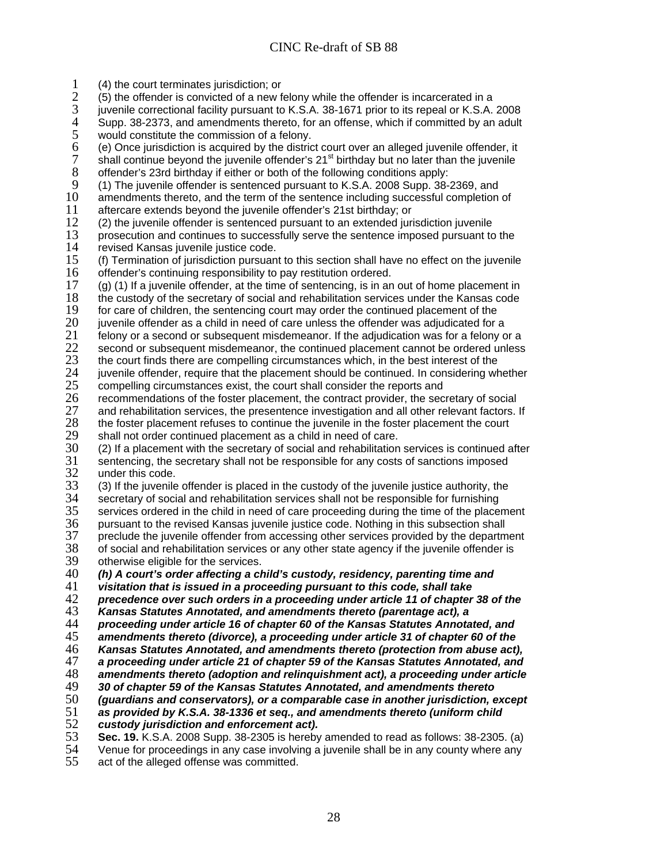- 1 (4) the court terminates jurisdiction; or<br>2 (5) the offender is convicted of a new f
- (5) the offender is convicted of a new felony while the offender is incarcerated in a<br>3 iuvenile correctional facility pursuant to K.S.A. 38-1671 prior to its repeal or K.S.A.
- 3 juvenile correctional facility pursuant to K.S.A. 38-1671 prior to its repeal or K.S.A. 2008
- 4 Supp. 38-2373, and amendments thereto, for an offense, which if committed by an adult would constitute the commission of a felony.
- 5 would constitute the commission of a felony.<br>6 (e) Once jurisdiction is acquired by the distric
- 6 (e) Once jurisdiction is acquired by the district court over an alleged juvenile offender, it  $7$  shall continue beyond the juvenile offender's  $21<sup>st</sup>$  birthday but no later than the juvenile shall continue beyond the juvenile offender's  $21<sup>st</sup>$  birthday but no later than the juvenile<br>8 offender's 23rd birthday if either or both of the following conditions apply:
- offender's 23rd birthday if either or both of the following conditions apply:
- 9 (1) The juvenile offender is sentenced pursuant to K.S.A. 2008 Supp. 38-2369, and
- 10 amendments thereto, and the term of the sentence including successful completion of 11 aftercare extends beyond the juvenile offender's 21st birthday; or
- 11 aftercare extends beyond the juvenile offender's 21st birthday; or 12 (2) the juvenile offender is sentenced pursuant to an extended juri
- 12 (2) the juvenile offender is sentenced pursuant to an extended jurisdiction juvenile<br>13 prosecution and continues to successfully serve the sentence imposed pursuant to
- 13 prosecution and continues to successfully serve the sentence imposed pursuant to the 14 revised Kansas juvenile justice code. 14 revised Kansas juvenile justice code.<br>15 (f) Termination of iurisdiction pursuan
- 15 (f) Termination of jurisdiction pursuant to this section shall have no effect on the juvenile<br>16 offender's continuing responsibility to pay restitution ordered. offender's continuing responsibility to pay restitution ordered.
- 17 (g) (1) If a juvenile offender, at the time of sentencing, is in an out of home placement in 18 the custody of the secretary of social and rehabilitation services under the Kansas code
- 18 the custody of the secretary of social and rehabilitation services under the Kansas code<br>19 for care of children, the sentencing court may order the continued placement of the
- 19 for care of children, the sentencing court may order the continued placement of the 20 invenile offender as a child in need of care unless the offender was adjudicated for a
- 20 juvenile offender as a child in need of care unless the offender was adjudicated for a  $21$  felony or a second or subsequent misdemeanor. If the adjudication was for a felony or
- 21 felony or a second or subsequent misdemeanor. If the adjudication was for a felony or a<br>22 second or subsequent misdemeanor, the continued placement cannot be ordered unless
- 22 second or subsequent misdemeanor, the continued placement cannot be ordered unless the court finds there are compelling circumstances which, in the best interest of the
- 23 the court finds there are compelling circumstances which, in the best interest of the<br>24 juvenile offender, require that the placement should be continued. In considering wh 24 juvenile offender, require that the placement should be continued. In considering whether <br>25 compelling circumstances exist, the court shall consider the reports and
- 25 compelling circumstances exist, the court shall consider the reports and 26 recommendations of the foster placement, the contract provider, the sec
- 26 recommendations of the foster placement, the contract provider, the secretary of social<br>27 and rehabilitation services, the presentence investigation and all other relevant factors. 27 and rehabilitation services, the presentence investigation and all other relevant factors. If <br>28 the foster placement refuses to continue the iuvenile in the foster placement the court
- 28 the foster placement refuses to continue the juvenile in the foster placement the court 29 shall not order continued placement as a child in need of care.
- 29 shall not order continued placement as a child in need of care.<br> $30$  (2) If a placement with the secretary of social and rehabilitation  $30$  (2) If a placement with the secretary of social and rehabilitation services is continued after  $31$  sentencing, the secretary shall not be responsible for any costs of sanctions imposed
- 31 sentencing, the secretary shall not be responsible for any costs of sanctions imposed<br>32 under this code. 32 under this code.<br>33 (3) If the juvenile
- 33 (3) If the juvenile offender is placed in the custody of the juvenile justice authority, the 34 secretary of social and rehabilitation services shall not be responsible for furnishing
- 34 secretary of social and rehabilitation services shall not be responsible for furnishing<br>35 services ordered in the child in need of care proceeding during the time of the placer
- 35 services ordered in the child in need of care proceeding during the time of the placement 36 pursuant to the revised Kansas iuvenile iustice code. Nothing in this subsection shall
- 36 pursuant to the revised Kansas juvenile justice code. Nothing in this subsection shall
- 37 preclude the juvenile offender from accessing other services provided by the department<br>38 of social and rehabilitation services or any other state agency if the juvenile offender is 38 of social and rehabilitation services or any other state agency if the juvenile offender is 39 otherwise eligible for the services.
- 39 otherwise eligible for the services.<br>40 **(h) A court's order affecting a cl**
- 40 *(h) A court's order affecting a child's custody, residency, parenting time and*
- 41 *visitation that is issued in a proceeding pursuant to this code, shall take*
- 42 *precedence over such orders in a proceeding under article 11 of chapter 38 of the*
- 43 *Kansas Statutes Annotated, and amendments thereto (parentage act), a*
- 44 *proceeding under article 16 of chapter 60 of the Kansas Statutes Annotated, and*
- 45 *amendments thereto (divorce), a proceeding under article 31 of chapter 60 of the*
- 46 *Kansas Statutes Annotated, and amendments thereto (protection from abuse act),*
- 47 *a proceeding under article 21 of chapter 59 of the Kansas Statutes Annotated, and*
- 48 *amendments thereto (adoption and relinquishment act), a proceeding under article*
- 49 *30 of chapter 59 of the Kansas Statutes Annotated, and amendments thereto*  50 *(guardians and conservators), or a comparable case in another jurisdiction, except*
- 51 *as provided by K.S.A. 38-1336 et seq., and amendments thereto (uniform child*
- 
- 52 *custody jurisdiction and enforcement act).*
- 53 **Sec. 19.** K.S.A. 2008 Supp. 38-2305 is hereby amended to read as follows: 38-2305. (a) 54 Venue for proceedings in any case involving a juvenile shall be in any county where any <br>55 act of the alleged offense was committed.
- act of the alleged offense was committed.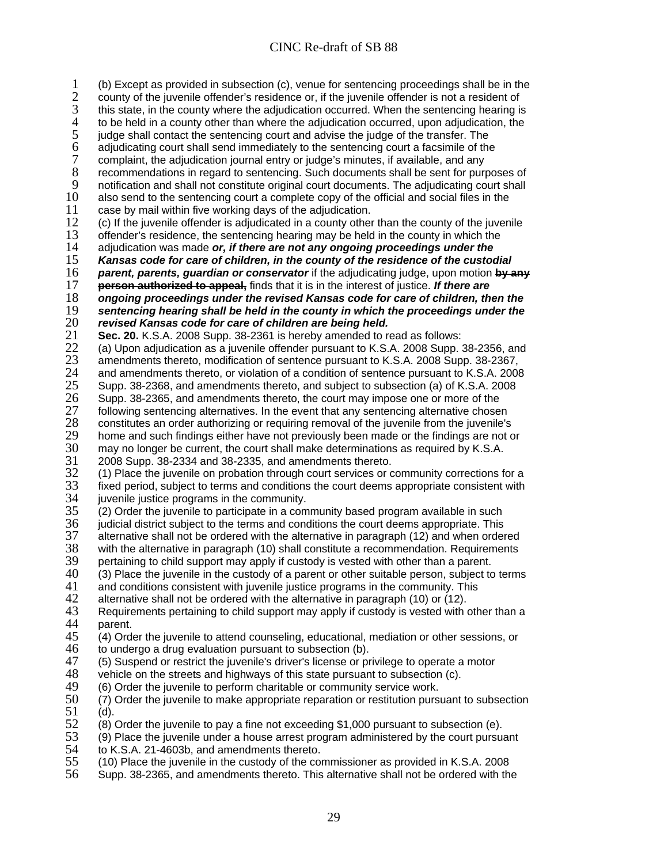1 (b) Except as provided in subsection (c), venue for sentencing proceedings shall be in the county of the juvenile offender's residence or, if the juvenile offender is not a resident of 2 county of the juvenile offender's residence or, if the juvenile offender is not a resident of 3 this state, in the county where the adiudication occurred. When the sentencing hearing is 3 this state, in the county where the adjudication occurred. When the sentencing hearing is<br>4 to be held in a county other than where the adjudication occurred. upon adjudication, the 4 to be held in a county other than where the adjudication occurred, upon adjudication, the judge shall contact the sentencing court and advise the judge of the transfer. The judge shall contact the sentencing court and advise the judge of the transfer. The 6 adjudicating court shall send immediately to the sentencing court a facsimile of the 7 complaint, the adjudication journal entry or judge's minutes, if available, and any<br>8 recommendations in regard to sentencing. Such documents shall be sent for puri recommendations in regard to sentencing. Such documents shall be sent for purposes of 9 notification and shall not constitute original court documents. The adjudicating court shall<br>10 also send to the sentencing court a complete copy of the official and social files in the 10 also send to the sentencing court a complete copy of the official and social files in the 11 case by mail within five working days of the adjudication. 11 case by mail within five working days of the adjudication.<br>12 (c) If the iuvenile offender is adjudicated in a county other 12 (c) If the juvenile offender is adjudicated in a county other than the county of the juvenile<br>13 offender's residence, the sentencing hearing may be held in the county in which the 13 offender's residence, the sentencing hearing may be held in the county in which the  $14$  adjudication was made or, if there are not any ongoing proceedings under the 14 adjudication was made *or, if there are not any ongoing proceedings under the*  15 *Kansas code for care of children, in the county of the residence of the custodial*  16 **parent, parents, guardian or conservator** if the adjudicating judge, upon motion by any 17 **person authorized to appeal,** finds that it is in the interest of justice. If there are 17 **person authorized to appeal,** finds that it is in the interest of justice. *If there are*  18 *ongoing proceedings under the revised Kansas code for care of children, then the*  19 *sentencing hearing shall be held in the county in which the proceedings under the*  20 *revised Kansas code for care of children are being held.*  **Sec. 20.** K.S.A. 2008 Supp. 38-2361 is hereby amended to read as follows:<br>22 (a) Upon adjudication as a juvenile offender pursuant to K.S.A. 2008 Supp. 22 (a) Upon adjudication as a juvenile offender pursuant to K.S.A. 2008 Supp. 38-2356, and<br>23 mendments thereto, modification of sentence pursuant to K.S.A. 2008 Supp. 38-2367, 23 amendments thereto, modification of sentence pursuant to K.S.A. 2008 Supp. 38-2367,<br>24 and amendments thereto, or violation of a condition of sentence pursuant to K.S.A. 2008 24 and amendments thereto, or violation of a condition of sentence pursuant to K.S.A. 2008 25 Supp. 38-2368, and amendments thereto, and subject to subsection (a) of K.S.A. 2008 26 Supp. 38-2365, and amendments thereto, the court may impose one or more of the 27 following sentencing alternatives. In the event that any sentencing alternative chose 27 following sentencing alternatives. In the event that any sentencing alternative chosen<br>28 constitutes an order authorizing or requiring removal of the iuvenile from the iuvenile's 28 constitutes an order authorizing or requiring removal of the juvenile from the juvenile's<br>29 home and such findings either have not previously been made or the findings are not c 29 home and such findings either have not previously been made or the findings are not or  $30$  may no longer be current, the court shall make determinations as required by K.S.A. 30 may no longer be current, the court shall make determinations as required by K.S.A. 31 2008 Supp. 38-2334 and 38-2335, and amendments thereto.<br>32 (1) Place the juvenile on probation through court services or c 32 (1) Place the juvenile on probation through court services or community corrections for a<br>33 fixed period, subject to terms and conditions the court deems appropriate consistent with 33 fixed period, subject to terms and conditions the court deems appropriate consistent with 34 juvenile justice programs in the community. 34 juvenile justice programs in the community.<br>35 (2) Order the juvenile to participate in a com 35 (2) Order the juvenile to participate in a community based program available in such<br>36 iudicial district subiect to the terms and conditions the court deems appropriate. This 36 judicial district subject to the terms and conditions the court deems appropriate. This 37 alternative shall not be ordered with the alternative in paragraph (12) and when ordered 38 with the alternative in paragraph (10) shall constitute a recommendation. Requirements  $39$  pertaining to child support may apply if custody is vested with other than a parent.<br> $40$  (3) Place the iuvenile in the custody of a parent or other suitable person, subject to  $40$  (3) Place the juvenile in the custody of a parent or other suitable person, subject to terms  $41$  and conditions consistent with juvenile justice programs in the community. This 41 and conditions consistent with juvenile justice programs in the community. This  $42$  alternative shall not be ordered with the alternative in paragraph (10) or (12). 42 alternative shall not be ordered with the alternative in paragraph (10) or (12).<br>43 Requirements pertaining to child support may apply if custody is vested with o 43 Requirements pertaining to child support may apply if custody is vested with other than a<br>44 parent. 44 parent.<br>45 (4) Ord 45 (4) Order the juvenile to attend counseling, educational, mediation or other sessions, or 46 to undergo a drug evaluation pursuant to subsection (b). 46 to undergo a drug evaluation pursuant to subsection (b).<br>47 (5) Suspend or restrict the juvenile's driver's license or pr 47 (5) Suspend or restrict the juvenile's driver's license or privilege to operate a motor 48 vehicle on the streets and highways of this state pursuant to subsection (c). 48 vehicle on the streets and highways of this state pursuant to subsection (c).<br>49 (6) Order the iuvenile to perform charitable or community service work. 49 (6) Order the juvenile to perform charitable or community service work.<br>50 (7) Order the juvenile to make appropriate reparation or restitution purs 50 (7) Order the juvenile to make appropriate reparation or restitution pursuant to subsection  $\begin{array}{cc} 51 & (d). \\ 52 & (8). \end{array}$ 52 (8) Order the juvenile to pay a fine not exceeding \$1,000 pursuant to subsection (e).<br>53 (9) Place the juvenile under a house arrest program administered by the court pursual 53 (9) Place the juvenile under a house arrest program administered by the court pursuant 54 to K.S.A. 21-4603b, and amendments thereto.

- 
- 54 to K.S.A. 21-4603b, and amendments thereto.<br>55 (10) Place the juvenile in the custody of the co 55 (10) Place the juvenile in the custody of the commissioner as provided in K.S.A. 2008
- 56 Supp. 38-2365, and amendments thereto. This alternative shall not be ordered with the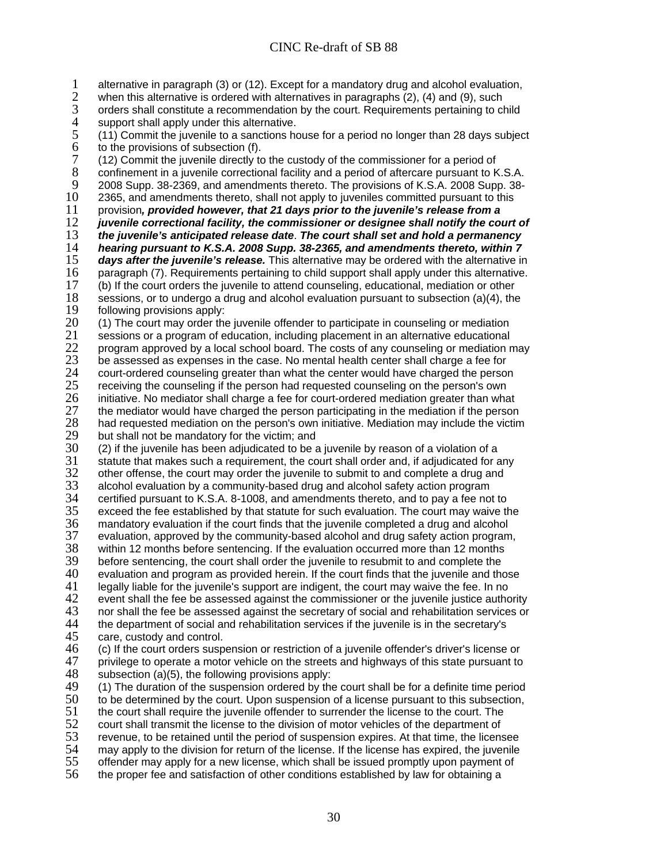1 alternative in paragraph (3) or (12). Except for a mandatory drug and alcohol evaluation,<br>2 when this alternative is ordered with alternatives in paragraphs (2), (4) and (9), such

when this alternative is ordered with alternatives in paragraphs  $(2)$ ,  $(4)$  and  $(9)$ , such  $3$  orders shall constitute a recommendation by the court. Requirements pertaining to ch

3 orders shall constitute a recommendation by the court. Requirements pertaining to child<br>4 support shall apply under this alternative.

4 support shall apply under this alternative.<br>5 (11) Commit the juvenile to a sanctions ho 5 (11) Commit the juvenile to a sanctions house for a period no longer than 28 days subject  $6$  to the provisions of subsection (f).<br> $7$  (12) Commit the iuvenile directly to

7 (12) Commit the juvenile directly to the custody of the commissioner for a period of confinement in a juvenile correctional facility and a period of aftercare pursuant to K.S.A.

9 2008 Supp. 38-2369, and amendments thereto. The provisions of K.S.A. 2008 Supp. 38-<br>10 2365, and amendments thereto, shall not apply to juveniles committed pursuant to this

10 2365, and amendments thereto, shall not apply to juveniles committed pursuant to this<br>11 provision, **provided however, that 21 days prior to the juvenile's release from a** 

11 provision*, provided however, that 21 days prior to the juvenile's release from a* 

12 *juvenile correctional facility, the commissioner or designee shall notify the court of* 

13 *the juvenile's anticipated release date*. *The court shall set and hold a permanency* 

14 *hearing pursuant to K.S.A. 2008 Supp. 38-2365, and amendments thereto, within 7* 

15 *days after the juvenile's release.* This alternative may be ordered with the alternative in 16 paragraph (7). Requirements pertaining to child support shall apply under this alternative.

17 (b) If the court orders the juvenile to attend counseling, educational, mediation or other 18 sessions, or to undergo a drug and alcohol evaluation pursuant to subsection (a)(4), the 18 sessions, or to undergo a drug and alcohol evaluation pursuant to subsection (a)(4), the  $19$  following provisions apply:

19 following provisions apply:<br>20 (1) The court may order the

20 (1) The court may order the juvenile offender to participate in counseling or mediation<br>21 sessions or a program of education, including placement in an alternative educational

21 sessions or a program of education, including placement in an alternative educational<br>22 program approved by a local school board. The costs of any counseling or mediation r

22 program approved by a local school board. The costs of any counseling or mediation may  $23$  be assessed as expenses in the case. No mental health center shall charge a fee for

23 be assessed as expenses in the case. No mental health center shall charge a fee for<br>24 court-ordered counseling greater than what the center would have charged the persor

24 court-ordered counseling greater than what the center would have charged the person<br>25 receiving the counseling if the person had requested counseling on the person's own 25 receiving the counseling if the person had requested counseling on the person's own<br>26 initiative. No mediator shall charge a fee for court-ordered mediation greater than wha

- 26 initiative. No mediator shall charge a fee for court-ordered mediation greater than what<br>27 the mediator would have charged the person participating in the mediation if the person 27 the mediator would have charged the person participating in the mediation if the person<br>28 had requested mediation on the person's own initiative. Mediation may include the victim 28 had requested mediation on the person's own initiative. Mediation may include the victim 29 but shall not be mandatory for the victim; and
- 29 but shall not be mandatory for the victim; and  $30$  (2) if the juvenile has been adjudicated to be a

 $30$  (2) if the juvenile has been adjudicated to be a juvenile by reason of a violation of a 31 statute that makes such a requirement, the court shall order and, if adjudicated for a 31 statute that makes such a requirement, the court shall order and, if adjudicated for any<br>32 other offense, the court may order the juvenile to submit to and complete a drug and

32 other offense, the court may order the juvenile to submit to and complete a drug and<br>33 alcohol evaluation by a community-based drug and alcohol safety action program 33 alcohol evaluation by a community-based drug and alcohol safety action program

34 certified pursuant to K.S.A. 8-1008, and amendments thereto, and to pay a fee not to<br>35 exceed the fee established by that statute for such evaluation. The court may waive th

 $35$  exceed the fee established by that statute for such evaluation. The court may waive the  $36$  mandatory evaluation if the court finds that the invenile completed a drug and alcohol 36 mandatory evaluation if the court finds that the juvenile completed a drug and alcohol

37 evaluation, approved by the community-based alcohol and drug safety action program,

38 within 12 months before sentencing. If the evaluation occurred more than 12 months

39 before sentencing, the court shall order the juvenile to resubmit to and complete the

40 evaluation and program as provided herein. If the court finds that the juvenile and those<br>41 egally liable for the juvenile's support are indigent, the court may waive the fee. In no 41 legally liable for the juvenile's support are indigent, the court may waive the fee. In no<br>42 event shall the fee be assessed against the commissioner or the iuvenile iustice autho 42 event shall the fee be assessed against the commissioner or the juvenile justice authority<br>43 on the feed be assessed against the secretary of social and rehabilitation services or

43 nor shall the fee be assessed against the secretary of social and rehabilitation services or 44 the department of social and rehabilitation services if the juvenile is in the secretary's 44 the department of social and rehabilitation services if the juvenile is in the secretary's  $45$  care, custody and control.

45 care, custody and control.<br>46 (c) If the court orders susp 46 (c) If the court orders suspension or restriction of a juvenile offender's driver's license or<br>47 privilege to operate a motor vehicle on the streets and highways of this state pursuant to 47 privilege to operate a motor vehicle on the streets and highways of this state pursuant to  $48$  subsection (a)(5), the following provisions apply: 48 subsection (a)(5), the following provisions apply:<br>49 (1) The duration of the suspension ordered by th

 $49$  (1) The duration of the suspension ordered by the court shall be for a definite time period  $50$  to be determined by the court. Upon suspension of a license pursuant to this subsection. to be determined by the court. Upon suspension of a license pursuant to this subsection,

51 the court shall require the juvenile offender to surrender the license to the court. The 52 court shall transmit the license to the division of motor vehicles of the department of

52 court shall transmit the license to the division of motor vehicles of the department of 53 revenue, to be retained until the period of suspension expires. At that time, the licens

53 revenue, to be retained until the period of suspension expires. At that time, the licensee<br>54 may apply to the division for return of the license. If the license has expired, the juvenile

54 may apply to the division for return of the license. If the license has expired, the juvenile<br>55 offender may apply for a new license, which shall be issued promptly upon payment of 55 offender may apply for a new license, which shall be issued promptly upon payment of 56 the proper fee and satisfaction of other conditions established by law for obtaining a

the proper fee and satisfaction of other conditions established by law for obtaining a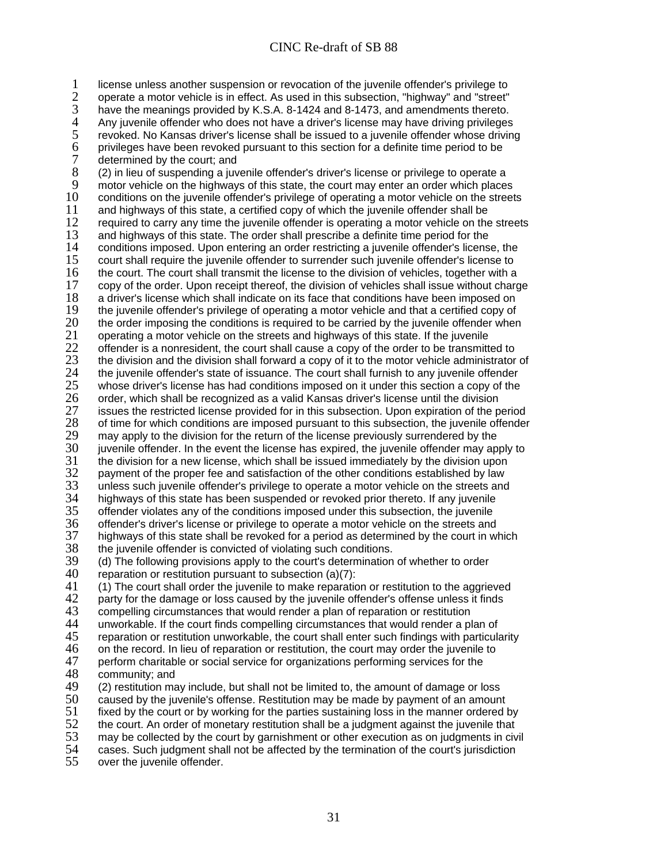1 license unless another suspension or revocation of the juvenile offender's privilege to<br>2 operate a motor vehicle is in effect. As used in this subsection, "highway" and "street"  $2$  operate a motor vehicle is in effect. As used in this subsection, "highway" and "street"<br>3 have the meanings provided by K.S.A. 8-1424 and 8-1473, and amendments thereto. 3 have the meanings provided by K.S.A. 8-1424 and 8-1473, and amendments thereto.<br>4 Any iuvenile offender who does not have a driver's license may have driving privileges 4 Any juvenile offender who does not have a driver's license may have driving privileges<br>5 revoked. No Kansas driver's license shall be issued to a juvenile offender whose driving revoked. No Kansas driver's license shall be issued to a juvenile offender whose driving 6 privileges have been revoked pursuant to this section for a definite time period to be  $7$  determined by the court; and  $8$  (2) in lieu of suspending a juv (2) in lieu of suspending a juvenile offender's driver's license or privilege to operate a 9 motor vehicle on the highways of this state, the court may enter an order which places<br>10 conditions on the juvenile offender's privilege of operating a motor vehicle on the street 10 conditions on the juvenile offender's privilege of operating a motor vehicle on the streets 11 and highways of this state, a certified copy of which the juvenile offender shall be 11 and highways of this state, a certified copy of which the juvenile offender shall be 12 required to carry any time the juvenile offender is operating a motor vehicle on the 12 required to carry any time the juvenile offender is operating a motor vehicle on the streets 13 and highways of this state. The order shall prescribe a definite time period for the 13 and highways of this state. The order shall prescribe a definite time period for the 14 conditions imposed. Upon entering an order restricting a juvenile offender's license 14 conditions imposed. Upon entering an order restricting a juvenile offender's license, the 15 court shall require the juvenile offender such juvenile offender's license to 15 court shall require the juvenile offender to surrender such juvenile offender's license to 16 the court. The court shall transmit the license to the division of vehicles, together with a the court. The court shall transmit the license to the division of vehicles, together with a 17 copy of the order. Upon receipt thereof, the division of vehicles shall issue without charge<br>18 a driver's license which shall indicate on its face that conditions have been imposed on 18 a driver's license which shall indicate on its face that conditions have been imposed on 19 the juvenile offender's privilege of operating a motor vehicle and that a certified copy of 19 the juvenile offender's privilege of operating a motor vehicle and that a certified copy of <br>20 the order imposing the conditions is required to be carried by the juvenile offender wher 20 the order imposing the conditions is required to be carried by the juvenile offender when<br>21 operating a motor vehicle on the streets and highways of this state. If the juvenile 21 operating a motor vehicle on the streets and highways of this state. If the juvenile<br>22 offender is a nonresident, the court shall cause a copy of the order to be transmitt 22 offender is a nonresident, the court shall cause a copy of the order to be transmitted to  $23$  the division and the division shall forward a copy of it to the motor vehicle administrator 23 the division and the division shall forward a copy of it to the motor vehicle administrator of 24 the juvenile offender's state of issuance. The court shall furnish to any juvenile offender 24 the juvenile offender's state of issuance. The court shall furnish to any juvenile offender<br>25 whose driver's license has had conditions imposed on it under this section a copy of the 25 whose driver's license has had conditions imposed on it under this section a copy of the <br>26 order, which shall be recognized as a valid Kansas driver's license until the division 26 order, which shall be recognized as a valid Kansas driver's license until the division<br>27 issues the restricted license provided for in this subsection. Upon expiration of the p 27 issues the restricted license provided for in this subsection. Upon expiration of the period<br>28 of time for which conditions are imposed pursuant to this subsection, the iuvenile offender 28 of time for which conditions are imposed pursuant to this subsection, the juvenile offender<br>29 may apply to the division for the return of the license previously surrendered by the 29 may apply to the division for the return of the license previously surrendered by the 30 juvenile offender. In the event the license has expired, the juvenile offender may ap  $30$  juvenile offender. In the event the license has expired, the juvenile offender may apply to  $31$  the division for a new license, which shall be issued immediately by the division upon 31 the division for a new license, which shall be issued immediately by the division upon <br>32 payment of the proper fee and satisfaction of the other conditions established by law 32 payment of the proper fee and satisfaction of the other conditions established by law<br>33 unless such juvenile offender's privilege to operate a motor vehicle on the streets and 33 unless such juvenile offender's privilege to operate a motor vehicle on the streets and<br>34 highways of this state has been suspended or revoked prior thereto. If any juvenile 34 highways of this state has been suspended or revoked prior thereto. If any juvenile<br>35 offender violates any of the conditions imposed under this subsection, the juvenile 35 offender violates any of the conditions imposed under this subsection, the juvenile 36 offender's driver's license or privilege to operate a motor vehicle on the streets and 37 highways of this state shall be revoked for a period as determined by the court in which<br>38 the juvenile offender is convicted of violating such conditions. 38 the juvenile offender is convicted of violating such conditions.<br>39 (d) The following provisions apply to the court's determination  $39$  (d) The following provisions apply to the court's determination of whether to order  $40$  reparation or restitution pursuant to subsection (a)(7): 40 reparation or restitution pursuant to subsection (a)(7):  $41$  (1) The court shall order the juvenile to make reparation 41 (1) The court shall order the juvenile to make reparation or restitution to the aggrieved<br>42 party for the damage or loss caused by the juvenile offender's offense unless it finds 42 party for the damage or loss caused by the juvenile offender's offense unless it finds<br>43 compelling circumstances that would render a plan of reparation or restitution 43 compelling circumstances that would render a plan of reparation or restitution<br>44 unworkable. If the court finds compelling circumstances that would render a pl 44 unworkable. If the court finds compelling circumstances that would render a plan of 45 reparation or restitution unworkable, the court shall enter such findings with particula 45 reparation or restitution unworkable, the court shall enter such findings with particularity<br>46 on the record. In lieu of reparation or restitution, the court may order the juvenile to 46 on the record. In lieu of reparation or restitution, the court may order the juvenile to<br>47 perform charitable or social service for organizations performing services for the 47 perform charitable or social service for organizations performing services for the 48 community: and

- 
- 48 community; and<br>49 (2) restitution ma
- 49 (2) restitution may include, but shall not be limited to, the amount of damage or loss<br>50 caused by the juvenile's offense. Restitution may be made by payment of an amoun
- 50 caused by the juvenile's offense. Restitution may be made by payment of an amount 51 fixed by the court or by working for the parties sustaining loss in the manner ordered by
- 51 fixed by the court or by working for the parties sustaining loss in the manner ordered by<br>52 the court. An order of monetary restitution shall be a judgment against the juvenile that
- 52 the court. An order of monetary restitution shall be a judgment against the juvenile that<br>53 may be collected by the court by garnishment or other execution as on judgments in civ
- 53 may be collected by the court by garnishment or other execution as on judgments in civil<br>54 cases. Such judgment shall not be affected by the termination of the court's jurisdiction 54 cases. Such judgment shall not be affected by the termination of the court's jurisdiction<br>55 over the juvenile offender.
- over the juvenile offender.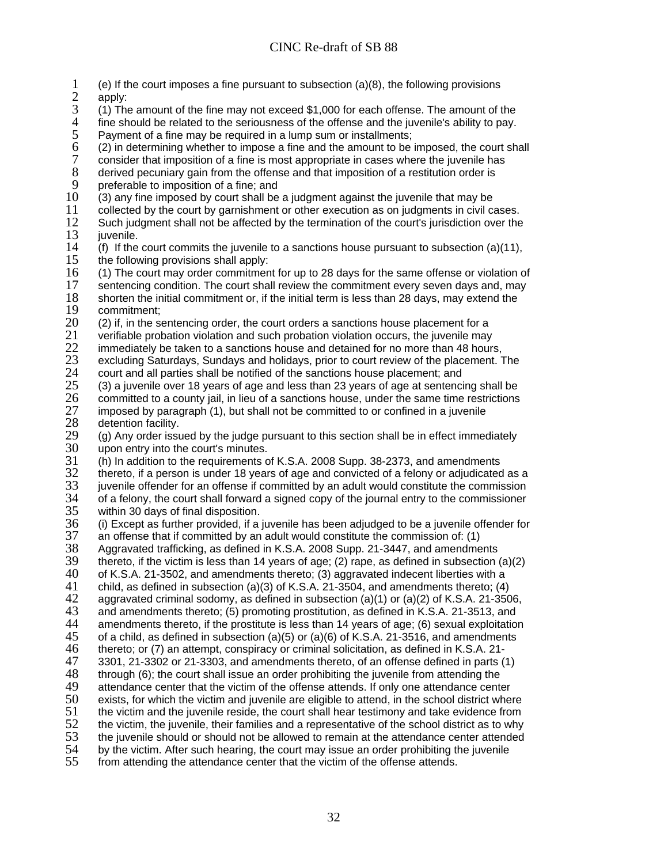- (e) If the court imposes a fine pursuant to subsection (a)(8), the following provisions apply:
- $\begin{array}{cc} 2 & \text{apply:} \\ 3 & (1) \text{ Th} \end{array}$
- 3 (1) The amount of the fine may not exceed \$1,000 for each offense. The amount of the
- 4 fine should be related to the seriousness of the offense and the juvenile's ability to pay.<br>5 Payment of a fine may be required in a lump sum or installments;
- 
- 5 Payment of a fine may be required in a lump sum or installments;<br>6 (2) in determining whether to impose a fine and the amount to be  $6$  (2) in determining whether to impose a fine and the amount to be imposed, the court shall consider that imposition of a fine is most appropriate in cases where the juvenile has
- 7 consider that imposition of a fine is most appropriate in cases where the juvenile has<br>8 derived pecuniary gain from the offense and that imposition of a restitution order is
- derived pecuniary gain from the offense and that imposition of a restitution order is
- 9 preferable to imposition of a fine; and<br>10 (3) any fine imposed by court shall be 10 (3) any fine imposed by court shall be a judgment against the juvenile that may be 11 collected by the court by garnishment or other execution as on judgments in civil ca
- 11 collected by the court by garnishment or other execution as on judgments in civil cases.<br>12 Such judgment shall not be affected by the termination of the court's jurisdiction over the
- 12 Such judgment shall not be affected by the termination of the court's jurisdiction over the last invenile.
- 13 juvenile.<br>14 (f) If the 14 (f) If the court commits the juvenile to a sanctions house pursuant to subsection (a)(11),  $15$  the following provisions shall apply:
- 15 the following provisions shall apply:<br>16 (1) The court may order commitmer (1) The court may order commitment for up to 28 days for the same offense or violation of
- 17 sentencing condition. The court shall review the commitment every seven days and, may 18 shorten the initial commitment or, if the initial term is less than 28 days, may extend the
- 18 shorten the initial commitment or, if the initial term is less than 28 days, may extend the 19 commitment:
- $19$  commitment;<br> $20$  (2) if, in the set  $20$  (2) if, in the sentencing order, the court orders a sanctions house placement for a<br> $21$  verifiable probation violation and such probation violation occurs, the juvenile may
- 
- 21 verifiable probation violation and such probation violation occurs, the juvenile may<br>22 immediately be taken to a sanctions house and detained for no more than 48 hours 22 immediately be taken to a sanctions house and detained for no more than 48 hours,  $23$  excluding Saturdays, Sundays and holidays, prior to court review of the placement. T
- 23 excluding Saturdays, Sundays and holidays, prior to court review of the placement. The 24 court and all parties shall be notified of the sanctions house placement; and
- 24 court and all parties shall be notified of the sanctions house placement; and  $25$  (3) a juvenile over 18 years of age and less than 23 years of age at sentenci
- $25$  (3) a juvenile over 18 years of age and less than 23 years of age at sentencing shall be  $26$  committed to a county jail, in lieu of a sanctions house, under the same time restrictions 26 committed to a county jail, in lieu of a sanctions house, under the same time restrictions<br>27 imposed by paragraph (1), but shall not be committed to or confined in a juvenile 27 imposed by paragraph (1), but shall not be committed to or confined in a juvenile
- 
- 28 detention facility.<br>29 (g) Any order issu  $29$  (g) Any order issued by the judge pursuant to this section shall be in effect immediately  $30$  upon entry into the court's minutes. 30 upon entry into the court's minutes.<br>31 (h) In addition to the requirements o
- 31 (h) In addition to the requirements of K.S.A. 2008 Supp. 38-2373, and amendments
- $32$  thereto, if a person is under 18 years of age and convicted of a felony or adjudicated as a<br> $33$  juvenile offender for an offense if committed by an adult would constitute the commission 33 juvenile offender for an offense if committed by an adult would constitute the commission<br>34 of a felony, the court shall forward a signed copy of the journal entry to the commissioner  $34$  of a felony, the court shall forward a signed copy of the journal entry to the commissioner  $35$  within 30 days of final disposition.
- 35 within 30 days of final disposition.
- 36 (i) Except as further provided, if a juvenile has been adjudged to be a juvenile offender for 37 an offense that if committed by an adult would constitute the commission of: (1)
- 37 an offense that if committed by an adult would constitute the commission of: (1)
- 38 Aggravated trafficking, as defined in K.S.A. 2008 Supp. 21-3447, and amendments
- 39 thereto, if the victim is less than 14 years of age; (2) rape, as defined in subsection (a)(2)  $40$  of K.S.A. 21-3502. and amendments thereto: (3) aggravated indecent liberties with a
- 40 of K.S.A. 21-3502, and amendments thereto; (3) aggravated indecent liberties with a<br>41 child, as defined in subsection (a)(3) of K.S.A. 21-3504, and amendments thereto; (4)
- 41 child, as defined in subsection (a)(3) of K.S.A. 21-3504, and amendments thereto; (4)
- 42 aggravated criminal sodomy, as defined in subsection (a)(1) or (a)(2) of K.S.A. 21-3506, 43 and amendments thereto; (5) promoting prostitution, as defined in K.S.A. 21-3513, and
- and amendments thereto; (5) promoting prostitution, as defined in K.S.A. 21-3513, and<br>44 amendments thereto, if the prostitute is less than 14 years of age; (6) sexual exploitation
- 44 amendments thereto, if the prostitute is less than 14 years of age; (6) sexual exploitation  $45$  of a child, as defined in subsection (a)(5) or (a)(6) of K.S.A. 21-3516, and amendments
- 45 of a child, as defined in subsection (a)(5) or (a)(6) of K.S.A. 21-3516, and amendments 46 thereto; or (7) an attempt, conspiracy or criminal solicitation, as defined in K.S.A. 21-
- 47 3301, 21-3302 or 21-3303, and amendments thereto, of an offense defined in parts (1)<br>48 through (6): the court shall issue an order prohibiting the iuvenile from attending the
- 48 through (6); the court shall issue an order prohibiting the juvenile from attending the 49 attendance center that the victim of the offense attends. If only one attendance center
- 49 attendance center that the victim of the offense attends. If only one attendance center<br>50 exists, for which the victim and juvenile are eligible to attend, in the school district whe
- exists, for which the victim and juvenile are eligible to attend, in the school district where
- 51 the victim and the juvenile reside, the court shall hear testimony and take evidence from<br>52 the victim, the juvenile, their families and a representative of the school district as to why
- 52 the victim, the juvenile, their families and a representative of the school district as to why<br>53 the juvenile should or should not be allowed to remain at the attendance center attended
- 53 the juvenile should or should not be allowed to remain at the attendance center attended<br>54 by the victim. After such hearing, the court may issue an order prohibiting the juvenile
- 54 by the victim. After such hearing, the court may issue an order prohibiting the juvenile<br>55 from attending the attendance center that the victim of the offense attends. from attending the attendance center that the victim of the offense attends.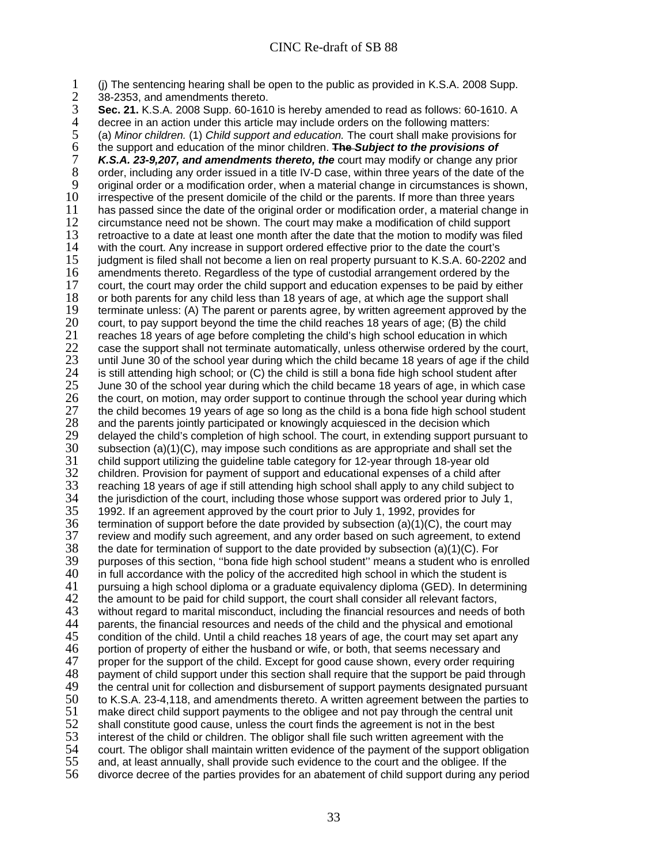1 (j) The sentencing hearing shall be open to the public as provided in K.S.A. 2008 Supp. 2 38-2353, and amendments thereto.<br>3 **Sec. 21.** K.S.A. 2008 Supp. 60-161 **Sec. 21.** K.S.A. 2008 Supp. 60-1610 is hereby amended to read as follows: 60-1610. A<br>4 decree in an action under this article may include orders on the following matters: decree in an action under this article may include orders on the following matters:<br>5 (a) Minor children. (1) Child support and education. The court shall make provision 5 (a) *Minor children.* (1) *Child support and education.* The court shall make provisions for 6 the support and education of the minor children. **The** *Subject to the provisions of*  **K.S.A. 23-9,207, and amendments thereto, the** court may modify or change any prior order, including any order issued in a title IV-D case, within three years of the date of the order, including any order issued in a title IV-D case, within three years of the date of the 9 original order or a modification order, when a material change in circumstances is shown,<br>10 irrespective of the present domicile of the child or the parents. If more than three years 10 irrespective of the present domicile of the child or the parents. If more than three years<br>11 has passed since the date of the original order or modification order, a material change 11 has passed since the date of the original order or modification order, a material change in  $12$  circumstance need not be shown. The court may make a modification of child support 12 circumstance need not be shown. The court may make a modification of child support 13 retroactive to a date at least one month after the date that the motion to modify was file 13 retroactive to a date at least one month after the date that the motion to modify was filed 14 with the court. Any increase in support ordered effective prior to the date the court's 14 with the court. Any increase in support ordered effective prior to the date the court's<br>15 iudement is filed shall not become a lien on real property pursuant to K.S.A. 60-2202 15 judgment is filed shall not become a lien on real property pursuant to K.S.A. 60-2202 and<br>16 amendments thereto. Regardless of the type of custodial arrangement ordered by the amendments thereto. Regardless of the type of custodial arrangement ordered by the 17 court, the court may order the child support and education expenses to be paid by either 18 or both parents for any child less than 18 years of age, at which age the support shall 18 or both parents for any child less than 18 years of age, at which age the support shall<br>19 terminate unless: (A) The parent or parents agree, by written agreement approved by 19 terminate unless: (A) The parent or parents agree, by written agreement approved by the 20 court, to pay support beyond the time the child reaches 18 years of age; (B) the child 20 court, to pay support beyond the time the child reaches 18 years of age; (B) the child<br>21 reaches 18 years of age before completing the child's high school education in which 21 reaches 18 years of age before completing the child's high school education in which<br>22 case the support shall not terminate automatically, unless otherwise ordered by the co 22 case the support shall not terminate automatically, unless otherwise ordered by the court,  $23$  until June 30 of the school year during which the child became 18 years of age if the child 23 until June 30 of the school year during which the child became 18 years of age if the child<br>24 is still attending high school; or (C) the child is still a bona fide high school student after 24 is still attending high school; or (C) the child is still a bona fide high school student after  $25$  June 30 of the school vear during which the child became 18 vears of age, in which case 25 June 30 of the school year during which the child became 18 years of age, in which case<br>26 the court, on motion, may order support to continue through the school year during which 26 the court, on motion, may order support to continue through the school year during which<br>27 the child becomes 19 years of age so long as the child is a bona fide high school student 27 the child becomes 19 years of age so long as the child is a bona fide high school student  $28$  and the parents iointly participated or knowingly acquiesced in the decision which 28 and the parents jointly participated or knowingly acquiesced in the decision which<br>29 delayed the child's completion of high school. The court, in extending support purs 29 delayed the child's completion of high school. The court, in extending support pursuant to  $30$  subsection (a)(1)(C), may impose such conditions as are appropriate and shall set the  $30$  subsection (a)(1)(C), may impose such conditions as are appropriate and shall set the  $31$  child support utilizing the quideline table category for 12-vear through 18-vear old 31 child support utilizing the guideline table category for 12-year through 18-year old<br>32 children. Provision for payment of support and educational expenses of a child aft 32 children. Provision for payment of support and educational expenses of a child after<br>33 reaching 18 years of age if still attending high school shall apply to any child subject 33 reaching 18 years of age if still attending high school shall apply to any child subject to 34 the jurisdiction of the court, including those whose support was ordered prior to July 1, 35 1992. If an agreement approved by the court prior to July 1, 1992, provides for 35 1992. If an agreement approved by the court prior to July 1, 1992, provides for  $36$  termination of support before the date provided by subsection (a)(1)(C), the court may  $37$  review and modify such agreement, and any order based on such agreement, to exten  $37$  review and modify such agreement, and any order based on such agreement, to extend  $38$  the date for termination of support to the date provided by subsection (a)(1)(C). For 38 the date for termination of support to the date provided by subsection (a)(1)(C). For  $39$  purposes of this section, "bona fide high school student" means a student who is enrolled  $40$  in full accordance with the policy of the accredited high school in which the student is 40 in full accordance with the policy of the accredited high school in which the student is 41 pursuing a high school diploma or a graduate equivalency diploma (GED). In determing  $41$  pursuing a high school diploma or a graduate equivalency diploma (GED). In determining  $42$  the amount to be paid for child support, the court shall consider all relevant factors. 42 the amount to be paid for child support, the court shall consider all relevant factors,<br>43 without regard to marital misconduct, including the financial resources and needs o 43 without regard to marital misconduct, including the financial resources and needs of both<br>44 parents, the financial resources and needs of the child and the physical and emotional 44 parents, the financial resources and needs of the child and the physical and emotional 45 condition of the child. Until a child reaches 18 years of age, the court may set apart any 45 condition of the child. Until a child reaches 18 years of age, the court may set apart any<br>46 portion of property of either the husband or wife, or both, that seems necessary and 46 portion of property of either the husband or wife, or both, that seems necessary and<br>47 proper for the support of the child. Except for good cause shown, every order requiri 47 proper for the support of the child. Except for good cause shown, every order requiring 48 and throud as paid throud 48 payment of child support under this section shall require that the support be paid through<br>49 the central unit for collection and disbursement of support payments designated pursuant 49 the central unit for collection and disbursement of support payments designated pursuant<br>50 to K.S.A. 23-4,118, and amendments thereto. A written agreement between the parties to 50 to K.S.A. 23-4,118, and amendments thereto. A written agreement between the parties to 51 make direct child support payments to the obligee and not pay through the central unit <br>52 shall constitute good cause, unless the court finds the agreement is not in the best 52 shall constitute good cause, unless the court finds the agreement is not in the best<br>53 interest of the child or children. The obligor shall file such written agreement with th 53 interest of the child or children. The obligor shall file such written agreement with the<br>54 court. The obligor shall maintain written evidence of the payment of the support obliga 54 court. The obligor shall maintain written evidence of the payment of the support obligation<br>55 and, at least annually, shall provide such evidence to the court and the obligee. If the 55 and, at least annually, shall provide such evidence to the court and the obligee. If the<br>56 divorce decree of the parties provides for an abatement of child support during any pe divorce decree of the parties provides for an abatement of child support during any period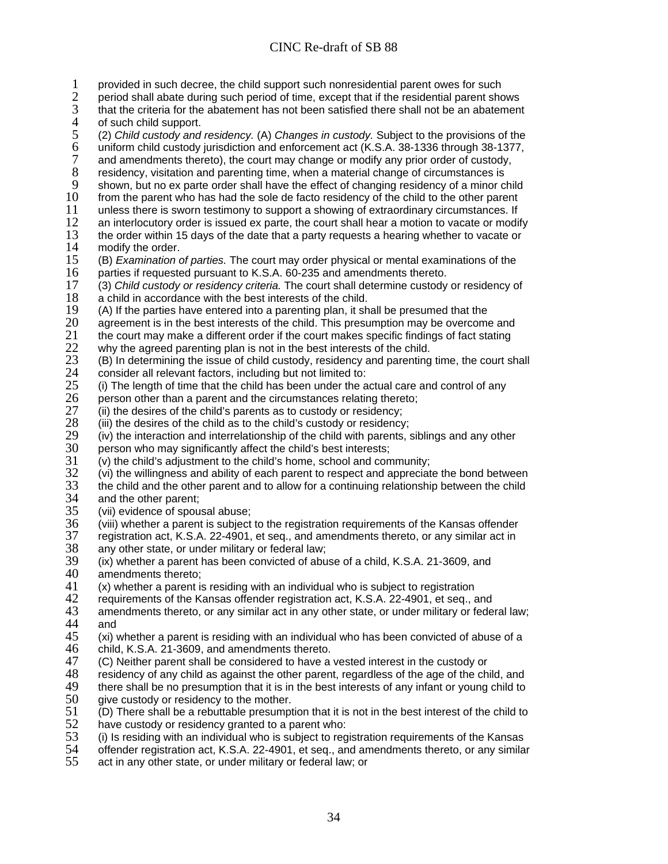- 1 provided in such decree, the child support such nonresidential parent owes for such<br>2 period shall abate during such period of time, except that if the residential parent sho
- $2$  period shall abate during such period of time, except that if the residential parent shows  $3$  that the criteria for the abatement has not been satisfied there shall not be an abatement
- 3 that the criteria for the abatement has not been satisfied there shall not be an abatement<br>4 of such child support.
- 4 of such child support.<br>5 (2) Child custody and
- 5 (2) *Child custody and residency.* (A) *Changes in custody.* Subject to the provisions of the
- 6 uniform child custody jurisdiction and enforcement act (K.S.A. 38-1336 through 38-1377,
- 7 and amendments thereto), the court may change or modify any prior order of custody,<br>8 residency, visitation and parenting time, when a material change of circumstances is
- residency, visitation and parenting time, when a material change of circumstances is
- 9 shown, but no ex parte order shall have the effect of changing residency of a minor child<br>10 from the parent who has had the sole de facto residency of the child to the other parent
- 10 from the parent who has had the sole de facto residency of the child to the other parent 1<br>11 unless there is sworn testimony to support a showing of extraordinary circumstances. If
- 11 unless there is sworn testimony to support a showing of extraordinary circumstances. If <br>12 an interlocutory order is issued ex parte, the court shall hear a motion to vacate or modi
- 12 an interlocutory order is issued ex parte, the court shall hear a motion to vacate or modify<br>13 the order within 15 days of the date that a party requests a hearing whether to vacate or 13 the order within 15 days of the date that a party requests a hearing whether to vacate or 14 modify the order.
- 14 modify the order.<br>15 (B) Examination of
- 15 (B) *Examination of parties.* The court may order physical or mental examinations of the
- parties if requested pursuant to K.S.A. 60-235 and amendments thereto.
- 17 (3) *Child custody or residency criteria.* The court shall determine custody or residency of
- 18 a child in accordance with the best interests of the child.<br>19 (A) If the parties have entered into a parenting plan, it sh
- 19 (A) If the parties have entered into a parenting plan, it shall be presumed that the 20 agreement is in the best interests of the child. This presumption may be overcome
- 20 agreement is in the best interests of the child. This presumption may be overcome and<br>21 the court may make a different order if the court makes specific findings of fact stating
- 21 the court may make a different order if the court makes specific findings of fact stating<br>22 why the agreed parenting plan is not in the best interests of the child.
- 22 why the agreed parenting plan is not in the best interests of the child.<br>23 (B) In determining the issue of child custody, residency and parenting
- 23 (B) In determining the issue of child custody, residency and parenting time, the court shall 24 consider all relevant factors, including but not limited to:
- 24 consider all relevant factors, including but not limited to:<br>25 (i) The length of time that the child has been under the a 25 (i) The length of time that the child has been under the actual care and control of any  $26$  person other than a parent and the circumstances relating thereto;
- 
- 26 person other than a parent and the circumstances relating thereto;<br>27 (ii) the desires of the child's parents as to custody or residency;
- 27 (ii) the desires of the child's parents as to custody or residency;<br>28 (iii) the desires of the child as to the child's custody or residency
- 28 (iii) the desires of the child as to the child's custody or residency;<br>29 (iv) the interaction and interrelationship of the child with parents, 29 (iv) the interaction and interrelationship of the child with parents, siblings and any other 30 person who may significantly affect the child's best interests;
- 30 person who may significantly affect the child's best interests;<br>31 (v) the child's adjustment to the child's home, school and com
- 31 (v) the child's adjustment to the child's home, school and community;<br>32 (vi) the willingness and ability of each parent to respect and appreciat
- 32 (vi) the willingness and ability of each parent to respect and appreciate the bond between<br>33 the child and the other parent and to allow for a continuing relationship between the child
- 33 the child and the other parent and to allow for a continuing relationship between the child<br>34 and the other parent;
- 34 and the other parent;<br>35 (vii) evidence of spou 35 (vii) evidence of spousal abuse;<br>36 (viii) whether a parent is subiect
- 36 (viii) whether a parent is subject to the registration requirements of the Kansas offender
- 37 registration act, K.S.A. 22-4901, et seq., and amendments thereto, or any similar act in<br>38 any other state, or under military or federal law:
- 38 any other state, or under military or federal law;<br>39 (ix) whether a parent has been convicted of abu 39 (ix) whether a parent has been convicted of abuse of a child, K.S.A. 21-3609, and
- 
- $40$  amendments thereto;<br> $41$  (x) whether a parent is 41 (x) whether a parent is residing with an individual who is subject to registration<br>42 requirements of the Kansas offender registration act. K.S.A. 22-4901. et seg.. a
- 
- 42 requirements of the Kansas offender registration act, K.S.A. 22-4901, et seq., and<br>43 amendments thereto, or any similar act in any other state, or under military or fede 43 amendments thereto, or any similar act in any other state, or under military or federal law;<br>44 and  $\begin{array}{cc} 44 & \text{and} \\ 45 & \text{(xi)} \end{array}$
- 45 (xi) whether a parent is residing with an individual who has been convicted of abuse of a<br>46 child, K.S.A. 21-3609, and amendments thereto.
- 46 child, K.S.A. 21-3609, and amendments thereto.<br>47 (C) Neither parent shall be considered to have a
- 47 (C) Neither parent shall be considered to have a vested interest in the custody or 48 residency of any child as against the other parent, regardless of the age of the chi
- 48 residency of any child as against the other parent, regardless of the age of the child, and<br>49 there shall be no presumption that it is in the best interests of any infant or young child to 49 there shall be no presumption that it is in the best interests of any infant or young child to <br>50 give custody or residency to the mother.
- give custody or residency to the mother.
- 51 (D) There shall be a rebuttable presumption that it is not in the best interest of the child to  $52$  have custody or residency granted to a parent who:
- 52 have custody or residency granted to a parent who:<br>53 (i) Is residing with an individual who is subject to reg
- 53 (i) Is residing with an individual who is subject to registration requirements of the Kansas<br>54 offender registration act, K.S.A. 22-4901, et seg., and amendments thereto, or any similar
- 54 offender registration act, K.S.A. 22-4901, et seq., and amendments thereto, or any similar 55 act in any other state, or under military or federal law; or
- act in any other state, or under military or federal law; or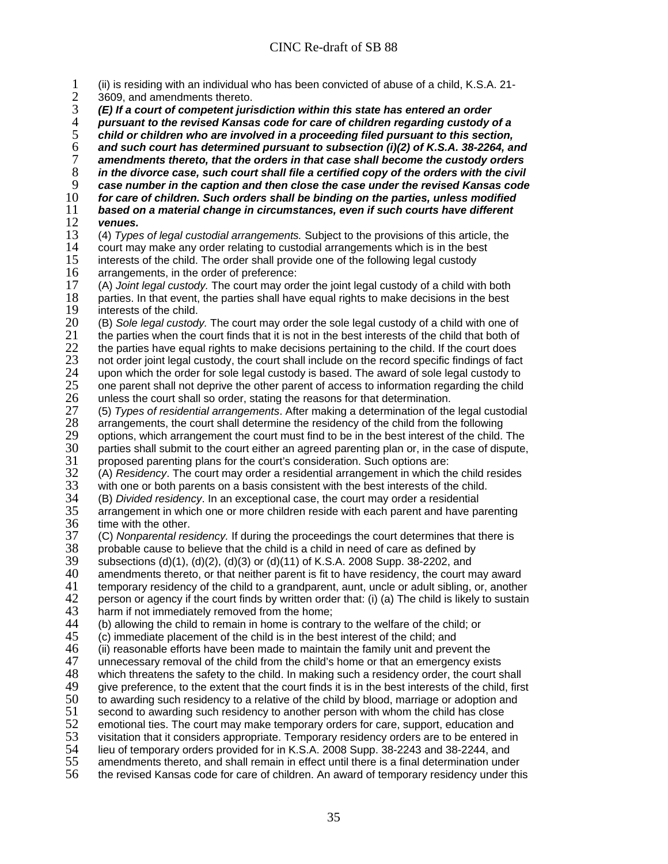- 1 (ii) is residing with an individual who has been convicted of abuse of a child, K.S.A. 21- 2 3609, and amendments thereto.<br>3  $\sqrt{(E)}$  if a court of competent juri 3 *(E) If a court of competent jurisdiction within this state has entered an order*  4 *pursuant to the revised Kansas code for care of children regarding custody of a*  5 *child or children who are involved in a proceeding filed pursuant to this section,*  6 *and such court has determined pursuant to subsection (i)(2) of K.S.A. 38-2264, and*  7 *amendments thereto, that the orders in that case shall become the custody orders*  8 *in the divorce case, such court shall file a certified copy of the orders with the civil*  9 *case number in the caption and then close the case under the revised Kansas code*  10 *for care of children. Such orders shall be binding on the parties, unless modified*  11 *based on a material change in circumstances, even if such courts have different*  12 *venues.* 13 (4) *Types of legal custodial arrangements.* Subject to the provisions of this article, the 14 court may make any order relating to custodial arrangements which is in the best  $15$  interests of the child. The order shall provide one of the following legal custody 15 interests of the child. The order shall provide one of the following legal custody<br>16 arrangements, in the order of preference: arrangements, in the order of preference: 17 (A) *Joint legal custody.* The court may order the joint legal custody of a child with both 18 parties. In that event, the parties shall have equal rights to make decisions in the best 19 interests of the child. 19 interests of the child.<br>20 (B) Sole legal custod 20 (B) *Sole legal custody.* The court may order the sole legal custody of a child with one of 21 the parties when the court finds that it is not in the best interests of the child that both of 22 the parties have equal rights to make decisions pertaining to the child. If the court does 22 the parties have equal rights to make decisions pertaining to the child. If the court does  $23$  not order joint legal custody, the court shall include on the record specific findings of fac 23 not order joint legal custody, the court shall include on the record specific findings of fact<br>24 upon which the order for sole legal custody is based. The award of sole legal custody to 24 upon which the order for sole legal custody is based. The award of sole legal custody to <br>25 one parent shall not deprive the other parent of access to information regarding the child 25 one parent shall not deprive the other parent of access to information regarding the child<br>26 unless the court shall so order, stating the reasons for that determination. 26 unless the court shall so order, stating the reasons for that determination.<br>27 (5) Types of residential arrangements. After making a determination of the 27 (5) *Types of residential arrangements*. After making a determination of the legal custodial 28 arrangements, the court shall determine the residency of the child from the following<br>29 options, which arrangement the court must find to be in the best interest of the child. 29 options, which arrangement the court must find to be in the best interest of the child. The<br>30 parties shall submit to the court either an agreed parenting plan or, in the case of dispute, 30 parties shall submit to the court either an agreed parenting plan or, in the case of dispute,<br>31 proposed parenting plans for the court's consideration. Such options are: 31 proposed parenting plans for the court's consideration. Such options are:<br>32 (A) Residency. The court may order a residential arrangement in which th 32 (A) *Residency*. The court may order a residential arrangement in which the child resides 33 with one or both parents on a basis consistent with the best interests of the child.<br>34 (B) Divided residency. In an exceptional case, the court may order a residential 34 (B) *Divided residency*. In an exceptional case, the court may order a residential 35 arrangement in which one or more children reside with each parent and have parenting 36 time with the other.<br>37 (C) Nonparental res 37 (C) *Nonparental residency.* If during the proceedings the court determines that there is 38 probable cause to believe that the child is a child in need of care as defined by<br>39 subsections (d)(1), (d)(2), (d)(3) or (d)(11) of K.S.A. 2008 Supp, 38-2202, and 39 subsections (d)(1), (d)(2), (d)(3) or (d)(11) of K.S.A. 2008 Supp. 38-2202, and  $40$  amendments thereto, or that neither parent is fit to have residency, the court m 40 amendments thereto, or that neither parent is fit to have residency, the court may award<br>41 temporary residency of the child to a grandparent, aunt, uncle or adult sibling, or, another 41 temporary residency of the child to a grandparent, aunt, uncle or adult sibling, or, another<br>42 person or agency if the court finds by written order that: (i) (a) The child is likely to sustain 42 person or agency if the court finds by written order that: (i) (a) The child is likely to sustain  $43$  harm if not immediately removed from the home; 43 harm if not immediately removed from the home;<br>44 (b) allowing the child to remain in home is contrar 44 (b) allowing the child to remain in home is contrary to the welfare of the child; or  $45$  (c) immediate placement of the child is in the best interest of the child; and 45 (c) immediate placement of the child is in the best interest of the child; and 46 (ii) reasonable efforts have been made to maintain the family unit and preve 46 (ii) reasonable efforts have been made to maintain the family unit and prevent the 47 unnecessary removal of the child from the child's home or that an emergency exist 47 unnecessary removal of the child from the child's home or that an emergency exists<br>48 which threatens the safety to the child. In making such a residency order, the court s 48 which threatens the safety to the child. In making such a residency order, the court shall<br>49 oive preference, to the extent that the court finds it is in the best interests of the child, firs 49 give preference, to the extent that the court finds it is in the best interests of the child, first 50 to awarding such residency to a relative of the child by blood, marriage or adoption and to awarding such residency to a relative of the child by blood, marriage or adoption and 51 second to awarding such residency to another person with whom the child has close<br>52 emotional ties. The court may make temporary orders for care, support, education an 52 emotional ties. The court may make temporary orders for care, support, education and<br>53 visitation that it considers appropriate. Temporary residency orders are to be entered in 53 visitation that it considers appropriate. Temporary residency orders are to be entered in 54 lieu of temporary orders provided for in K.S.A. 2008 Supp. 38-2243 and 38-2244, and 54 lieu of temporary orders provided for in K.S.A. 2008 Supp. 38-2243 and 38-2244, and 55 amendments thereto, and shall remain in effect until there is a final determination under<br>56 the revised Kansas code for care of children. An award of temporary residency under thi
- the revised Kansas code for care of children. An award of temporary residency under this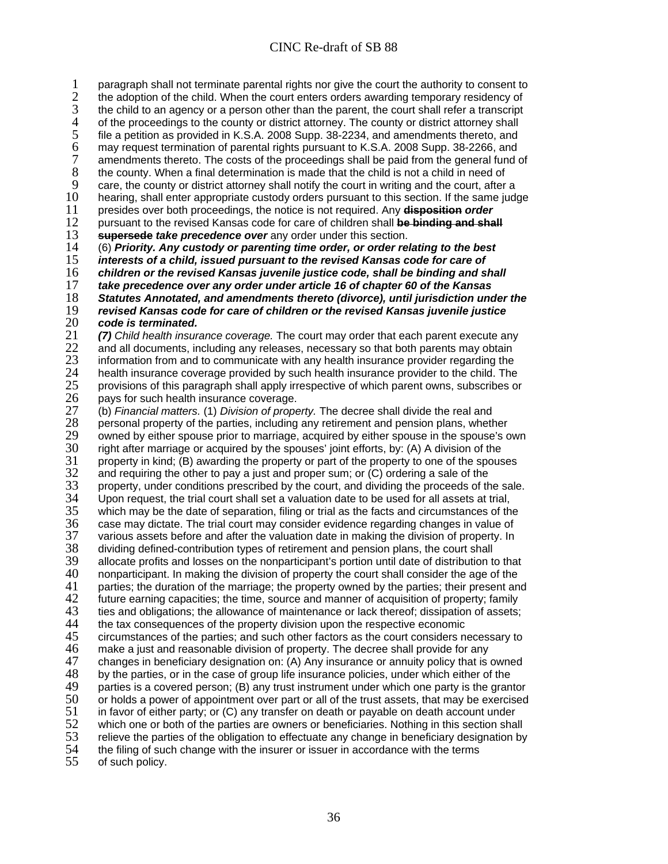1 paragraph shall not terminate parental rights nor give the court the authority to consent to 2 the adoption of the child. When the court enters orders awarding temporary residency of

- $2$  the adoption of the child. When the court enters orders awarding temporary residency of  $3$  the child to an agency or a person other than the parent, the court shall refer a transcript
- 3 the child to an agency or a person other than the parent, the court shall refer a transcript of the proceedings to the county or district attorney. The county or district attorney shall

4 of the proceedings to the county or district attorney. The county or district attorney shall<br>5 file a petition as provided in K.S.A. 2008 Supp. 38-2234, and amendments thereto, and

file a petition as provided in K.S.A. 2008 Supp. 38-2234, and amendments thereto, and

- 6 may request termination of parental rights pursuant to K.S.A. 2008 Supp. 38-2266, and
- 7 amendments thereto. The costs of the proceedings shall be paid from the general fund of the county. When a final determination is made that the child is not a child in need of the county. When a final determination is made that the child is not a child in need of
- 
- 9 care, the county or district attorney shall notify the court in writing and the court, after a<br>10 hearing, shall enter appropriate custody orders pursuant to this section. If the same jude
- 10 hearing, shall enter appropriate custody orders pursuant to this section. If the same judge 11 presides over both proceedings, the notice is not required. Any **disposition order**

11 presides over both proceedings, the notice is not required. Any **disposition** *order*  12 pursuant to the revised Kansas code for care of children shall **be binding and shall**<br>13 **supersede take precedence over** any order under this section.

13 **supersede** *take precedence over* **any order under this section.**<br>14 (6) **Priority. Any custody or parenting time order, or order re** 14 (6) *Priority. Any custody or parenting time order, or order relating to the best* 

15 *interests of a child, issued pursuant to the revised Kansas code for care of* 

- 16 *children or the revised Kansas juvenile justice code, shall be binding and shall*
- 17 *take precedence over any order under article 16 of chapter 60 of the Kansas*
- 18 *Statutes Annotated, and amendments thereto (divorce), until jurisdiction under the*
- 19 *revised Kansas code for care of children or the revised Kansas juvenile justice*

# 20 *code is terminated.*

21 *(7) Child health insurance coverage.* The court may order that each parent execute any 22 and all documents, including any releases, necessary so that both parents may obtain  $23$  information from and to communicate with any health insurance provider regarding the 23 information from and to communicate with any health insurance provider regarding the<br>24 health insurance coverage provided by such health insurance provider to the child. The 24 health insurance coverage provided by such health insurance provider to the child. The<br>25 provisions of this paragraph shall apply irrespective of which parent owns, subscribes or 25 provisions of this paragraph shall apply irrespective of which parent owns, subscribes or <br>26 pays for such health insurance coverage.

26 pays for such health insurance coverage.<br>27 (b) Financial matters. (1) Division of prope

27 (b) *Financial matters.* (1) *Division of property.* The decree shall divide the real and 28 personal property of the parties, including any retirement and pension plans, whether 29 owned by either spouse prior to marriage, acquired by either spouse's c 29 owned by either spouse prior to marriage, acquired by either spouse in the spouse's own<br>30 right after marriage or acquired by the spouses' joint efforts, by: (A) A division of the 30 right after marriage or acquired by the spouses' joint efforts, by: (A) A division of the 31 property in kind; (B) awarding the property or part of the property to one of the spouses  $32$  and requiring the other to pay a just and proper sum; or (C) ordering a sale of the 32 and requiring the other to pay a just and proper sum; or (C) ordering a sale of the property, under conditions prescribed by the court, and dividing the proceeds of the 33 property, under conditions prescribed by the court, and dividing the proceeds of the sale.<br>34 Upon request, the trial court shall set a valuation date to be used for all assets at trial, 34 Upon request, the trial court shall set a valuation date to be used for all assets at trial,<br>35 which may be the date of separation, filing or trial as the facts and circumstances of th 35 which may be the date of separation, filing or trial as the facts and circumstances of the 36 case may dictate. The trial court may consider evidence regarding changes in value of 37 various assets before and after the valuation date in making the division of property. In<br>38 dividing defined-contribution types of retirement and pension plans, the court shall 38 dividing defined-contribution types of retirement and pension plans, the court shall<br>39 allocate profits and losses on the nonparticipant's portion until date of distribution to 39 allocate profits and losses on the nonparticipant's portion until date of distribution to that 40 nonparticipant. In making the division of property the court shall consider the age of the 41 parties; the duration of the marriage; the property owned by the parties; their present an 41 parties; the duration of the marriage; the property owned by the parties; their present and 42 future earning capacities; the time, source and manner of acquisition of property; family 42 future earning capacities; the time, source and manner of acquisition of property; family 43 ties and obligations; the allowance of maintenance or lack thereof; dissipation of assets; 43 ties and obligations; the allowance of maintenance or lack thereof; dissipation of assets;<br>44 the tax consequences of the property division upon the respective economic 44 the tax consequences of the property division upon the respective economic<br>45 circumstances of the parties; and such other factors as the court considers n 45 circumstances of the parties; and such other factors as the court considers necessary to<br>46 make a just and reasonable division of property. The decree shall provide for any 46 make a just and reasonable division of property. The decree shall provide for any<br>47 changes in beneficiary designation on: (A) Any insurance or annuity policy that is 47 changes in beneficiary designation on: (A) Any insurance or annuity policy that is owned<br>48 by the parties, or in the case of group life insurance policies, under which either of the 48 by the parties, or in the case of group life insurance policies, under which either of the 49 parties is a covered person: (B) any trust instrument under which one party is the gran 49 parties is a covered person; (B) any trust instrument under which one party is the grantor<br>50 or holds a power of appointment over part or all of the trust assets, that may be exercised

or holds a power of appointment over part or all of the trust assets, that may be exercised

51 in favor of either party; or (C) any transfer on death or payable on death account under<br>52 which one or both of the parties are owners or beneficiaries. Nothing in this section sha

52 which one or both of the parties are owners or beneficiaries. Nothing in this section shall 53 relieve the parties of the obligation to effectuate any change in beneficiary designation by

53 relieve the parties of the obligation to effectuate any change in beneficiary designation by<br>54 the filing of such change with the insurer or issuer in accordance with the terms

54 the filing of such change with the insurer or issuer in accordance with the terms<br>55 of such policy.

of such policy.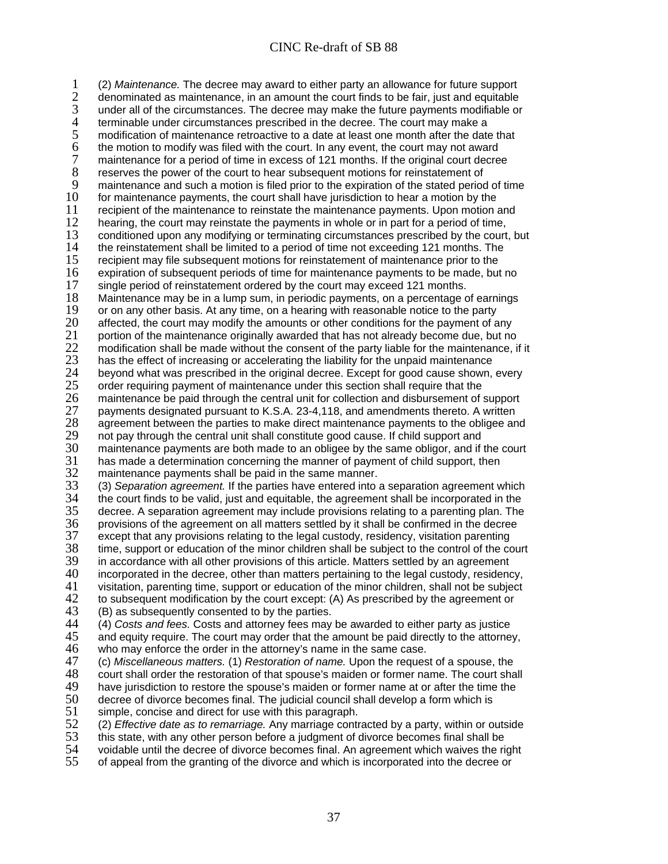1 (2) *Maintenance.* The decree may award to either party an allowance for future support 2 denominated as maintenance, in an amount the court finds to be fair, just and equitable<br>3 under all of the circumstances. The decree may make the future payments modifiable or 3 under all of the circumstances. The decree may make the future payments modifiable or terminable under circumstances prescribed in the decree. The court may make a 4 terminable under circumstances prescribed in the decree. The court may make a<br>5 modification of maintenance retroactive to a date at least one month after the date modification of maintenance retroactive to a date at least one month after the date that 6 the motion to modify was filed with the court. In any event, the court may not award<br>7 maintenance for a period of time in excess of 121 months. If the original court decree 7 maintenance for a period of time in excess of 121 months. If the original court decree<br>8 reserves the power of the court to hear subsequent motions for reinstatement of reserves the power of the court to hear subsequent motions for reinstatement of 9 maintenance and such a motion is filed prior to the expiration of the stated period of time<br>10 for maintenance payments, the court shall have jurisdiction to hear a motion by the 10 for maintenance payments, the court shall have jurisdiction to hear a motion by the 11 recipient of the maintenance to reinstate the maintenance payments. Upon motion 11 recipient of the maintenance to reinstate the maintenance payments. Upon motion and 12 hearing, the court may reinstate the payments in whole or in part for a period of time. 12 hearing, the court may reinstate the payments in whole or in part for a period of time,<br>13 conditioned upon any modifying or terminating circumstances prescribed by the court 13 conditioned upon any modifying or terminating circumstances prescribed by the court, but 14 the reinstatement shall be limited to a period of time not exceeding 121 months. The 14 the reinstatement shall be limited to a period of time not exceeding 121 months. The 15 recipient may file subsequent motions for reinstatement of maintenance prior to the 15 recipient may file subsequent motions for reinstatement of maintenance prior to the<br>16 expiration of subsequent periods of time for maintenance payments to be made, but expiration of subsequent periods of time for maintenance payments to be made, but no 17 single period of reinstatement ordered by the court may exceed 121 months.<br>18 Maintenance may be in a lump sum, in periodic payments, on a percentage of 18 Maintenance may be in a lump sum, in periodic payments, on a percentage of earnings<br>19 or on any other basis. At any time, on a hearing with reasonable notice to the party 19 or on any other basis. At any time, on a hearing with reasonable notice to the party<br>20 affected, the court may modify the amounts or other conditions for the payment of a 20 affected, the court may modify the amounts or other conditions for the payment of any<br>21 portion of the maintenance originally awarded that has not already become due, but no 21 portion of the maintenance originally awarded that has not already become due, but no<br>22 modification shall be made without the consent of the party liable for the maintenance, i 22 modification shall be made without the consent of the party liable for the maintenance, if it  $23$  has the effect of increasing or accelerating the liability for the unpaid maintenance 23 has the effect of increasing or accelerating the liability for the unpaid maintenance<br>24 beyond what was prescribed in the original decree. Except for good cause shown, 24 beyond what was prescribed in the original decree. Except for good cause shown, every <br>25 order requiring payment of maintenance under this section shall require that the 25 order requiring payment of maintenance under this section shall require that the 26 maintenance be paid through the central unit for collection and disbursement of 26 maintenance be paid through the central unit for collection and disbursement of support 27 payments designated pursuant to K.S.A. 23-4,118, and amendments thereto. A written 27 payments designated pursuant to K.S.A. 23-4,118, and amendments thereto. A written<br>28 agreement between the parties to make direct maintenance payments to the obligee an 28 agreement between the parties to make direct maintenance payments to the obligee and 29 not pay through the central unit shall constitute good cause. If child support and 29 not pay through the central unit shall constitute good cause. If child support and 30 maintenance payments are both made to an oblique by the same obligor, and if 30 maintenance payments are both made to an obligee by the same obligor, and if the court 31 has made a determination concerning the manner of payment of child support, then 31 has made a determination concerning the manner of payment of child support, then<br>32 maintenance payments shall be paid in the same manner. 32 maintenance payments shall be paid in the same manner.<br>33 (3) Separation agreement. If the parties have entered into 33 (3) *Separation agreement.* If the parties have entered into a separation agreement which 34 the court finds to be valid, just and equitable, the agreement shall be incorporated in the 35 decree. A separation agreement may include provisions relating to a parenting plan. The 35 decree. A separation agreement may include provisions relating to a parenting plan. The 36 provisions of the agreement on all matters settled by it shall be confirmed in the decree 37 except that any provisions relating to the legal custody, residency, visitation parenting 38 time, support or education of the minor children shall be subject to the control of the court 39 in accordance with all other provisions of this article. Matters settled by an agreement 39 in accordance with all other provisions of this article. Matters settled by an agreement 30<br>40 incorporated in the decree, other than matters pertaining to the legal custody, residenc 40 incorporated in the decree, other than matters pertaining to the legal custody, residency,<br>41 visitation, parenting time, support or education of the minor children, shall not be subject 41 visitation, parenting time, support or education of the minor children, shall not be subject  $42$  to subsequent modification by the court except: (A) As prescribed by the agreement or 42 to subsequent modification by the court except: (A) As prescribed by the agreement or  $(43 \t\t (B)$  as subsequently consented to by the parties. 43 (B) as subsequently consented to by the parties.<br>44 (4) Costs and fees. Costs and attorney fees may 44 (4) *Costs and fees.* Costs and attorney fees may be awarded to either party as justice 45 and equity require. The court may order that the amount be paid directly to the attorney,<br>46 who may enforce the order in the attorney's name in the same case.

- 46 who may enforce the order in the attorney's name in the same case.<br>47 (c) Miscellaneous matters. (1) Restoration of name. Upon the reques
- 47 (c) *Miscellaneous matters.* (1) *Restoration of name.* Upon the request of a spouse, the
- 48 court shall order the restoration of that spouse's maiden or former name. The court shall<br>49 have iurisdiction to restore the spouse's maiden or former name at or after the time the
- 49 have jurisdiction to restore the spouse's maiden or former name at or after the time the 450 decree of divorce becomes final. The judicial council shall develop a form which is
- decree of divorce becomes final. The judicial council shall develop a form which is
- 51 simple, concise and direct for use with this paragraph.<br>52 (2) Effective date as to remarriage. Any marriage contr
- 52 (2) *Effective date as to remarriage.* Any marriage contracted by a party, within or outside
- 53 this state, with any other person before a judgment of divorce becomes final shall be<br>54 voidable until the decree of divorce becomes final. An agreement which waives the ri-
- 54 voidable until the decree of divorce becomes final. An agreement which waives the right<br>55 of appeal from the granting of the divorce and which is incorporated into the decree or
- of appeal from the granting of the divorce and which is incorporated into the decree or